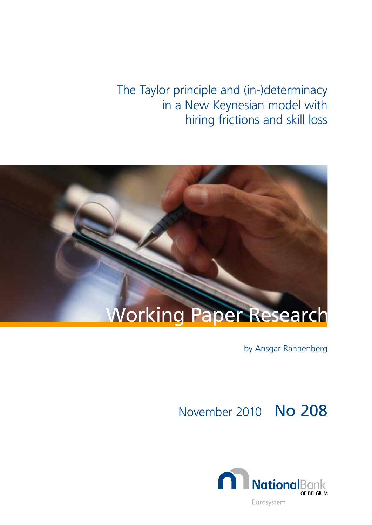The Taylor principle and (in-)determinacy in a New Keynesian model with hiring frictions and skill loss



by Ansgar Rannenberg

November 2010 No 208

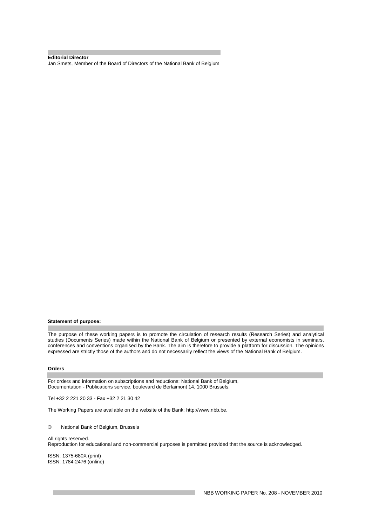**Editorial Director**  Jan Smets, Member of the Board of Directors of the National Bank of Belgium

#### **Statement of purpose:**

The purpose of these working papers is to promote the circulation of research results (Research Series) and analytical studies (Documents Series) made within the National Bank of Belgium or presented by external economists in seminars, conferences and conventions organised by the Bank. The aim is therefore to provide a platform for discussion. The opinions expressed are strictly those of the authors and do not necessarily reflect the views of the National Bank of Belgium.

#### **Orders**

For orders and information on subscriptions and reductions: National Bank of Belgium, Documentation - Publications service, boulevard de Berlaimont 14, 1000 Brussels.

Tel +32 2 221 20 33 - Fax +32 2 21 30 42

The Working Papers are available on the website of the Bank: http://www.nbb.be.

© National Bank of Belgium, Brussels

#### All rights reserved.

Reproduction for educational and non-commercial purposes is permitted provided that the source is acknowledged.

ISSN: 1375-680X (print) ISSN: 1784-2476 (online)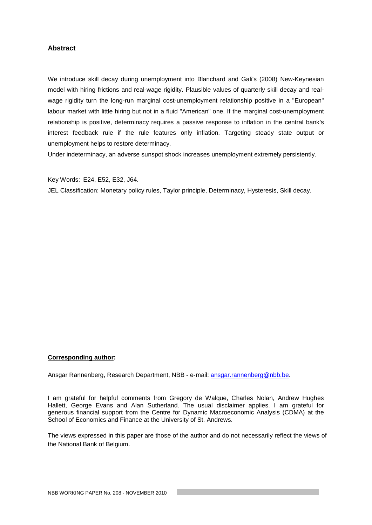## **Abstract**

We introduce skill decay during unemployment into Blanchard and Gali's (2008) New-Keynesian model with hiring frictions and real-wage rigidity. Plausible values of quarterly skill decay and realwage rigidity turn the long-run marginal cost-unemployment relationship positive in a "European" labour market with little hiring but not in a fluid "American" one. If the marginal cost-unemployment relationship is positive, determinacy requires a passive response to inflation in the central bank's interest feedback rule if the rule features only inflation. Targeting steady state output or unemployment helps to restore determinacy.

Under indeterminacy, an adverse sunspot shock increases unemployment extremely persistently.

Key Words: E24, E52, E32, J64.

JEL Classification: Monetary policy rules, Taylor principle, Determinacy, Hysteresis, Skill decay.

#### **Corresponding author:**

Ansgar Rannenberg, Research Department, NBB - e-mail: ansgar.rannenberg@nbb.be.

I am grateful for helpful comments from Gregory de Walque, Charles Nolan, Andrew Hughes Hallett, George Evans and Alan Sutherland. The usual disclaimer applies. I am grateful for generous financial support from the Centre for Dynamic Macroeconomic Analysis (CDMA) at the School of Economics and Finance at the University of St. Andrews.

The views expressed in this paper are those of the author and do not necessarily reflect the views of the National Bank of Belgium.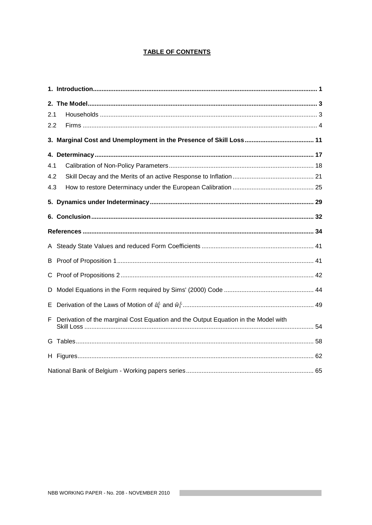## **TABLE OF CONTENTS**

| 2.1 |                                                                                    |  |
|-----|------------------------------------------------------------------------------------|--|
| 2.2 |                                                                                    |  |
|     |                                                                                    |  |
|     |                                                                                    |  |
| 4.1 |                                                                                    |  |
| 4.2 |                                                                                    |  |
| 4.3 |                                                                                    |  |
|     |                                                                                    |  |
|     |                                                                                    |  |
|     |                                                                                    |  |
|     |                                                                                    |  |
|     |                                                                                    |  |
|     |                                                                                    |  |
| D   |                                                                                    |  |
| Е   |                                                                                    |  |
| F   | Derivation of the marginal Cost Equation and the Output Equation in the Model with |  |
|     |                                                                                    |  |
|     |                                                                                    |  |
|     |                                                                                    |  |

the control of the control of the control of the control of the control of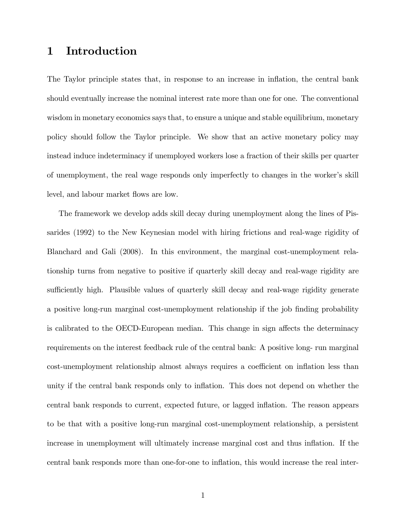# 1 Introduction

The Taylor principle states that, in response to an increase in inflation, the central bank should eventually increase the nominal interest rate more than one for one. The conventional wisdom in monetary economics says that, to ensure a unique and stable equilibrium, monetary policy should follow the Taylor principle. We show that an active monetary policy may instead induce indeterminacy if unemployed workers lose a fraction of their skills per quarter of unemployment, the real wage responds only imperfectly to changes in the worker's skill level, and labour market flows are low.

The framework we develop adds skill decay during unemployment along the lines of Pissarides (1992) to the New Keynesian model with hiring frictions and real-wage rigidity of Blanchard and Gali (2008). In this environment, the marginal cost-unemployment relationship turns from negative to positive if quarterly skill decay and real-wage rigidity are sufficiently high. Plausible values of quarterly skill decay and real-wage rigidity generate a positive long-run marginal cost-unemployment relationship if the job finding probability is calibrated to the OECD-European median. This change in sign affects the determinacy requirements on the interest feedback rule of the central bank: A positive long- run marginal cost-unemployment relationship almost always requires a coefficient on inflation less than unity if the central bank responds only to inflation. This does not depend on whether the central bank responds to current, expected future, or lagged inflation. The reason appears to be that with a positive long-run marginal cost-unemployment relationship, a persistent increase in unemployment will ultimately increase marginal cost and thus inflation. If the central bank responds more than one-for-one to ináation, this would increase the real inter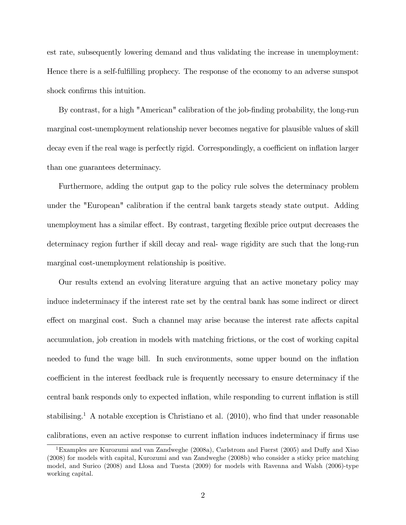est rate, subsequently lowering demand and thus validating the increase in unemployment: Hence there is a self-fulfilling prophecy. The response of the economy to an adverse sunspot shock confirms this intuition.

By contrast, for a high "American" calibration of the job-finding probability, the long-run marginal cost-unemployment relationship never becomes negative for plausible values of skill decay even if the real wage is perfectly rigid. Correspondingly, a coefficient on inflation larger than one guarantees determinacy.

Furthermore, adding the output gap to the policy rule solves the determinacy problem under the "European" calibration if the central bank targets steady state output. Adding unemployment has a similar effect. By contrast, targeting flexible price output decreases the determinacy region further if skill decay and real- wage rigidity are such that the long-run marginal cost-unemployment relationship is positive.

Our results extend an evolving literature arguing that an active monetary policy may induce indeterminacy if the interest rate set by the central bank has some indirect or direct effect on marginal cost. Such a channel may arise because the interest rate affects capital accumulation, job creation in models with matching frictions, or the cost of working capital needed to fund the wage bill. In such environments, some upper bound on the ináation coefficient in the interest feedback rule is frequently necessary to ensure determinacy if the central bank responds only to expected inflation, while responding to current inflation is still stabilising.<sup>1</sup> A notable exception is Christiano et al.  $(2010)$ , who find that under reasonable calibrations, even an active response to current inflation induces indeterminacy if firms use

<sup>&</sup>lt;sup>1</sup>Examples are Kurozumi and van Zandweghe (2008a), Carlstrom and Fuerst (2005) and Duffy and Xiao (2008) for models with capital, Kurozumi and van Zandweghe (2008b) who consider a sticky price matching model, and Surico (2008) and Llosa and Tuesta (2009) for models with Ravenna and Walsh (2006)-type working capital.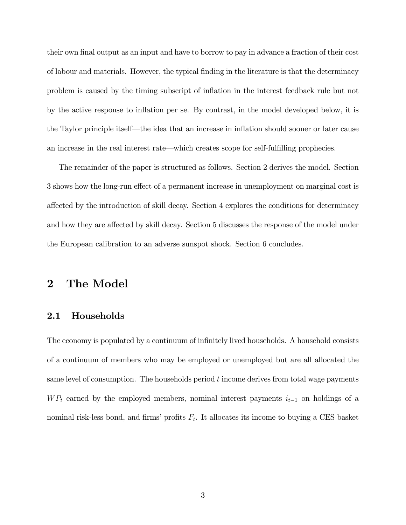their own final output as an input and have to borrow to pay in advance a fraction of their cost of labour and materials. However, the typical Önding in the literature is that the determinacy problem is caused by the timing subscript of inflation in the interest feedback rule but not by the active response to ináation per se. By contrast, in the model developed below, it is the Taylor principle itself—the idea that an increase in inflation should sooner or later cause an increase in the real interest rate—which creates scope for self-fulfilling prophecies.

The remainder of the paper is structured as follows. Section 2 derives the model. Section 3 shows how the long-run effect of a permanent increase in unemployment on marginal cost is affected by the introduction of skill decay. Section 4 explores the conditions for determinacy and how they are affected by skill decay. Section 5 discusses the response of the model under the European calibration to an adverse sunspot shock. Section 6 concludes.

# 2 The Model

#### 2.1 Households

The economy is populated by a continuum of infinitely lived households. A household consists of a continuum of members who may be employed or unemployed but are all allocated the same level of consumption. The households period  $t$  income derives from total wage payments  $WP_t$  earned by the employed members, nominal interest payments  $i_{t-1}$  on holdings of a nominal risk-less bond, and firms' profits  $F_t$ . It allocates its income to buying a CES basket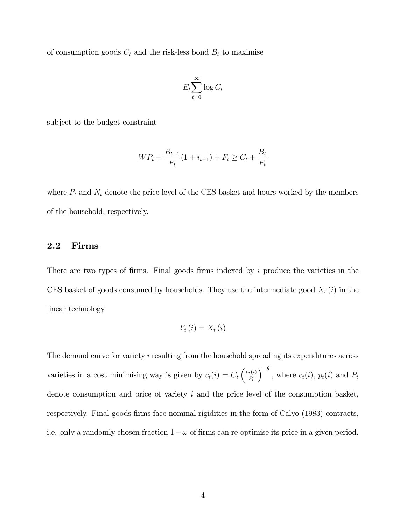of consumption goods  $C_t$  and the risk-less bond  $B_t$  to maximise

$$
E_t \sum_{t=0}^{\infty} \log C_t
$$

subject to the budget constraint

$$
WP_t + \frac{B_{t-1}}{P_t}(1 + i_{t-1}) + F_t \ge C_t + \frac{B_t}{P_t}
$$

where  $P_t$  and  $N_t$  denote the price level of the CES basket and hours worked by the members of the household, respectively.

## 2.2 Firms

There are two types of firms. Final goods firms indexed by  $i$  produce the varieties in the CES basket of goods consumed by households. They use the intermediate good  $X_t(i)$  in the linear technology

$$
Y_{t}(i)=X_{t}(i)
$$

The demand curve for variety i resulting from the household spreading its expenditures across varieties in a cost minimising way is given by  $c_t(i) = C_t \left( \frac{p_t(i)}{P_t} \right)$  $P_t$  $\int_{0}^{-\theta}$ , where  $c_t(i)$ ,  $p_t(i)$  and  $P_t$ denote consumption and price of variety  $i$  and the price level of the consumption basket, respectively. Final goods firms face nominal rigidities in the form of Calvo (1983) contracts, i.e. only a randomly chosen fraction  $1 - \omega$  of firms can re-optimise its price in a given period.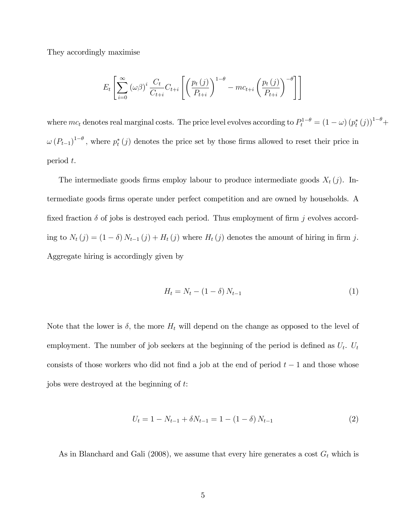They accordingly maximise

$$
E_t\left[\sum_{i=0}^{\infty} (\omega \beta)^i \frac{C_t}{C_{t+i}} C_{t+i} \left[ \left( \frac{p_t(j)}{P_{t+i}} \right)^{1-\theta} - mc_{t+i} \left( \frac{p_t(j)}{P_{t+i}} \right)^{-\theta} \right] \right]
$$

where  $mc_t$  denotes real marginal costs. The price level evolves according to  $P_t^{1-\theta} = (1-\omega)(p_t^*(j))^{1-\theta} +$  $\omega (P_{t-1})^{1-\theta}$ , where  $p_t^*(j)$  denotes the price set by those firms allowed to reset their price in period t.

The intermediate goods firms employ labour to produce intermediate goods  $X_t(j)$ . Intermediate goods Örms operate under perfect competition and are owned by households. A fixed fraction  $\delta$  of jobs is destroyed each period. Thus employment of firm j evolves according to  $N_t(j) = (1 - \delta) N_{t-1}(j) + H_t(j)$  where  $H_t(j)$  denotes the amount of hiring in firm j. Aggregate hiring is accordingly given by

$$
H_t = N_t - (1 - \delta) N_{t-1} \tag{1}
$$

Note that the lower is  $\delta$ , the more  $H_t$  will depend on the change as opposed to the level of employment. The number of job seekers at the beginning of the period is defined as  $U_t$ .  $U_t$ consists of those workers who did not find a job at the end of period  $t - 1$  and those whose jobs were destroyed at the beginning of t:

$$
U_t = 1 - N_{t-1} + \delta N_{t-1} = 1 - (1 - \delta) N_{t-1}
$$
\n<sup>(2)</sup>

As in Blanchard and Gali (2008), we assume that every hire generates a cost  $G_t$  which is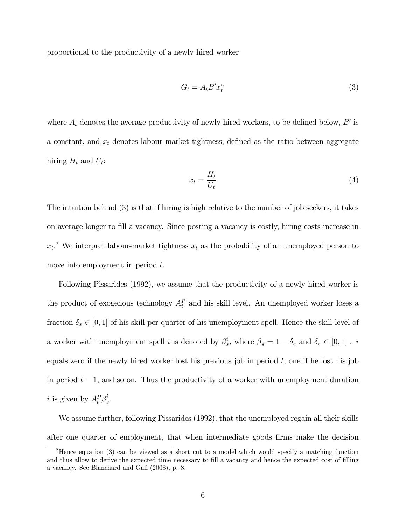proportional to the productivity of a newly hired worker

$$
G_t = A_t B' x_t^{\alpha} \tag{3}
$$

where  $A_t$  denotes the average productivity of newly hired workers, to be defined below,  $B'$  is a constant, and  $x_t$  denotes labour market tightness, defined as the ratio between aggregate hiring  $H_t$  and  $U_t$ :

$$
x_t = \frac{H_t}{U_t} \tag{4}
$$

The intuition behind (3) is that if hiring is high relative to the number of job seekers, it takes on average longer to Öll a vacancy. Since posting a vacancy is costly, hiring costs increase in  $x_t$ <sup>2</sup> We interpret labour-market tightness  $x_t$  as the probability of an unemployed person to move into employment in period  $t$ .

Following Pissarides (1992), we assume that the productivity of a newly hired worker is the product of exogenous technology  $A_t^P$  and his skill level. An unemployed worker loses a fraction  $\delta_s \in [0, 1]$  of his skill per quarter of his unemployment spell. Hence the skill level of a worker with unemployment spell i is denoted by  $\beta_s^i$  $s<sub>s</sub>$ , where  $\beta<sub>s</sub> = 1 - \delta<sub>s</sub>$  and  $\delta<sub>s</sub> \in [0, 1]$ . *i* equals zero if the newly hired worker lost his previous job in period  $t$ , one if he lost his job in period  $t - 1$ , and so on. Thus the productivity of a worker with unemployment duration *i* is given by  $A_t^P \beta_s^i$  $\frac{\imath}{s}.$ 

We assume further, following Pissarides (1992), that the unemployed regain all their skills after one quarter of employment, that when intermediate goods Örms make the decision

<sup>&</sup>lt;sup>2</sup>Hence equation (3) can be viewed as a short cut to a model which would specify a matching function and thus allow to derive the expected time necessary to fill a vacancy and hence the expected cost of filling a vacancy. See Blanchard and Gali (2008), p. 8.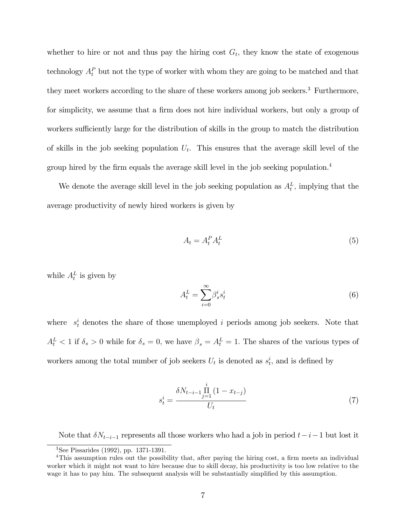whether to hire or not and thus pay the hiring cost  $G_t$ , they know the state of exogenous technology  $A_t^P$  but not the type of worker with whom they are going to be matched and that they meet workers according to the share of these workers among job seekers.<sup>3</sup> Furthermore, for simplicity, we assume that a firm does not hire individual workers, but only a group of workers sufficiently large for the distribution of skills in the group to match the distribution of skills in the job seeking population  $U_t$ . This ensures that the average skill level of the group hired by the firm equals the average skill level in the job seeking population.<sup>4</sup>

We denote the average skill level in the job seeking population as  $A_t^L$ , implying that the average productivity of newly hired workers is given by

$$
A_t = A_t^P A_t^L \tag{5}
$$

while  $A_t^L$  is given by

$$
A_t^L = \sum_{i=0}^{\infty} \beta_s^i s_t^i \tag{6}
$$

where  $s_t^i$  denotes the share of those unemployed i periods among job seekers. Note that  $A_t^L < 1$  if  $\delta_s > 0$  while for  $\delta_s = 0$ , we have  $\beta_s = A_t^L = 1$ . The shares of the various types of workers among the total number of job seekers  $U_t$  is denoted as  $s_t^i$ , and is defined by

$$
s_t^i = \frac{\delta N_{t-i-1} \prod_{j=1}^i (1 - x_{t-j})}{U_t} \tag{7}
$$

Note that  $\delta N_{t-i-1}$  represents all those workers who had a job in period  $t-i-1$  but lost it

<sup>3</sup>See Pissarides (1992), pp. 1371-1391.

<sup>&</sup>lt;sup>4</sup>This assumption rules out the possibility that, after paying the hiring cost, a firm meets an individual worker which it might not want to hire because due to skill decay, his productivity is too low relative to the wage it has to pay him. The subsequent analysis will be substantially simplified by this assumption.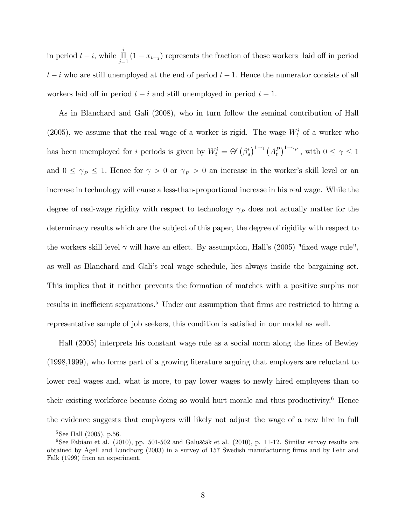in period  $t - i$ , while  $\prod_{j=1}^{i} (1 - x_{t-j})$  represents the fraction of those workers laid off in period  $t - i$  who are still unemployed at the end of period  $t - 1$ . Hence the numerator consists of all workers laid off in period  $t - i$  and still unemployed in period  $t - 1$ .

As in Blanchard and Gali (2008), who in turn follow the seminal contribution of Hall (2005), we assume that the real wage of a worker is rigid. The wage  $W_t^i$  of a worker who has been unemployed for *i* periods is given by  $W_t^i = \Theta \left( \beta_s^i \right)$  $\int_s^i \int_0^{1-\gamma} (A_t^P)^{1-\gamma_P}$ , with  $0 \le \gamma \le 1$ and  $0 \leq \gamma_P \leq 1$ . Hence for  $\gamma > 0$  or  $\gamma_P > 0$  an increase in the worker's skill level or an increase in technology will cause a less-than-proportional increase in his real wage. While the degree of real-wage rigidity with respect to technology  $\gamma_P$  does not actually matter for the determinacy results which are the subject of this paper, the degree of rigidity with respect to the workers skill level  $\gamma$  will have an effect. By assumption, Hall's (2005) "fixed wage rule", as well as Blanchard and Galiís real wage schedule, lies always inside the bargaining set. This implies that it neither prevents the formation of matches with a positive surplus nor results in inefficient separations.<sup>5</sup> Under our assumption that firms are restricted to hiring a representative sample of job seekers, this condition is satisfied in our model as well.

Hall (2005) interprets his constant wage rule as a social norm along the lines of Bewley (1998,1999), who forms part of a growing literature arguing that employers are reluctant to lower real wages and, what is more, to pay lower wages to newly hired employees than to their existing workforce because doing so would hurt morale and thus productivity. $6$  Hence the evidence suggests that employers will likely not adjust the wage of a new hire in full

<sup>&</sup>lt;sup>5</sup>See Hall (2005), p.56.

 $6$ See Fabiani et al. (2010), pp. 501-502 and Galuščák et al. (2010), p. 11-12. Similar survey results are obtained by Agell and Lundborg (2003) in a survey of 157 Swedish manufacturing firms and by Fehr and Falk (1999) from an experiment.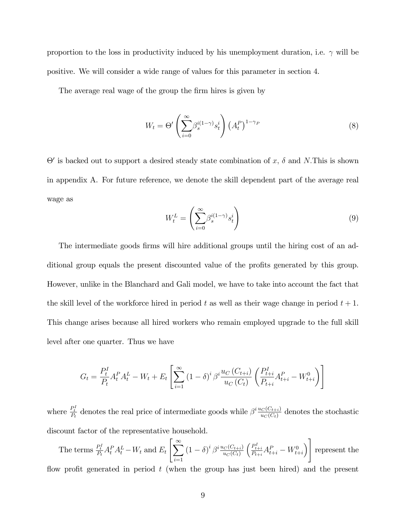proportion to the loss in productivity induced by his unemployment duration, i.e.  $\gamma$  will be positive. We will consider a wide range of values for this parameter in section 4.

The average real wage of the group the firm hires is given by

$$
W_t = \Theta' \left( \sum_{i=0}^{\infty} \beta_s^{i(1-\gamma)} s_t^i \right) \left( A_t^P \right)^{1-\gamma_P} \tag{8}
$$

 $\Theta'$  is backed out to support a desired steady state combination of x,  $\delta$  and N.This is shown in appendix A. For future reference, we denote the skill dependent part of the average real wage as

$$
W_t^L = \left(\sum_{i=0}^{\infty} \beta_s^{i(1-\gamma)} s_t^i\right) \tag{9}
$$

The intermediate goods firms will hire additional groups until the hiring cost of an additional group equals the present discounted value of the profits generated by this group. However, unlike in the Blanchard and Gali model, we have to take into account the fact that the skill level of the workforce hired in period t as well as their wage change in period  $t + 1$ . This change arises because all hired workers who remain employed upgrade to the full skill level after one quarter. Thus we have

$$
G_t = \frac{P_t^I}{P_t} A_t^P A_t^L - W_t + E_t \left[ \sum_{i=1}^{\infty} \left( 1 - \delta \right)^i \beta^i \frac{u_C \left( C_{t+i} \right)}{u_C \left( C_t \right)} \left( \frac{P_{t+i}^I}{P_{t+i}} A_{t+i}^P - W_{t+i}^0 \right) \right]
$$

where  $\frac{P_t^I}{P_t}$  denotes the real price of intermediate goods while  $\beta^i \frac{u_C(C_{t+i})}{u_C(C_t)}$  $\frac{C(C_{t+i})}{w_C(C_t)}$  denotes the stochastic discount factor of the representative household.

The terms  $\frac{P_t^I}{P_t} A_t^P A_t^L - W_t$  and  $E_t$  $\int_{\infty}^{\infty}$  $i=1$  $\left(1-\delta\right)^i \beta^i \frac{u_C(C_{t+i})}{u_C(C_t)}$  $u_C (C_t)$  $\Big(\frac{P_{t+i}^I}{P_{t+i}}A_{t+i}^P-W_{t+i}^0$  $\overline{1}$ represent the flow profit generated in period  $t$  (when the group has just been hired) and the present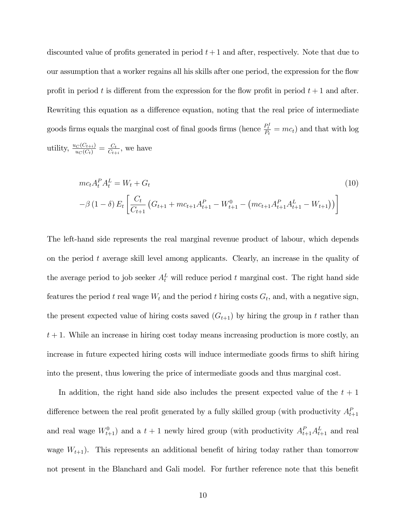discounted value of profits generated in period  $t + 1$  and after, respectively. Note that due to our assumption that a worker regains all his skills after one period, the expression for the flow profit in period t is different from the expression for the flow profit in period  $t + 1$  and after. Rewriting this equation as a difference equation, noting that the real price of intermediate goods firms equals the marginal cost of final goods firms (hence  $\frac{P_t^I}{P_t} = mc_t$ ) and that with log utility,  $\frac{u_C(C_{t+i})}{u_C(C_t)} = \frac{C_t}{C_{t+i}}$  $\frac{C_t}{C_{t+i}},$  we have

$$
mc_{t}A_{t}^{P}A_{t}^{L} = W_{t} + G_{t}
$$
\n
$$
-\beta (1 - \delta) E_{t} \left[ \frac{C_{t}}{C_{t+1}} \left( G_{t+1} + mc_{t+1} A_{t+1}^{P} - W_{t+1}^{0} - \left( mc_{t+1} A_{t+1}^{P} A_{t+1}^{L} - W_{t+1} \right) \right) \right]
$$
\n
$$
(10)
$$

The left-hand side represents the real marginal revenue product of labour, which depends on the period t average skill level among applicants. Clearly, an increase in the quality of the average period to job seeker  $A_t^L$  will reduce period t marginal cost. The right hand side features the period t real wage  $W_t$  and the period t hiring costs  $G_t$ , and, with a negative sign, the present expected value of hiring costs saved  $(G_{t+1})$  by hiring the group in t rather than  $t + 1$ . While an increase in hiring cost today means increasing production is more costly, an increase in future expected hiring costs will induce intermediate goods firms to shift hiring into the present, thus lowering the price of intermediate goods and thus marginal cost.

In addition, the right hand side also includes the present expected value of the  $t + 1$ difference between the real profit generated by a fully skilled group (with productivity  $A_{t+1}^P$ and real wage  $W_{t+1}^0$  and a  $t+1$  newly hired group (with productivity  $A_{t+1}^P A_{t+1}^L$  and real wage  $W_{t+1}$ ). This represents an additional benefit of hiring today rather than tomorrow not present in the Blanchard and Gali model. For further reference note that this benefit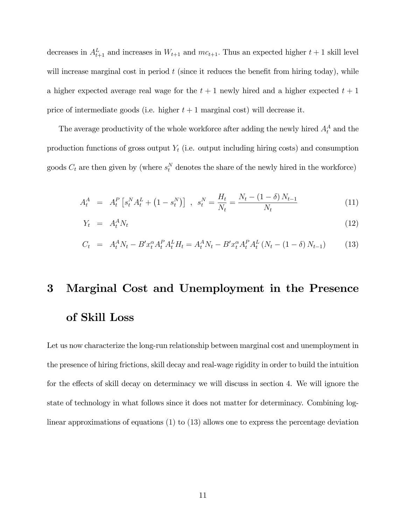decreases in  $A_{t+1}^L$  and increases in  $W_{t+1}$  and  $mc_{t+1}$ . Thus an expected higher  $t+1$  skill level will increase marginal cost in period  $t$  (since it reduces the benefit from hiring today), while a higher expected average real wage for the  $t + 1$  newly hired and a higher expected  $t + 1$ price of intermediate goods (i.e. higher  $t + 1$  marginal cost) will decrease it.

The average productivity of the whole workforce after adding the newly hired  $A_t^A$  and the production functions of gross output  $Y_t$  (i.e. output including hiring costs) and consumption goods  $C_t$  are then given by (where  $s_t^N$  denotes the share of the newly hired in the workforce)

$$
A_t^A = A_t^P \left[ s_t^N A_t^L + (1 - s_t^N) \right], \quad s_t^N = \frac{H_t}{N_t} = \frac{N_t - (1 - \delta) N_{t-1}}{N_t} \tag{11}
$$

$$
Y_t = A_t^A N_t \tag{12}
$$

$$
C_t = A_t^A N_t - B' x_t^{\alpha} A_t^P A_t^L H_t = A_t^A N_t - B' x_t^{\alpha} A_t^P A_t^L (N_t - (1 - \delta) N_{t-1})
$$
(13)

# 3 Marginal Cost and Unemployment in the Presence of Skill Loss

Let us now characterize the long-run relationship between marginal cost and unemployment in the presence of hiring frictions, skill decay and real-wage rigidity in order to build the intuition for the effects of skill decay on determinacy we will discuss in section 4. We will ignore the state of technology in what follows since it does not matter for determinacy. Combining loglinear approximations of equations (1) to (13) allows one to express the percentage deviation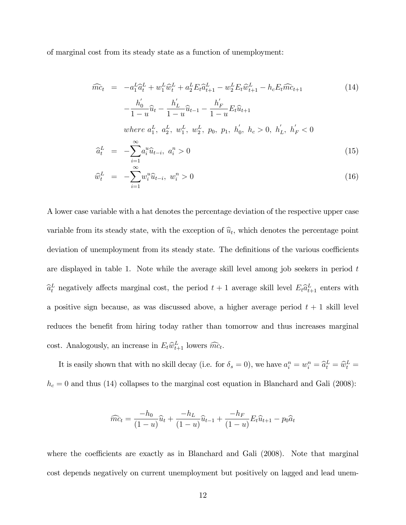of marginal cost from its steady state as a function of unemployment:

$$
\widehat{mc}_{t} = -a_{1}^{L}\widehat{a}_{t}^{L} + w_{1}^{L}\widehat{w}_{t}^{L} + a_{2}^{L}E_{t}\widehat{a}_{t+1}^{L} - w_{2}^{L}E_{t}\widehat{w}_{t+1}^{L} - h_{c}E_{t}\widehat{mc}_{t+1}
$$
\n
$$
-\frac{h_{0}^{'}}{1-u}\widehat{u}_{t} - \frac{h_{L}^{'}}{1-u}\widehat{u}_{t-1} - \frac{h_{F}^{'}}{1-u}E_{t}\widehat{u}_{t+1}
$$
\nwhere  $a_{1}^{L}$ ,  $a_{2}^{L}$ ,  $w_{1}^{L}$ ,  $w_{2}^{L}$ ,  $p_{0}$ ,  $p_{1}$ ,  $h_{0}^{'}$ ,  $h_{c} > 0$ ,  $h_{L}^{'}$ ,  $h_{F}^{'} < 0$   
\n
$$
\widehat{a}_{t}^{L} = -\sum_{i=1}^{\infty} a_{i}^{u}\widehat{u}_{t-i}
$$
,  $a_{i}^{n} > 0$ \n(15)

$$
\widehat{w}_t^L = -\sum_{i=1}^{\infty} w_i^u \widehat{u}_{t-i}, \ w_i^n > 0 \tag{16}
$$

A lower case variable with a hat denotes the percentage deviation of the respective upper case variable from its steady state, with the exception of  $\hat{u}_t$ , which denotes the percentage point deviation of unemployment from its steady state. The definitions of the various coefficients are displayed in table 1. Note while the average skill level among job seekers in period t  $\hat{a}_t^L$  negatively affects marginal cost, the period  $t + 1$  average skill level  $E_t \hat{a}_{t+1}^L$  enters with a positive sign because, as was discussed above, a higher average period  $t + 1$  skill level reduces the benefit from hiring today rather than tomorrow and thus increases marginal cost. Analogously, an increase in  $E_t \hat{w}_{t+1}^L$  lowers  $\widehat{mc}_t$ .

It is easily shown that with no skill decay (i.e. for  $\delta_s = 0$ ), we have  $a_i^n = w_i^n = \hat{a}_t^L = \hat{w}_t^L = \hat{w}_t^L$  $h_c = 0$  and thus (14) collapses to the marginal cost equation in Blanchard and Gali (2008):

$$
\widehat{mc}_t = \frac{-h_0}{(1-u)}\widehat{u}_t + \frac{-h_L}{(1-u)}\widehat{u}_{t-1} + \frac{-h_F}{(1-u)}E_t\widehat{u}_{t+1} - p_0\widehat{a}_t
$$

where the coefficients are exactly as in Blanchard and Gali  $(2008)$ . Note that marginal cost depends negatively on current unemployment but positively on lagged and lead unem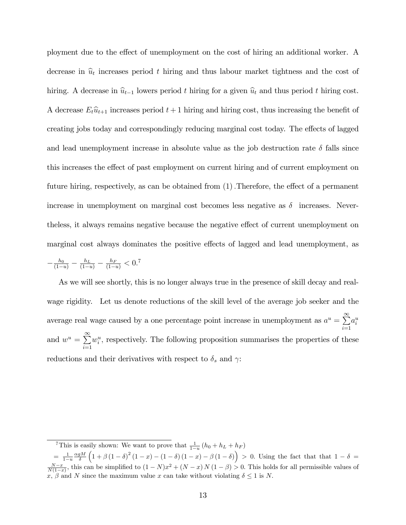ployment due to the effect of unemployment on the cost of hiring an additional worker. A decrease in  $\hat{u}_t$  increases period t hiring and thus labour market tightness and the cost of hiring. A decrease in  $\hat{u}_{t-1}$  lowers period t hiring for a given  $\hat{u}_t$  and thus period t hiring cost. A decrease  $E_t\hat{u}_{t+1}$  increases period  $t+1$  hiring and hiring cost, thus increasing the benefit of creating jobs today and correspondingly reducing marginal cost today. The effects of lagged and lead unemployment increase in absolute value as the job destruction rate  $\delta$  falls since this increases the effect of past employment on current hiring and of current employment on future hiring, respectively, as can be obtained from  $(1)$ . Therefore, the effect of a permanent increase in unemployment on marginal cost becomes less negative as  $\delta$  increases. Neverthe less, it always remains negative because the negative effect of current unemployment on marginal cost always dominates the positive effects of lagged and lead unemployment, as

$$
-\frac{h_0}{(1-u)} - \frac{h_L}{(1-u)} - \frac{h_F}{(1-u)} < 0.7
$$

As we will see shortly, this is no longer always true in the presence of skill decay and realwage rigidity. Let us denote reductions of the skill level of the average job seeker and the average real wage caused by a one percentage point increase in unemployment as  $a^u = \sum^{\infty}$  $i=1$  $a_i^u$ and  $w^u = \sum^{\infty}$  $i=1$  $w_i^u$ , respectively. The following proposition summarises the properties of these reductions and their derivatives with respect to  $\delta_s$  and  $\gamma$ :

<sup>&</sup>lt;sup>7</sup>This is easily shown: We want to prove that  $\frac{1}{1-u}(h_0 + h_L + h_F)$ 

 $=\frac{1}{1-u} \frac{\alpha g M}{\delta}$  $(1 + \beta (1 - \delta)^2 (1 - x) - (1 - \delta) (1 - x) - \beta (1 - \delta)) > 0$ . Using the fact that that  $1 - \delta =$  $\frac{N-x}{N(1-x)}$ , this can be simplified to  $(1-N)x^2 + (N-x)N(1-\beta) > 0$ . This holds for all permissible values of x,  $\beta$  and N since the maximum value x can take without violating  $\delta \leq 1$  is N.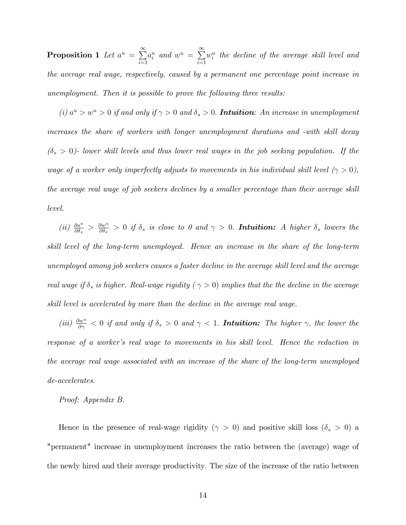Proposition 1 Let  $a^u = \sum^{\infty} a$  $i=1$  $a_i^u$  and  $w^u = \sum_{n=1}^{\infty}$  $i=1$  $w_i^u$  the decline of the average skill level and the average real wage, respectively, caused by a permanent one percentage point increase in unemployment. Then it is possible to prove the following three results:

(i)  $a^u > w^u > 0$  if and only if  $\gamma > 0$  and  $\delta_s > 0$ . **Intuition**: An increase in unemployment increases the share of workers with longer unemployment durations and -with skill decay  $(\delta_s > 0)$ - lower skill levels and thus lower real wages in the job seeking population. If the wage of a worker only imperfectly adjusts to movements in his individual skill level  $(\gamma > 0)$ , the average real wage of job seekers declines by a smaller percentage than their average skill level.

 $\left( ii\right) \; \tfrac{\partial a^{u}}{\partial \delta_{s}}\; >\; \tfrac{\partial w^{u}}{\partial \delta_{s}}$  $\frac{\partial w^a}{\partial \delta_s} > 0$  if  $\delta_s$  is close to 0 and  $\gamma > 0$ . **Intuition:** A higher  $\delta_s$  lowers the skill level of the long-term unemployed. Hence an increase in the share of the long-term unemployed among job seekers causes a faster decline in the average skill level and the average real wage if  $\delta_s$  is higher. Real-wage rigidity ( $\gamma > 0$ ) implies that the the decline in the average skill level is accelerated by more than the decline in the average real wage.

(iii)  $\frac{\partial w^u}{\partial \gamma}$  < 0 if and only if  $\delta_s > 0$  and  $\gamma$  < 1. **Intuition:** The higher  $\gamma$ , the lower the response of a worker's real wage to movements in his skill level. Hence the reduction in the average real wage associated with an increase of the share of the long-term unemployed de-accelerates.

#### Proof: Appendix B.

Hence in the presence of real-wage rigidity ( $\gamma > 0$ ) and positive skill loss ( $\delta_s > 0$ ) a "permanent" increase in unemployment increases the ratio between the (average) wage of the newly hired and their average productivity: The size of the increase of the ratio between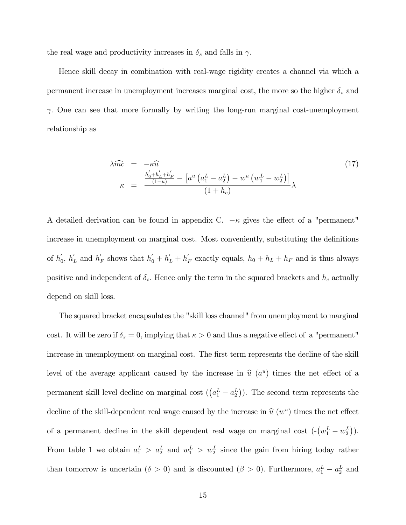the real wage and productivity increases in  $\delta_s$  and falls in  $\gamma$ .

Hence skill decay in combination with real-wage rigidity creates a channel via which a permanent increase in unemployment increases marginal cost, the more so the higher  $\delta_s$  and  $\gamma$ . One can see that more formally by writing the long-run marginal cost-unemployment relationship as

$$
\lambda \widehat{mc} = -\kappa \widehat{u}
$$
\n
$$
\kappa = \frac{\frac{h'_0 + h'_L + h'_F}{(1-u)} - \left[a^u \left(a_1^L - a_2^L\right) - w^u \left(w_1^L - w_2^L\right)\right]}{(1+h_c)} \lambda
$$
\n
$$
(17)
$$

A detailed derivation can be found in appendix C.  $-\kappa$  gives the effect of a "permanent" increase in unemployment on marginal cost. Most conveniently, substituting the definitions of  $h'_0$ ,  $h'_L$  and  $h'_F$  shows that  $h'_0 + h'_L + h'_F$  exactly equals,  $h_0 + h_L + h_F$  and is thus always positive and independent of  $\delta_s$ . Hence only the term in the squared brackets and  $h_c$  actually depend on skill loss.

The squared bracket encapsulates the "skill loss channel" from unemployment to marginal cost. It will be zero if  $\delta_s = 0$ , implying that  $\kappa > 0$  and thus a negative effect of a "permanent" increase in unemployment on marginal cost. The first term represents the decline of the skill level of the average applicant caused by the increase in  $\hat{u}$  ( $a^u$ ) times the net effect of a permanent skill level decline on marginal cost  $((a_1^L - a_2^L))$ . The second term represents the decline of the skill-dependent real wage caused by the increase in  $\hat{u}(w^u)$  times the net effect of a permanent decline in the skill dependent real wage on marginal cost  $(-(w_1^L - w_2^L))$ . From table 1 we obtain  $a_1^L > a_2^L$  and  $w_1^L > w_2^L$  since the gain from hiring today rather than tomorrow is uncertain  $(\delta > 0)$  and is discounted  $(\beta > 0)$ . Furthermore,  $a_1^L - a_2^L$  and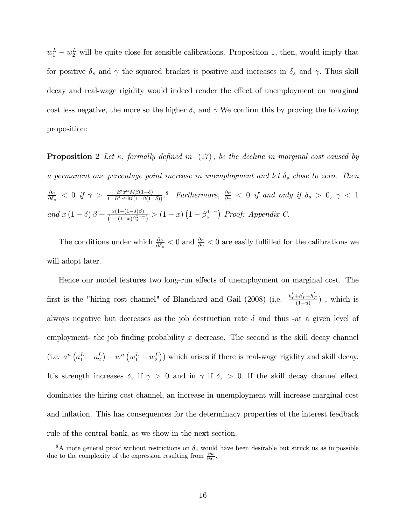$w_1^L - w_2^L$  will be quite close for sensible calibrations. Proposition 1, then, would imply that for positive  $\delta_s$  and  $\gamma$  the squared bracket is positive and increases in  $\delta_s$  and  $\gamma$ . Thus skill decay and real-wage rigidity would indeed render the effect of unemployment on marginal cost less negative, the more so the higher  $\delta_s$  and  $\gamma$ . We confirm this by proving the following proposition:

**Proposition 2** Let  $\kappa$ , formally defined in (17), be the decline in marginal cost caused by a permanent one percentage point increase in unemployment and let  $\delta_s$  close to zero. Then  $\partial \kappa$  $\frac{\partial \kappa}{\partial \delta_s}$   $\langle 0 \text{ if } \gamma \rangle = \frac{B' x^{\alpha} M \beta (1-\delta)}{1 - B' x^{\alpha} M (1 - \beta (1-\delta))}$ .<sup>8</sup> Furthermore,  $\frac{\partial \kappa}{\partial \gamma}$   $\langle 0 \text{ if and only if } \delta_s \rangle 0, \gamma \langle 1 \rangle$ and  $x(1-\delta)\beta + \frac{x(1-(1-\delta)\beta)}{(1-(1-x)\beta_s^{1-\gamma})}$  $\frac{x(1-(1-\delta)\beta)}{(1-(1-x)\beta_s^{1-\gamma})} > (1-x)\left(1-\beta_s^{1-\gamma}\right)$  Proof: Appendix C.

The conditions under which  $\frac{\partial \kappa}{\partial \delta_s} < 0$  and  $\frac{\partial \kappa}{\partial \gamma} < 0$  are easily fulfilled for the calibrations we will adopt later.

Hence our model features two long-run effects of unemployment on marginal cost. The first is the "hiring cost channel" of Blanchard and Gail (2008) (i.e.  $\frac{h'_0 + h'_L + h'_F}{(1-u)}$ , which is always negative but decreases as the job destruction rate  $\delta$  and thus -at a given level of employment- the job finding probability  $x$  decrease. The second is the skill decay channel (i.e.  $a^n (a_1^L - a_2^L) - w^n (w_1^L - w_2^L)$ ) which arises if there is real-wage rigidity and skill decay. It's strength increases  $\delta_s$  if  $\gamma > 0$  and in  $\gamma$  if  $\delta_s > 0$ . If the skill decay channel effect dominates the hiring cost channel, an increase in unemployment will increase marginal cost and inflation. This has consequences for the determinacy properties of the interest feedback rule of the central bank, as we show in the next section.

<sup>&</sup>lt;sup>8</sup>A more general proof without restrictions on  $\delta_s$  would have been desirable but struck us as impossible due to the complexity of the expression resulting from  $\frac{\partial \kappa}{\partial \delta_s}$ .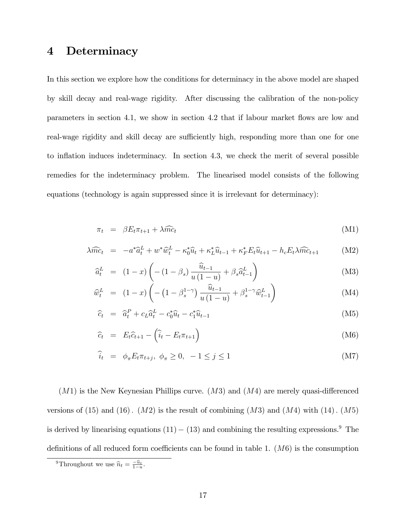# 4 Determinacy

In this section we explore how the conditions for determinacy in the above model are shaped by skill decay and real-wage rigidity. After discussing the calibration of the non-policy parameters in section 4.1, we show in section 4.2 that if labour market flows are low and real-wage rigidity and skill decay are sufficiently high, responding more than one for one to inflation induces indeterminacy. In section 4.3, we check the merit of several possible remedies for the indeterminacy problem. The linearised model consists of the following equations (technology is again suppressed since it is irrelevant for determinacy):

$$
\pi_t = \beta E_t \pi_{t+1} + \lambda \widehat{mc}_t \tag{M1}
$$

$$
\lambda \widehat{mc}_t = -a^* \widehat{a}_t^L + w^* \widehat{w}_t^L - \kappa_0^* \widehat{u}_t + \kappa_L^* \widehat{u}_{t-1} + \kappa_F^* E_t \widehat{u}_{t+1} - h_c E_t \lambda \widehat{mc}_{t+1}
$$
 (M2)

$$
\widehat{a}_t^L = (1-x)\left(-\left(1-\beta_s\right)\frac{\widehat{u}_{t-1}}{u\left(1-u\right)} + \beta_s \widehat{a}_{t-1}^L\right) \tag{M3}
$$

$$
\widehat{w}_t^L = (1-x) \left( -\left(1 - \beta_s^{1-\gamma}\right) \frac{\widehat{u}_{t-1}}{u\left(1-u\right)} + \beta_s^{1-\gamma} \widehat{w}_{t-1}^L \right) \tag{M4}
$$

$$
\widehat{c}_t = \widehat{a}_t^P + c_L \widehat{a}_t^L - c_0^* \widehat{u}_t - c_1^* \widehat{u}_{t-1} \tag{M5}
$$

$$
\widehat{c}_t = E_t \widehat{c}_{t+1} - \left(\widehat{i}_t - E_t \pi_{t+1}\right) \tag{M6}
$$

$$
\widehat{i}_t = \phi_\pi E_t \pi_{t+j}, \ \phi_\pi \ge 0, \ -1 \le j \le 1 \tag{M7}
$$

 $(M1)$  is the New Keynesian Phillips curve.  $(M3)$  and  $(M4)$  are merely quasi-differenced versions of  $(15)$  and  $(16)$ .  $(M2)$  is the result of combining  $(M3)$  and  $(M4)$  with  $(14)$ .  $(M5)$ is derived by linearising equations  $(11) - (13)$  and combining the resulting expressions.<sup>9</sup> The definitions of all reduced form coefficients can be found in table 1.  $(M6)$  is the consumption

<sup>&</sup>lt;sup>9</sup>Throughout we use  $\hat{n}_t = \frac{-\hat{u}_t}{1-u}$ .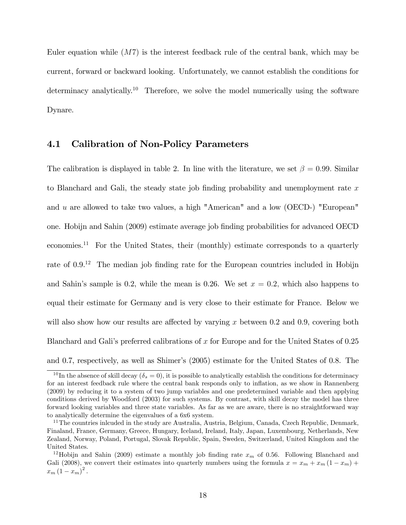Euler equation while  $(M7)$  is the interest feedback rule of the central bank, which may be current, forward or backward looking. Unfortunately, we cannot establish the conditions for determinacy analytically.<sup>10</sup> Therefore, we solve the model numerically using the software Dynare.

## 4.1 Calibration of Non-Policy Parameters

The calibration is displayed in table 2. In line with the literature, we set  $\beta = 0.99$ . Similar to Blanchard and Gali, the steady state job finding probability and unemployment rate  $x$ and u are allowed to take two values, a high "American" and a low (OECD-) "European" one. Hobijn and Sahin (2009) estimate average job Önding probabilities for advanced OECD economies.<sup>11</sup> For the United States, their (monthly) estimate corresponds to a quarterly rate of  $0.9^{12}$  The median job finding rate for the European countries included in Hobijn and Sahin's sample is 0.2, while the mean is 0.26. We set  $x = 0.2$ , which also happens to equal their estimate for Germany and is very close to their estimate for France. Below we will also show how our results are affected by varying x between 0.2 and 0.9, covering both Blanchard and Gali's preferred calibrations of x for Europe and for the United States of  $0.25$ and 0.7, respectively, as well as Shimer's (2005) estimate for the United States of 0.8. The

<sup>&</sup>lt;sup>10</sup> In the absence of skill decay  $(\delta_s = 0)$ , it is possible to analytically establish the conditions for determinacy for an interest feedback rule where the central bank responds only to inflation, as we show in Rannenberg (2009) by reducing it to a system of two jump variables and one predetermined variable and then applying conditions derived by Woodford (2003) for such systems. By contrast, with skill decay the model has three forward looking variables and three state variables. As far as we are aware, there is no straightforward way to analytically determine the eigenvalues of a 6x6 system.

<sup>&</sup>lt;sup>11</sup>The countries inlcuded in the study are Australia, Austria, Belgium, Canada, Czech Republic, Denmark, Finaland, France, Germany, Greece, Hungary, Iceland, Ireland, Italy, Japan, Luxembourg, Netherlands, New Zealand, Norway, Poland, Portugal, Slovak Republic, Spain, Sweden, Switzerland, United Kingdom and the United States.

<sup>&</sup>lt;sup>12</sup>Hobijn and Sahin (2009) estimate a monthly job finding rate  $x_m$  of 0.56. Following Blanchard and Gali (2008), we convert their estimates into quarterly numbers using the formula  $x = x_m + x_m (1 - x_m) +$  $x_m(1-x_m)^2$ .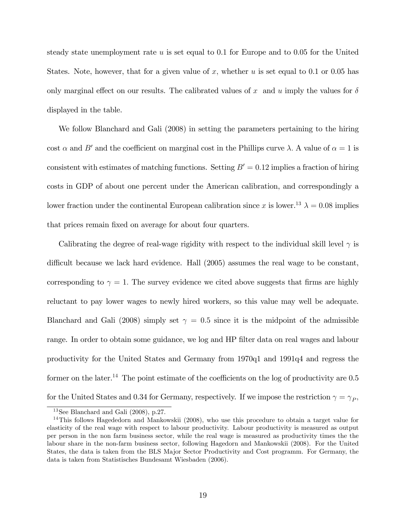steady state unemployment rate  $u$  is set equal to 0.1 for Europe and to 0.05 for the United States. Note, however, that for a given value of x, whether u is set equal to 0.1 or 0.05 has only marginal effect on our results. The calibrated values of x and u imply the values for  $\delta$ displayed in the table.

We follow Blanchard and Gali (2008) in setting the parameters pertaining to the hiring cost  $\alpha$  and B' and the coefficient on marginal cost in the Phillips curve  $\lambda$ . A value of  $\alpha = 1$  is consistent with estimates of matching functions. Setting  $B' = 0.12$  implies a fraction of hiring costs in GDP of about one percent under the American calibration, and correspondingly a lower fraction under the continental European calibration since x is lower.<sup>13</sup>  $\lambda = 0.08$  implies that prices remain fixed on average for about four quarters.

Calibrating the degree of real-wage rigidity with respect to the individual skill level  $\gamma$  is difficult because we lack hard evidence. Hall  $(2005)$  assumes the real wage to be constant, corresponding to  $\gamma = 1$ . The survey evidence we cited above suggests that firms are highly reluctant to pay lower wages to newly hired workers, so this value may well be adequate. Blanchard and Gali (2008) simply set  $\gamma = 0.5$  since it is the midpoint of the admissible range. In order to obtain some guidance, we log and HP filter data on real wages and labour productivity for the United States and Germany from 1970q1 and 1991q4 and regress the former on the later.<sup>14</sup> The point estimate of the coefficients on the log of productivity are  $0.5$ for the United States and 0.34 for Germany, respectively. If we impose the restriction  $\gamma = \gamma_P$ ,

<sup>13</sup>See Blanchard and Gali (2008), p.27.

<sup>&</sup>lt;sup>14</sup>This follows Hagededorn and Mankowskii (2008), who use this procedure to obtain a target value for elasticity of the real wage with respect to labour productivity. Labour productivity is measured as output per person in the non farm business sector, while the real wage is measured as productivity times the the labour share in the non-farm business sector, following Hagedorn and Mankowskii (2008). For the United States, the data is taken from the BLS Major Sector Productivity and Cost programm. For Germany, the data is taken from Statistisches Bundesamt Wiesbaden (2006).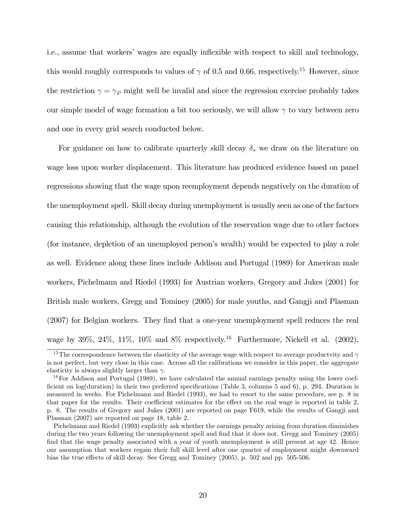i.e., assume that workers' wages are equally inflexible with respect to skill and technology, this would roughly corresponds to values of  $\gamma$  of 0.5 and 0.66, respectively.<sup>15</sup> However, since the restriction  $\gamma = \gamma_P$  might well be invalid and since the regression exercise probably takes our simple model of wage formation a bit too seriously, we will allow  $\gamma$  to vary between zero and one in every grid search conducted below.

For guidance on how to calibrate quarterly skill decay  $\delta_s$  we draw on the literature on wage loss upon worker displacement. This literature has produced evidence based on panel regressions showing that the wage upon reemployment depends negatively on the duration of the unemployment spell. Skill decay during unemployment is usually seen as one of the factors causing this relationship, although the evolution of the reservation wage due to other factors (for instance, depletion of an unemployed person's wealth) would be expected to play a role as well. Evidence along these lines include Addison and Portugal (1989) for American male workers, Pichelmann and Riedel (1993) for Austrian workers, Gregory and Jukes (2001) for British male workers, Gregg and Tominey (2005) for male youths, and Gangji and Plasman (2007) for Belgian workers. They find that a one-year unemployment spell reduces the real wage by 39%, 24%, 11%, 10% and  $8\%$  respectively.<sup>16</sup> Furthermore, Nickell et al. (2002),

<sup>&</sup>lt;sup>15</sup>The correspondence between the elasticity of the average wage with respect to average productvity and  $\gamma$ is not perfect, but very close in this case. Across all the calibrations we consider in this paper, the aggregate elasticity is always slightly larger than  $\gamma$ .

<sup>&</sup>lt;sup>16</sup>For Addison and Portugal (1989), we have calculated the annual earnings penalty using the lower coefficient on log(duration) in their two preferred specifications (Table 3, columns 5 and 6), p. 294. Duration is measured in weeks. For Pichelmann and Riedel (1993), we had to resort to the same procedure, see p. 8 in that paper for the results. Their coefficient estimates for the effect on the real wage is reported in table 2, p. 8. The results of Gregory and Jukes (2001) are reported on page F619, while the results of Gangji and Plasman (2007) are reported on page 18, table 2.

Pichelmann and Riedel (1993) explicitly ask whether the earnings penalty arising from duration diminishes during the two years following the unemployment spell and find that it does not. Gregg and Tominey (2005) find that the wage penalty associated with a year of youth unemployment is still present at age 42. Hence our assumption that workers regain their full skill level after one quarter of employment might downward bias the true effects of skill decay. See Gregg and Tominey (2005), p. 502 and pp. 505-506.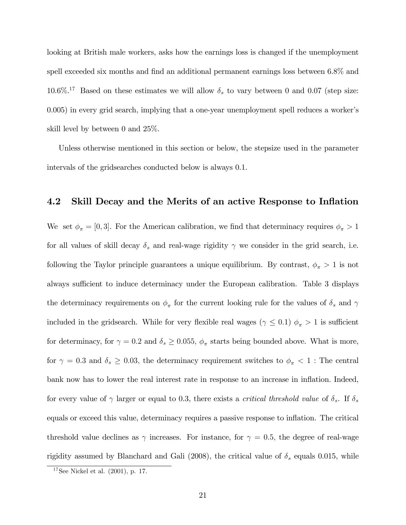looking at British male workers, asks how the earnings loss is changed if the unemployment spell exceeded six months and find an additional permanent earnings loss between  $6.8\%$  and 10.6%.<sup>17</sup> Based on these estimates we will allow  $\delta_s$  to vary between 0 and 0.07 (step size: 0.005) in every grid search, implying that a one-year unemployment spell reduces a worker's skill level by between 0 and 25%.

Unless otherwise mentioned in this section or below, the stepsize used in the parameter intervals of the gridsearches conducted below is always 0.1.

## 4.2 Skill Decay and the Merits of an active Response to Inflation

We set  $\phi_{\pi} = [0, 3]$ . For the American calibration, we find that determinacy requires  $\phi_{\pi} > 1$ for all values of skill decay  $\delta_s$  and real-wage rigidity  $\gamma$  we consider in the grid search, i.e. following the Taylor principle guarantees a unique equilibrium. By contrast,  $\phi_{\pi} > 1$  is not always sufficient to induce determinacy under the European calibration. Table 3 displays the determinacy requirements on  $\phi_{\pi}$  for the current looking rule for the values of  $\delta_{s}$  and  $\gamma$ included in the gridsearch. While for very flexible real wages ( $\gamma \leq 0.1$ )  $\phi_{\pi} > 1$  is sufficient for determinacy, for  $\gamma = 0.2$  and  $\delta_s \ge 0.055$ ,  $\phi_{\pi}$  starts being bounded above. What is more, for  $\gamma = 0.3$  and  $\delta_s \ge 0.03$ , the determinacy requirement switches to  $\phi_{\pi} < 1$ : The central bank now has to lower the real interest rate in response to an increase in ináation. Indeed, for every value of  $\gamma$  larger or equal to 0.3, there exists a *critical threshold value* of  $\delta_s$ . If  $\delta_s$ equals or exceed this value, determinacy requires a passive response to inflation. The critical threshold value declines as  $\gamma$  increases. For instance, for  $\gamma = 0.5$ , the degree of real-wage rigidity assumed by Blanchard and Gali (2008), the critical value of  $\delta_s$  equals 0.015, while

 $17$ See Nickel et al. (2001), p. 17.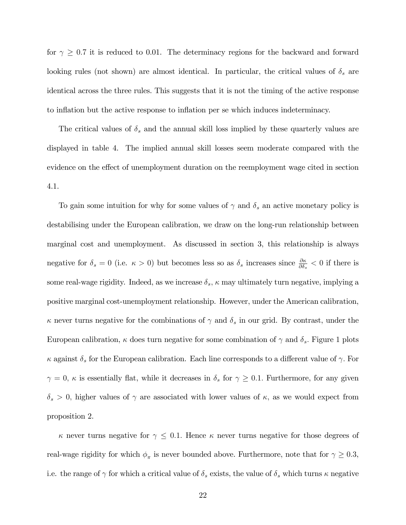for  $\gamma \geq 0.7$  it is reduced to 0.01. The determinacy regions for the backward and forward looking rules (not shown) are almost identical. In particular, the critical values of  $\delta_s$  are identical across the three rules. This suggests that it is not the timing of the active response to inflation but the active response to inflation per se which induces indeterminacy.

The critical values of  $\delta_s$  and the annual skill loss implied by these quarterly values are displayed in table 4. The implied annual skill losses seem moderate compared with the evidence on the effect of unemployment duration on the reemployment wage cited in section 4.1.

To gain some intuition for why for some values of  $\gamma$  and  $\delta_s$  an active monetary policy is destabilising under the European calibration, we draw on the long-run relationship between marginal cost and unemployment. As discussed in section 3, this relationship is always negative for  $\delta_s = 0$  (i.e.  $\kappa > 0$ ) but becomes less so as  $\delta_s$  increases since  $\frac{\partial \kappa}{\partial \delta_s} < 0$  if there is some real-wage rigidity. Indeed, as we increase  $\delta_s$ ,  $\kappa$  may ultimately turn negative, implying a positive marginal cost-unemployment relationship. However, under the American calibration,  $\kappa$  never turns negative for the combinations of  $\gamma$  and  $\delta_s$  in our grid. By contrast, under the European calibration,  $\kappa$  does turn negative for some combination of  $\gamma$  and  $\delta_s$ . Figure 1 plots  $\kappa$  against  $\delta_s$  for the European calibration. Each line corresponds to a different value of  $\gamma$ . For  $\gamma = 0$ ,  $\kappa$  is essentially flat, while it decreases in  $\delta_s$  for  $\gamma \geq 0.1$ . Furthermore, for any given  $\delta_s > 0$ , higher values of  $\gamma$  are associated with lower values of  $\kappa$ , as we would expect from proposition 2.

 $\kappa$  never turns negative for  $\gamma \leq 0.1$ . Hence  $\kappa$  never turns negative for those degrees of real-wage rigidity for which  $\phi_{\pi}$  is never bounded above. Furthermore, note that for  $\gamma \geq 0.3$ , i.e. the range of  $\gamma$  for which a critical value of  $\delta_s$  exists, the value of  $\delta_s$  which turns  $\kappa$  negative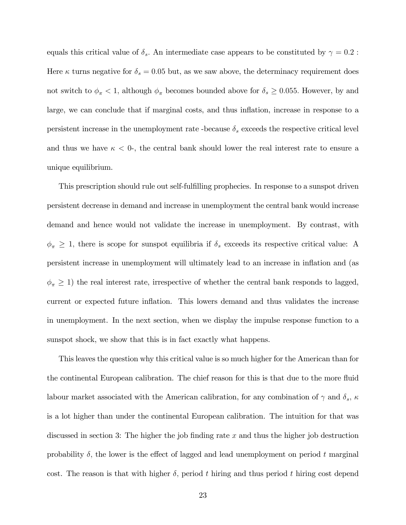equals this critical value of  $\delta_s$ . An intermediate case appears to be constituted by  $\gamma = 0.2$ : Here  $\kappa$  turns negative for  $\delta_s = 0.05$  but, as we saw above, the determinacy requirement does not switch to  $\phi_{\pi}$  < 1, although  $\phi_{\pi}$  becomes bounded above for  $\delta_{s} \geq 0.055$ . However, by and large, we can conclude that if marginal costs, and thus inflation, increase in response to a persistent increase in the unemployment rate-because  $\delta_s$  exceeds the respective critical level and thus we have  $\kappa < 0$ , the central bank should lower the real interest rate to ensure a unique equilibrium.

This prescription should rule out self-fulfilling prophecies. In response to a sunspot driven persistent decrease in demand and increase in unemployment the central bank would increase demand and hence would not validate the increase in unemployment. By contrast, with  $\phi_{\pi} \geq 1$ , there is scope for sunspot equilibria if  $\delta_{s}$  exceeds its respective critical value: A persistent increase in unemployment will ultimately lead to an increase in ináation and (as  $\phi_{\pi} \geq 1$ ) the real interest rate, irrespective of whether the central bank responds to lagged, current or expected future inflation. This lowers demand and thus validates the increase in unemployment. In the next section, when we display the impulse response function to a sunspot shock, we show that this is in fact exactly what happens.

This leaves the question why this critical value is so much higher for the American than for the continental European calibration. The chief reason for this is that due to the more fluid labour market associated with the American calibration, for any combination of  $\gamma$  and  $\delta_s$ ,  $\kappa$ is a lot higher than under the continental European calibration. The intuition for that was discussed in section 3: The higher the job finding rate x and thus the higher job destruction probability  $\delta$ , the lower is the effect of lagged and lead unemployment on period t marginal cost. The reason is that with higher  $\delta$ , period t hiring and thus period t hiring cost depend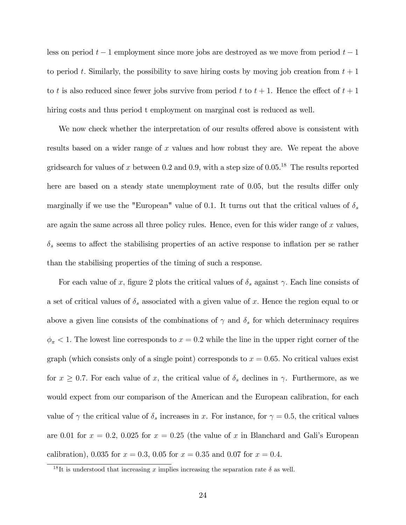less on period  $t-1$  employment since more jobs are destroyed as we move from period  $t-1$ to period t. Similarly, the possibility to save hiring costs by moving job creation from  $t + 1$ to t is also reduced since fewer jobs survive from period t to  $t + 1$ . Hence the effect of  $t + 1$ hiring costs and thus period t employment on marginal cost is reduced as well.

We now check whether the interpretation of our results offered above is consistent with results based on a wider range of x values and how robust they are. We repeat the above gridsearch for values of x between 0.2 and 0.9, with a step size of  $0.05^{18}$ . The results reported here are based on a steady state unemployment rate of 0.05, but the results differ only marginally if we use the "European" value of 0.1. It turns out that the critical values of  $\delta_s$ are again the same across all three policy rules. Hence, even for this wider range of  $x$  values,  $\delta_s$  seems to affect the stabilising properties of an active response to inflation per se rather than the stabilising properties of the timing of such a response.

For each value of x, figure 2 plots the critical values of  $\delta_s$  against  $\gamma$ . Each line consists of a set of critical values of  $\delta_s$  associated with a given value of x. Hence the region equal to or above a given line consists of the combinations of  $\gamma$  and  $\delta_s$  for which determinacy requires  $\phi_{\pi}$  < 1. The lowest line corresponds to  $x = 0.2$  while the line in the upper right corner of the graph (which consists only of a single point) corresponds to  $x = 0.65$ . No critical values exist for  $x \geq 0.7$ . For each value of x, the critical value of  $\delta_s$  declines in  $\gamma$ . Furthermore, as we would expect from our comparison of the American and the European calibration, for each value of  $\gamma$  the critical value of  $\delta_s$  increases in x. For instance, for  $\gamma = 0.5$ , the critical values are 0.01 for  $x = 0.2$ , 0.025 for  $x = 0.25$  (the value of x in Blanchard and Gali's European calibration), 0.035 for  $x = 0.3$ , 0.05 for  $x = 0.35$  and 0.07 for  $x = 0.4$ .

<sup>&</sup>lt;sup>18</sup>It is understood that increasing x implies increasing the separation rate  $\delta$  as well.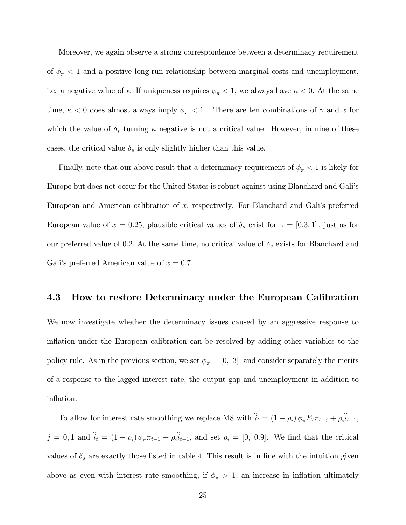Moreover, we again observe a strong correspondence between a determinacy requirement of  $\phi_{\pi}$  < 1 and a positive long-run relationship between marginal costs and unemployment, i.e. a negative value of  $\kappa$ . If uniqueness requires  $\phi_{\pi} < 1$ , we always have  $\kappa < 0$ . At the same time,  $\kappa < 0$  does almost always imply  $\phi_\pi < 1$  . There are ten combinations of  $\gamma$  and  $x$  for which the value of  $\delta_s$  turning  $\kappa$  negative is not a critical value. However, in nine of these cases, the critical value  $\delta_s$  is only slightly higher than this value.

Finally, note that our above result that a determinacy requirement of  $\phi_{\pi}$  < 1 is likely for Europe but does not occur for the United States is robust against using Blanchard and Galiís European and American calibration of x, respectively. For Blanchard and Gali's preferred European value of  $x = 0.25$ , plausible critical values of  $\delta_s$  exist for  $\gamma = [0.3, 1]$ , just as for our preferred value of 0.2. At the same time, no critical value of  $\delta_s$  exists for Blanchard and Gali's preferred American value of  $x = 0.7$ .

#### 4.3 How to restore Determinacy under the European Calibration

We now investigate whether the determinacy issues caused by an aggressive response to inflation under the European calibration can be resolved by adding other variables to the policy rule. As in the previous section, we set  $\phi_{\pi} = [0, 3]$  and consider separately the merits of a response to the lagged interest rate, the output gap and unemployment in addition to inflation.

To allow for interest rate smoothing we replace M8 with  $i_t = (1 - \rho_i) \phi_{\pi} E_t \pi_{t+j} + \rho_i i_{t-1}$ ,  $j = 0, 1$  and  $i_t = (1 - \rho_i) \phi_{\pi} \pi_{t-1} + \rho_i i_{t-1}$ , and set  $\rho_i = [0, 0.9]$ . We find that the critical values of  $\delta_s$  are exactly those listed in table 4. This result is in line with the intuition given above as even with interest rate smoothing, if  $\phi_{\pi} > 1$ , an increase in inflation ultimately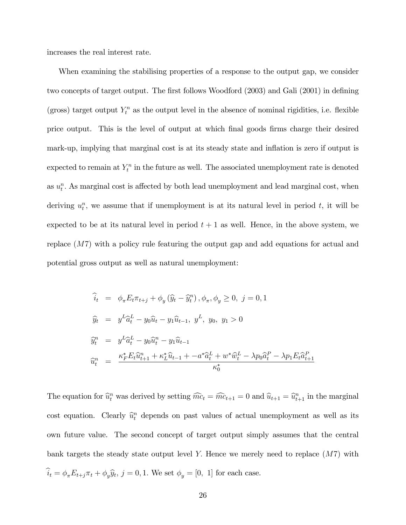increases the real interest rate.

When examining the stabilising properties of a response to the output gap, we consider two concepts of target output. The first follows Woodford (2003) and Gali (2001) in defining (gross) target output  $Y_t^n$  as the output level in the absence of nominal rigidities, i.e. flexible price output. This is the level of output at which final goods firms charge their desired mark-up, implying that marginal cost is at its steady state and inflation is zero if output is expected to remain at  $Y_t^n$  in the future as well. The associated unemployment rate is denoted as  $u_t^n$ . As marginal cost is affected by both lead unemployment and lead marginal cost, when deriving  $u_t^n$ , we assume that if unemployment is at its natural level in period t, it will be expected to be at its natural level in period  $t + 1$  as well. Hence, in the above system, we replace (M7) with a policy rule featuring the output gap and add equations for actual and potential gross output as well as natural unemployment:

$$
\begin{aligned}\n\hat{i}_t &= \phi_\pi E_t \pi_{t+j} + \phi_y (\hat{y}_t - \hat{y}_t^n), \phi_\pi, \phi_y \ge 0, \ j = 0, 1 \\
\hat{y}_t &= y^L \hat{a}_t^L - y_0 \hat{u}_t - y_1 \hat{u}_{t-1}, \ y^L, \ y_0, \ y_1 > 0 \\
\hat{y}_t^n &= y^L \hat{a}_t^L - y_0 \hat{u}_t^n - y_1 \hat{u}_{t-1} \\
\hat{u}_t^n &= \frac{\kappa_F^* E_t \hat{u}_{t+1}^n + \kappa_L^* \hat{u}_{t-1} + -a^* \hat{a}_t^L + w^* \hat{w}_t^L - \lambda p_0 \hat{a}_t^P - \lambda p_1 E_t \hat{a}_{t+1}^P}{\kappa_0^*}\n\end{aligned}
$$

The equation for  $\hat{u}_t^n$  was derived by setting  $\hat{m}c_t = \hat{m}c_{t+1} = 0$  and  $\hat{u}_{t+1} = \hat{u}_{t+1}^n$  in the marginal cost equation. Clearly  $\hat{u}_t^n$  depends on past values of actual unemployment as well as its own future value. The second concept of target output simply assumes that the central bank targets the steady state output level Y. Hence we merely need to replace  $(M7)$  with  $i_t = \phi_\pi E_{t+j} \pi_t + \phi_y \hat{y}_t$ ,  $j = 0, 1$ . We set  $\phi_y = [0, 1]$  for each case.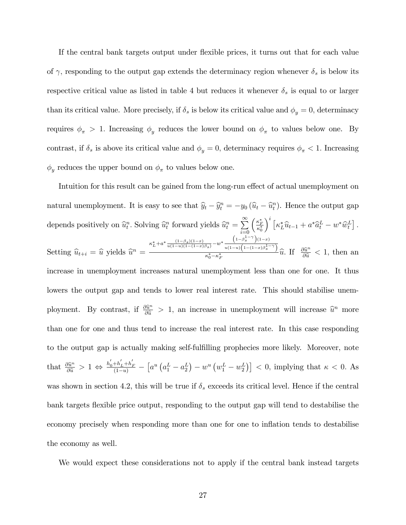If the central bank targets output under flexible prices, it turns out that for each value of  $\gamma$ , responding to the output gap extends the determinacy region whenever  $\delta_s$  is below its respective critical value as listed in table 4 but reduces it whenever  $\delta_s$  is equal to or larger than its critical value. More precisely, if  $\delta_s$  is below its critical value and  $\phi_y = 0$ , determinacy requires  $\phi_{\pi} > 1$ . Increasing  $\phi_{y}$  reduces the lower bound on  $\phi_{\pi}$  to values below one. By contrast, if  $\delta_s$  is above its critical value and  $\phi_y = 0$ , determinacy requires  $\phi_\pi < 1$ . Increasing  $\phi_y$  reduces the upper bound on  $\phi_\pi$  to values below one.

Intuition for this result can be gained from the long-run effect of actual unemployment on natural unemployment. It is easy to see that  $\hat{y}_t - \hat{y}_t^n = -y_0 (\hat{u}_t - \hat{u}_t^n)$ . Hence the output gap depends positively on  $\widehat{u}_t^n$ . Solving  $\widehat{u}_t^n$  forward yields  $\widehat{u}_t^n = \sum_{i=0}^{\infty}$  $i=0$  $\left(\frac{\kappa_F^*}{\kappa_0^*}\right.$  $\int_0^i \left[ \kappa_L^* \widehat{u}_{t-1} + a^* \widehat{a}_t^L - w^* \widehat{w}_t^L \right].$ Setting  $\widehat{u}_{t+i} = \widehat{u}$  yields  $\widehat{u}^n =$  $\kappa_L^* + a^* \frac{(1-\beta_s)(1-x)}{u(1-u)(1-(1-x)\beta_s)} - w^*$  $\left(1-\beta_s^{1-\gamma}\right)(1-x)$  $u(1-u)\left(1-(1-x)\beta_{s}^{1-\gamma}\right)$  $\frac{1}{\kappa_0^* - \kappa_F^*}$   $\frac{u(1-u)(1-(1-x)\beta_s^* - r)}{u(1-x)\beta_s}$   $\hat{u}$ . If  $\frac{\partial \hat{u}^n}{\partial \hat{u}} < 1$ , then an increase in unemployment increases natural unemployment less than one for one. It thus lowers the output gap and tends to lower real interest rate. This should stabilise unemployment. By contrast, if  $\frac{\partial \hat{u}^n}{\partial \hat{u}} > 1$ , an increase in unemployment will increase  $\hat{u}^n$  more than one for one and thus tend to increase the real interest rate. In this case responding to the output gap is actually making self-fulfilling prophecies more likely. Moreover, note that  $\frac{\partial \hat{u}^n}{\partial \hat{u}} > 1 \Leftrightarrow \frac{h'_0 + h'_L + h'_F}{(1-u)} - \left[ a^u \left( a_1^L - a_2^L \right) - w^u \left( w_1^L - w_2^L \right) \right] < 0$ , implying that  $\kappa < 0$ . As was shown in section 4.2, this will be true if  $\delta_s$  exceeds its critical level. Hence if the central bank targets flexible price output, responding to the output gap will tend to destabilise the economy precisely when responding more than one for one to inflation tends to destabilise the economy as well.

We would expect these considerations not to apply if the central bank instead targets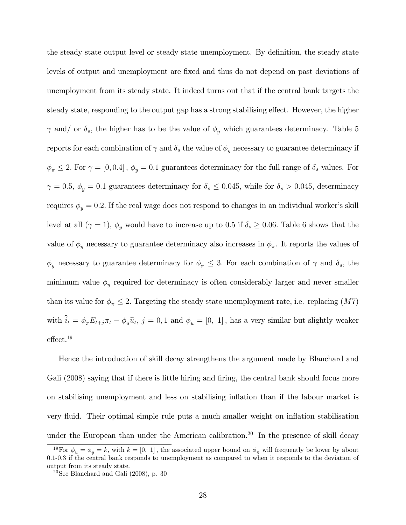the steady state output level or steady state unemployment. By definition, the steady state levels of output and unemployment are Öxed and thus do not depend on past deviations of unemployment from its steady state. It indeed turns out that if the central bank targets the steady state, responding to the output gap has a strong stabilising effect. However, the higher  $\gamma$  and/ or  $\delta_s$ , the higher has to be the value of  $\phi_y$  which guarantees determinacy. Table 5 reports for each combination of  $\gamma$  and  $\delta_s$  the value of  $\phi_y$  necessary to guarantee determinacy if  $\phi_{\pi} \leq 2$ . For  $\gamma = [0, 0.4]$ ,  $\phi_y = 0.1$  guarantees determinacy for the full range of  $\delta_s$  values. For  $\gamma$  = 0.5,  $\phi_y$  = 0.1 guarantees determinacy for  $\delta_s$   $\leq$  0.045, while for  $\delta_s$   $>$  0.045, determinacy requires  $\phi_y = 0.2$ . If the real wage does not respond to changes in an individual worker's skill level at all  $(\gamma = 1)$ ,  $\phi_y$  would have to increase up to 0.5 if  $\delta_s \geq 0.06$ . Table 6 shows that the value of  $\phi_y$  necessary to guarantee determinacy also increases in  $\phi_\pi$ . It reports the values of  $\phi_y$  necessary to guarantee determinacy for  $\phi_{\pi} \leq 3$ . For each combination of  $\gamma$  and  $\delta_s$ , the minimum value  $\phi_y$  required for determinacy is often considerably larger and never smaller than its value for  $\phi_{\pi} \leq 2$ . Targeting the steady state unemployment rate, i.e. replacing  $(M7)$ with  $i_t = \phi_\pi E_{t+j} \pi_t - \phi_u \widehat{u}_t$ ,  $j = 0, 1$  and  $\phi_u = [0, 1]$ , has a very similar but slightly weaker  $effect.<sup>19</sup>$ 

Hence the introduction of skill decay strengthens the argument made by Blanchard and Gali (2008) saying that if there is little hiring and firing, the central bank should focus more on stabilising unemployment and less on stabilising inflation than if the labour market is very áuid. Their optimal simple rule puts a much smaller weight on ináation stabilisation under the European than under the American calibration.<sup>20</sup> In the presence of skill decay

<sup>&</sup>lt;sup>19</sup>For  $\phi_u = \phi_u = k$ , with  $k = [0, 1]$ , the associated upper bound on  $\phi_{\pi}$  will frequently be lower by about 0.1-0.3 if the central bank responds to unemployment as compared to when it responds to the deviation of output from its steady state.

 $20$ See Blanchard and Gali (2008), p. 30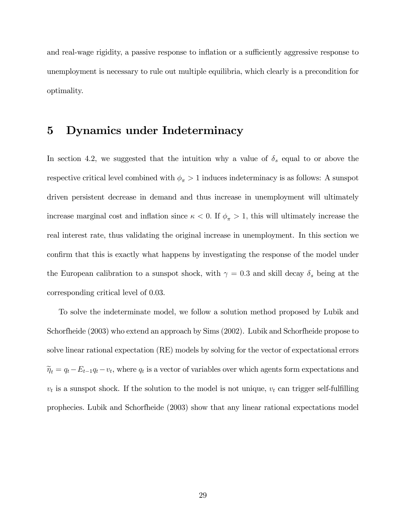and real-wage rigidity, a passive response to inflation or a sufficiently aggressive response to unemployment is necessary to rule out multiple equilibria, which clearly is a precondition for optimality.

# 5 Dynamics under Indeterminacy

In section 4.2, we suggested that the intuition why a value of  $\delta_s$  equal to or above the respective critical level combined with  $\phi_{\pi} > 1$  induces indeterminacy is as follows: A sunspot driven persistent decrease in demand and thus increase in unemployment will ultimately increase marginal cost and inflation since  $\kappa < 0$ . If  $\phi_{\pi} > 1$ , this will ultimately increase the real interest rate, thus validating the original increase in unemployment. In this section we confirm that this is exactly what happens by investigating the response of the model under the European calibration to a sunspot shock, with  $\gamma = 0.3$  and skill decay  $\delta_s$  being at the corresponding critical level of 0.03.

To solve the indeterminate model, we follow a solution method proposed by Lubik and Schorfheide (2003) who extend an approach by Sims (2002). Lubik and Schorfheide propose to solve linear rational expectation (RE) models by solving for the vector of expectational errors  $\widetilde{\eta}_t = q_t - E_{t-1}q_t - v_t$ , where  $q_t$  is a vector of variables over which agents form expectations and  $v_t$  is a sunspot shock. If the solution to the model is not unique,  $v_t$  can trigger self-fulfilling prophecies. Lubik and Schorfheide (2003) show that any linear rational expectations model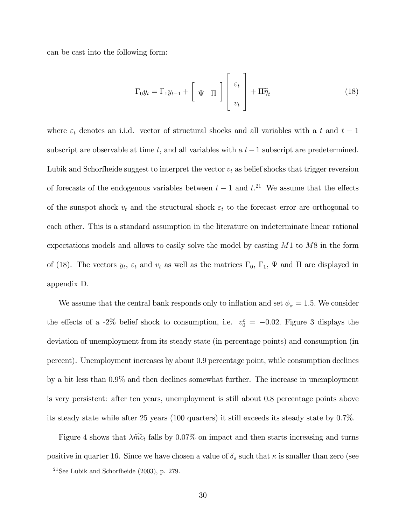can be cast into the following form:

$$
\Gamma_0 y_t = \Gamma_1 y_{t-1} + \left[ \Psi \Pi \right] \left[ \begin{array}{c} \varepsilon_t \\ v_t \end{array} \right] + \Pi \widetilde{\eta}_t \tag{18}
$$

where  $\varepsilon_t$  denotes an i.i.d. vector of structural shocks and all variables with a t and  $t-1$ subscript are observable at time t, and all variables with a  $t-1$  subscript are predetermined. Lubik and Schorfheide suggest to interpret the vector  $v_t$  as belief shocks that trigger reversion of forecasts of the endogenous variables between  $t-1$  and  $t$ <sup>21</sup>. We assume that the effects of the sunspot shock  $v_t$  and the structural shock  $\varepsilon_t$  to the forecast error are orthogonal to each other. This is a standard assumption in the literature on indeterminate linear rational expectations models and allows to easily solve the model by casting  $M1$  to  $M8$  in the form of (18). The vectors  $y_t$ ,  $\varepsilon_t$  and  $v_t$  as well as the matrices  $\Gamma_0$ ,  $\Gamma_1$ ,  $\Psi$  and  $\Pi$  are displayed in appendix D.

We assume that the central bank responds only to inflation and set  $\phi_{\pi} = 1.5$ . We consider the effects of a -2% belief shock to consumption, i.e.  $v_0^c = -0.02$ . Figure 3 displays the deviation of unemployment from its steady state (in percentage points) and consumption (in percent). Unemployment increases by about 0.9 percentage point, while consumption declines by a bit less than 0.9% and then declines somewhat further. The increase in unemployment is very persistent: after ten years, unemployment is still about 0.8 percentage points above its steady state while after 25 years (100 quarters) it still exceeds its steady state by 0.7%.

Figure 4 shows that  $\lambda \widehat{mc}_t$  falls by 0.07% on impact and then starts increasing and turns positive in quarter 16. Since we have chosen a value of  $\delta_s$  such that  $\kappa$  is smaller than zero (see

<sup>&</sup>lt;sup>21</sup>See Lubik and Schorfheide  $(2003)$ , p. 279.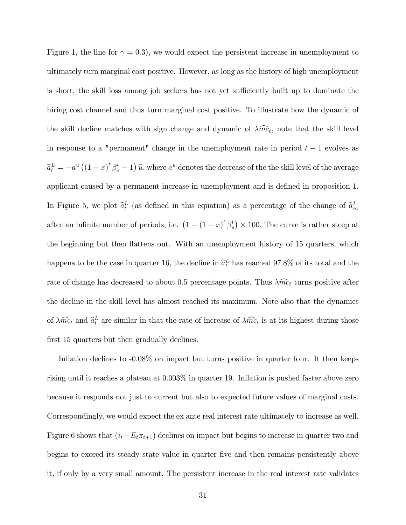Figure 1, the line for  $\gamma = 0.3$ , we would expect the persistent increase in unemployment to ultimately turn marginal cost positive. However, as long as the history of high unemployment is short, the skill loss among job seekers has not yet sufficiently built up to dominate the hiring cost channel and thus turn marginal cost positive. To illustrate how the dynamic of the skill decline matches with sign change and dynamic of  $\lambda \widehat{mc}_t$ , note that the skill level in response to a "permanent" change in the unemployment rate in period  $t - 1$  evolves as  $\widehat{a}_t^L = -a^u ((1-x)^t \beta_s^t - 1) \widehat{u}$ , where  $a^u$  denotes the decrease of the the skill level of the average applicant caused by a permanent increase in unemployment and is defined in proposition 1. In Figure 5, we plot  $\hat{a}_t^L$  (as defined in this equation) as a percentage of the change of  $\hat{a}_{\infty}^L$  $\infty$ after an infinite number of periods, i.e.  $(1 - (1 - x)^t) \beta_s^t$  $s<sup>t</sup>$   $\times$  100. The curve is rather steep at the beginning but then flattens out. With an unemployment history of 15 quarters, which happens to be the case in quarter 16, the decline in  $\hat{a}_t^L$  has reached 97.8% of its total and the rate of change has decreased to about 0.5 percentage points. Thus  $\lambda \widehat{mc}_t$  turns positive after the decline in the skill level has almost reached its maximum. Note also that the dynamics of  $\lambda \widehat{mc}_t$  and  $\widehat{a}_t^L$  are similar in that the rate of increase of  $\lambda \widehat{mc}_t$  is at its highest during those first 15 quarters but then gradually declines.

Inflation declines to  $-0.08\%$  on impact but turns positive in quarter four. It then keeps rising until it reaches a plateau at  $0.003\%$  in quarter 19. Inflation is pushed faster above zero because it responds not just to current but also to expected future values of marginal costs. Correspondingly, we would expect the ex ante real interest rate ultimately to increase as well. Figure 6 shows that  $(i_t - E_t \pi_{t+1})$  declines on impact but begins to increase in quarter two and begins to exceed its steady state value in quarter Öve and then remains persistently above it, if only by a very small amount. The persistent increase in the real interest rate validates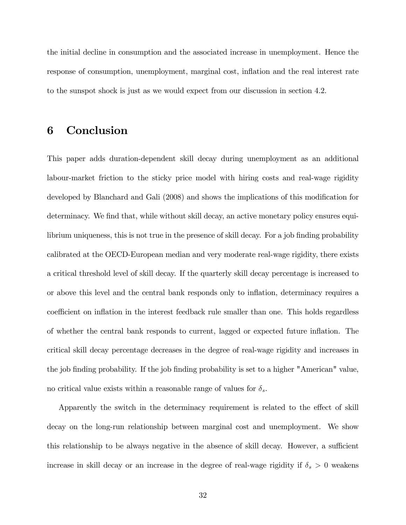the initial decline in consumption and the associated increase in unemployment. Hence the response of consumption, unemployment, marginal cost, inflation and the real interest rate to the sunspot shock is just as we would expect from our discussion in section 4.2.

# 6 Conclusion

This paper adds duration-dependent skill decay during unemployment as an additional labour-market friction to the sticky price model with hiring costs and real-wage rigidity developed by Blanchard and Gali (2008) and shows the implications of this modification for determinacy. We find that, while without skill decay, an active monetary policy ensures equilibrium uniqueness, this is not true in the presence of skill decay. For a job finding probability calibrated at the OECD-European median and very moderate real-wage rigidity, there exists a critical threshold level of skill decay. If the quarterly skill decay percentage is increased to or above this level and the central bank responds only to ináation, determinacy requires a coefficient on inflation in the interest feedback rule smaller than one. This holds regardless of whether the central bank responds to current, lagged or expected future ináation. The critical skill decay percentage decreases in the degree of real-wage rigidity and increases in the job finding probability. If the job finding probability is set to a higher "American" value, no critical value exists within a reasonable range of values for  $\delta_s$ .

Apparently the switch in the determinacy requirement is related to the effect of skill decay on the long-run relationship between marginal cost and unemployment. We show this relationship to be always negative in the absence of skill decay. However, a sufficient increase in skill decay or an increase in the degree of real-wage rigidity if  $\delta_s > 0$  weakens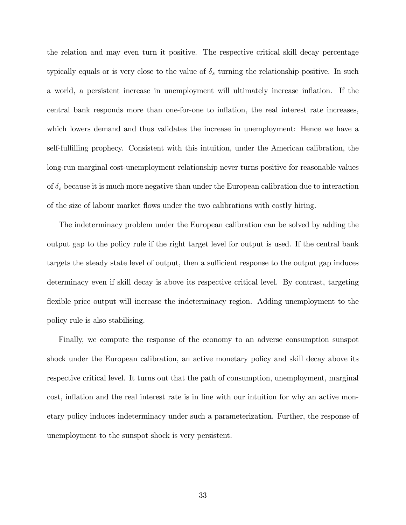the relation and may even turn it positive. The respective critical skill decay percentage typically equals or is very close to the value of  $\delta_s$  turning the relationship positive. In such a world, a persistent increase in unemployment will ultimately increase ináation. If the central bank responds more than one-for-one to inflation, the real interest rate increases, which lowers demand and thus validates the increase in unemployment: Hence we have a self-fulfilling prophecy. Consistent with this intuition, under the American calibration, the long-run marginal cost-unemployment relationship never turns positive for reasonable values of  $\delta_s$  because it is much more negative than under the European calibration due to interaction of the size of labour market áows under the two calibrations with costly hiring.

The indeterminacy problem under the European calibration can be solved by adding the output gap to the policy rule if the right target level for output is used. If the central bank targets the steady state level of output, then a sufficient response to the output gap induces determinacy even if skill decay is above its respective critical level. By contrast, targeting flexible price output will increase the indeterminacy region. Adding unemployment to the policy rule is also stabilising.

Finally, we compute the response of the economy to an adverse consumption sunspot shock under the European calibration, an active monetary policy and skill decay above its respective critical level. It turns out that the path of consumption, unemployment, marginal cost, inflation and the real interest rate is in line with our intuition for why an active monetary policy induces indeterminacy under such a parameterization. Further, the response of unemployment to the sunspot shock is very persistent.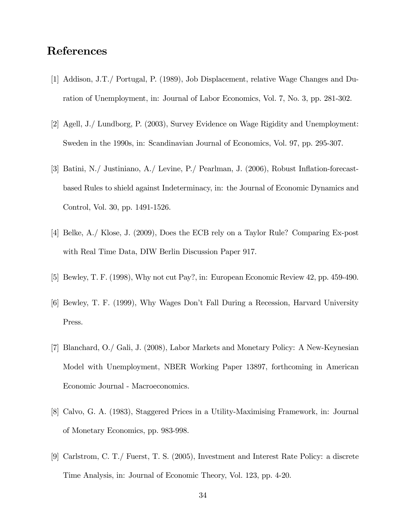### References

- [1] Addison, J.T./ Portugal, P. (1989), Job Displacement, relative Wage Changes and Duration of Unemployment, in: Journal of Labor Economics, Vol. 7, No. 3, pp. 281-302.
- [2] Agell, J./ Lundborg, P. (2003), Survey Evidence on Wage Rigidity and Unemployment: Sweden in the 1990s, in: Scandinavian Journal of Economics, Vol. 97, pp. 295-307.
- [3] Batini, N./ Justiniano, A./ Levine, P./ Pearlman, J. (2006), Robust Ináation-forecastbased Rules to shield against Indeterminacy, in: the Journal of Economic Dynamics and Control, Vol. 30, pp. 1491-1526.
- [4] Belke, A./ Klose, J. (2009), Does the ECB rely on a Taylor Rule? Comparing Ex-post with Real Time Data, DIW Berlin Discussion Paper 917.
- [5] Bewley, T. F. (1998), Why not cut Pay?, in: European Economic Review 42, pp. 459-490.
- [6] Bewley, T. F. (1999), Why Wages Donít Fall During a Recession, Harvard University Press.
- [7] Blanchard, O./ Gali, J. (2008), Labor Markets and Monetary Policy: A New-Keynesian Model with Unemployment, NBER Working Paper 13897, forthcoming in American Economic Journal - Macroeconomics.
- [8] Calvo, G. A. (1983), Staggered Prices in a Utility-Maximising Framework, in: Journal of Monetary Economics, pp. 983-998.
- [9] Carlstrom, C. T./ Fuerst, T. S. (2005), Investment and Interest Rate Policy: a discrete Time Analysis, in: Journal of Economic Theory, Vol. 123, pp. 4-20.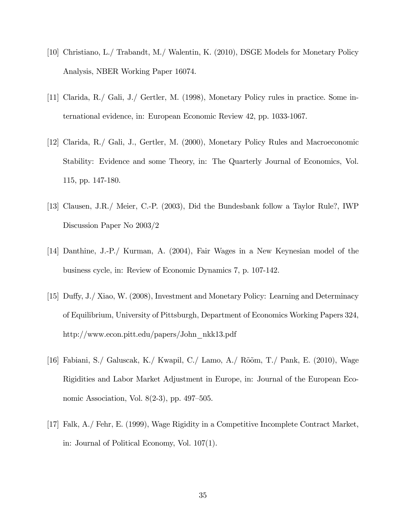- [10] Christiano, L./ Trabandt, M./ Walentin, K. (2010), DSGE Models for Monetary Policy Analysis, NBER Working Paper 16074.
- [11] Clarida, R./ Gali, J./ Gertler, M. (1998), Monetary Policy rules in practice. Some international evidence, in: European Economic Review 42, pp. 1033-1067.
- [12] Clarida, R./ Gali, J., Gertler, M. (2000), Monetary Policy Rules and Macroeconomic Stability: Evidence and some Theory, in: The Quarterly Journal of Economics, Vol. 115, pp. 147-180.
- [13] Clausen, J.R./ Meier, C.-P. (2003), Did the Bundesbank follow a Taylor Rule?, IWP Discussion Paper No 2003/2
- [14] Danthine, J.-P./ Kurman, A. (2004), Fair Wages in a New Keynesian model of the business cycle, in: Review of Economic Dynamics 7, p. 107-142.
- [15] Duffy, J./ Xiao, W. (2008), Investment and Monetary Policy: Learning and Determinacy of Equilibrium, University of Pittsburgh, Department of Economics Working Papers 324, http://www.econ.pitt.edu/papers/John\_nkk13.pdf
- [16] Fabiani, S./ Galuscak, K./ Kwapil, C./ Lamo, A./ Rõõm, T./ Pank, E. (2010), Wage Rigidities and Labor Market Adjustment in Europe, in: Journal of the European Economic Association, Vol. 8 $(2-3)$ , pp. 497–505.
- [17] Falk, A./ Fehr, E. (1999), Wage Rigidity in a Competitive Incomplete Contract Market, in: Journal of Political Economy, Vol. 107(1).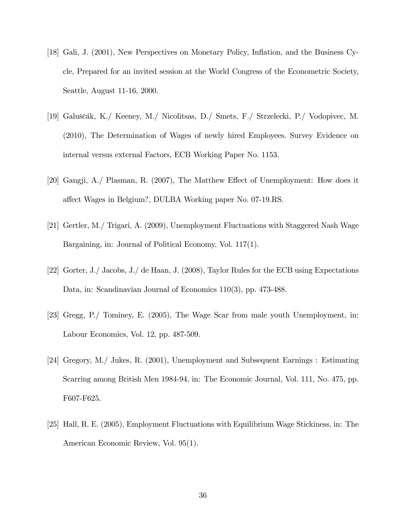- [18] Gali, J. (2001), New Perspectives on Monetary Policy, Ináation, and the Business Cycle, Prepared for an invited session at the World Congress of the Econometric Society, Seattle, August 11-16, 2000.
- [19] Galuščák, K./ Keeney, M./ Nicolitsas, D./ Smets, F./ Strzelecki, P./ Vodopivec, M. (2010), The Determination of Wages of newly hired Employees. Survey Evidence on internal versus external Factors, ECB Working Paper No. 1153.
- [20] Gangji,  $A$ . Plasman, R. (2007), The Matthew Effect of Unemployment: How does it affect Wages in Belgium?, DULBA Working paper No. 07-19.RS.
- [21] Gertler, M./ Trigari, A. (2009), Unemployment Fluctuations with Staggered Nash Wage Bargaining, in: Journal of Political Economy, Vol. 117(1).
- [22] Gorter, J./ Jacobs, J./ de Haan, J. (2008), Taylor Rules for the ECB using Expectations Data, in: Scandinavian Journal of Economics 110(3), pp. 473-488.
- [23] Gregg, P./ Tominey, E. (2005), The Wage Scar from male youth Unemployment, in: Labour Economics, Vol. 12, pp. 487-509.
- [24] Gregory, M./ Jukes, R. (2001), Unemployment and Subsequent Earnings : Estimating Scarring among British Men 1984-94, in: The Economic Journal, Vol. 111, No. 475, pp. F607-F625.
- [25] Hall, R. E. (2005), Employment Fluctuations with Equilibrium Wage Stickiness, in: The American Economic Review, Vol. 95(1).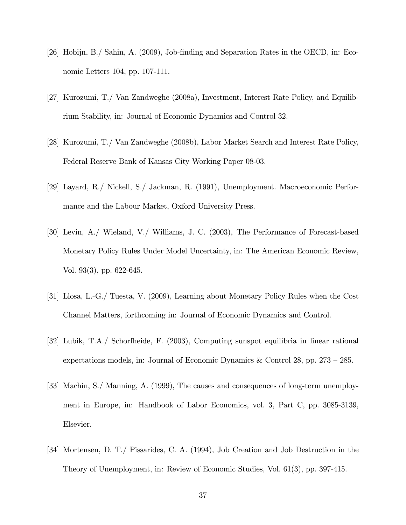- [26] Hobijn, B./ Sahin, A. (2009), Job-Önding and Separation Rates in the OECD, in: Economic Letters 104, pp. 107-111.
- [27] Kurozumi, T./ Van Zandweghe (2008a), Investment, Interest Rate Policy, and Equilibrium Stability, in: Journal of Economic Dynamics and Control 32.
- [28] Kurozumi, T./ Van Zandweghe (2008b), Labor Market Search and Interest Rate Policy, Federal Reserve Bank of Kansas City Working Paper 08-03.
- [29] Layard, R./ Nickell, S./ Jackman, R. (1991), Unemployment. Macroeconomic Performance and the Labour Market, Oxford University Press.
- [30] Levin, A./ Wieland, V./ Williams, J. C. (2003), The Performance of Forecast-based Monetary Policy Rules Under Model Uncertainty, in: The American Economic Review, Vol. 93(3), pp. 622-645.
- [31] Llosa, L.-G./ Tuesta, V. (2009), Learning about Monetary Policy Rules when the Cost Channel Matters, forthcoming in: Journal of Economic Dynamics and Control.
- [32] Lubik, T.A./ Schorfheide, F. (2003), Computing sunspot equilibria in linear rational expectations models, in: Journal of Economic Dynamics & Control 28, pp.  $273 - 285$ .
- [33] Machin, S./ Manning, A. (1999), The causes and consequences of long-term unemployment in Europe, in: Handbook of Labor Economics, vol. 3, Part C, pp. 3085-3139, Elsevier.
- [34] Mortensen, D. T./ Pissarides, C. A. (1994), Job Creation and Job Destruction in the Theory of Unemployment, in: Review of Economic Studies, Vol. 61(3), pp. 397-415.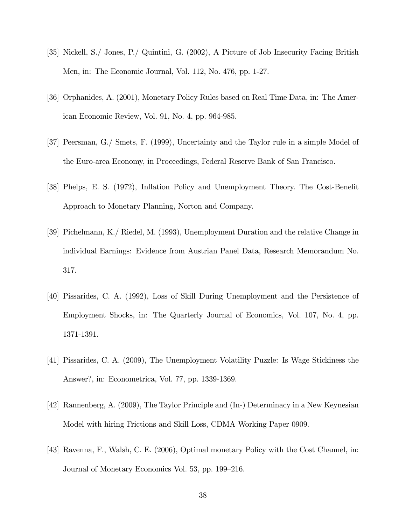- [35] Nickell, S./ Jones, P./ Quintini, G. (2002), A Picture of Job Insecurity Facing British Men, in: The Economic Journal, Vol. 112, No. 476, pp. 1-27.
- [36] Orphanides, A. (2001), Monetary Policy Rules based on Real Time Data, in: The American Economic Review, Vol. 91, No. 4, pp. 964-985.
- [37] Peersman, G./ Smets, F. (1999), Uncertainty and the Taylor rule in a simple Model of the Euro-area Economy, in Proceedings, Federal Reserve Bank of San Francisco.
- [38] Phelps, E. S. (1972), Inflation Policy and Unemployment Theory. The Cost-Benefit Approach to Monetary Planning, Norton and Company.
- [39] Pichelmann, K./ Riedel, M. (1993), Unemployment Duration and the relative Change in individual Earnings: Evidence from Austrian Panel Data, Research Memorandum No. 317.
- [40] Pissarides, C. A. (1992), Loss of Skill During Unemployment and the Persistence of Employment Shocks, in: The Quarterly Journal of Economics, Vol. 107, No. 4, pp. 1371-1391.
- [41] Pissarides, C. A. (2009), The Unemployment Volatility Puzzle: Is Wage Stickiness the Answer?, in: Econometrica, Vol. 77, pp. 1339-1369.
- [42] Rannenberg, A. (2009), The Taylor Principle and (In-) Determinacy in a New Keynesian Model with hiring Frictions and Skill Loss, CDMA Working Paper 0909.
- [43] Ravenna, F., Walsh, C. E. (2006), Optimal monetary Policy with the Cost Channel, in: Journal of Monetary Economics Vol. 53, pp. 199–216.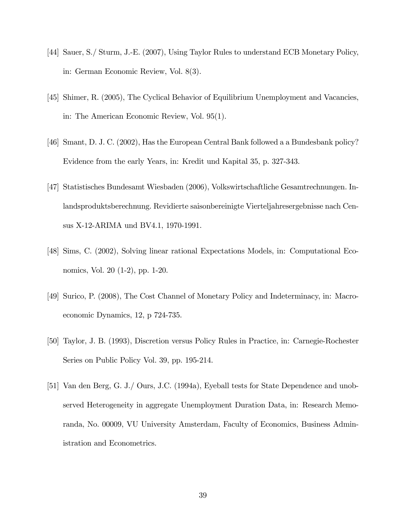- [44] Sauer, S./ Sturm, J.-E. (2007), Using Taylor Rules to understand ECB Monetary Policy, in: German Economic Review, Vol. 8(3).
- [45] Shimer, R. (2005), The Cyclical Behavior of Equilibrium Unemployment and Vacancies, in: The American Economic Review, Vol. 95(1).
- [46] Smant, D. J. C. (2002), Has the European Central Bank followed a a Bundesbank policy? Evidence from the early Years, in: Kredit und Kapital 35, p. 327-343.
- [47] Statistisches Bundesamt Wiesbaden (2006), Volkswirtschaftliche Gesamtrechnungen. Inlandsproduktsberechnung. Revidierte saisonbereinigte Vierteljahresergebnisse nach Census X-12-ARIMA und BV4.1, 1970-1991.
- [48] Sims, C. (2002), Solving linear rational Expectations Models, in: Computational Economics, Vol. 20 (1-2), pp. 1-20.
- [49] Surico, P. (2008), The Cost Channel of Monetary Policy and Indeterminacy, in: Macroeconomic Dynamics, 12, p 724-735.
- [50] Taylor, J. B. (1993), Discretion versus Policy Rules in Practice, in: Carnegie-Rochester Series on Public Policy Vol. 39, pp. 195-214.
- [51] Van den Berg, G. J./ Ours, J.C. (1994a), Eyeball tests for State Dependence and unobserved Heterogeneity in aggregate Unemployment Duration Data, in: Research Memoranda, No. 00009, VU University Amsterdam, Faculty of Economics, Business Administration and Econometrics.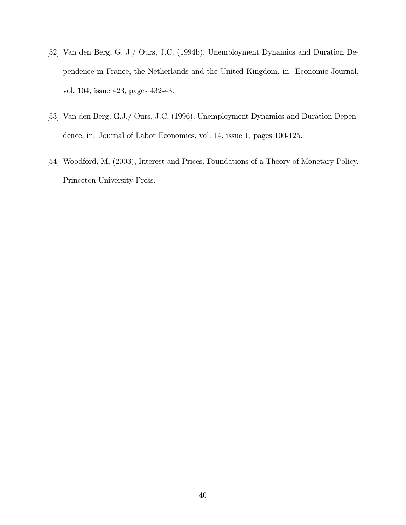- [52] Van den Berg, G. J./ Ours, J.C. (1994b), Unemployment Dynamics and Duration Dependence in France, the Netherlands and the United Kingdom, in: Economic Journal, vol. 104, issue 423, pages 432-43.
- [53] Van den Berg, G.J./ Ours, J.C. (1996), Unemployment Dynamics and Duration Dependence, in: Journal of Labor Economics, vol. 14, issue 1, pages 100-125.
- [54] Woodford, M. (2003), Interest and Prices. Foundations of a Theory of Monetary Policy. Princeton University Press.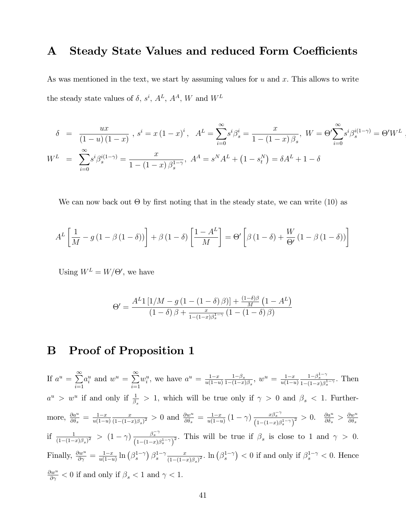#### A Steady State Values and reduced Form Coefficients

As was mentioned in the text, we start by assuming values for  $u$  and  $x$ . This allows to write the steady state values of  $\delta$ ,  $s^i$ ,  $A^L$ ,  $A^A$ , W and  $W^L$ 

$$
\delta = \frac{ux}{(1-u)(1-x)}, s^i = x(1-x)^i, A^L = \sum_{i=0}^{\infty} s^i \beta_s^i = \frac{x}{1-(1-x)\beta_s}, W = \Theta' \sum_{i=0}^{\infty} s^i \beta_s^{i(1-\gamma)} = \Theta' W^L
$$
  

$$
W^L = \sum_{i=0}^{\infty} s^i \beta_s^{i(1-\gamma)} = \frac{x}{1-(1-x)\beta_s^{1-\gamma}}, A^A = s^N A^L + (1-s_t^N) = \delta A^L + 1 - \delta
$$

,

We can now back out  $\Theta$  by first noting that in the steady state, we can write (10) as

$$
A^{L}\left[\frac{1}{M} - g\left(1 - \beta\left(1 - \delta\right)\right)\right] + \beta\left(1 - \delta\right)\left[\frac{1 - A^{L}}{M}\right] = \Theta'\left[\beta\left(1 - \delta\right) + \frac{W}{\Theta'}\left(1 - \beta\left(1 - \delta\right)\right)\right]
$$

Using  $W^L = W/\Theta'$ , we have

$$
\Theta' = \frac{A^L 1 \left[ 1/M - g \left( 1 - \left( 1 - \delta \right) \beta \right) \right] + \frac{(1 - \delta)\beta}{M} \left( 1 - A^L \right)}{\left( 1 - \delta \right) \beta + \frac{x}{1 - (1 - x)\beta_s^{1 - \gamma}} \left( 1 - \left( 1 - \delta \right) \beta \right)}
$$

### B Proof of Proposition 1

If  $a^u = \sum^{\infty}$  $i=1$  $a_i^u$  and  $w^u = \sum_{n=1}^{\infty}$  $i=1$  $w_i^u$ , we have  $a^u = \frac{1-x}{u(1-u)}$  $u(1-u)$  $\frac{1-\beta_s}{}$  $\frac{1-\beta_s}{1-(1-x)\beta_s}, w^u = \frac{1-x}{u(1-u)}$  $u(1-u)$  $\frac{1-\beta_s^{1-\gamma}}{1-(1-x)\beta_s^{1-\gamma}}$ . Then  $a^u > w^u$  if and only if  $\frac{1}{\beta_s} > 1$ , which will be true only if  $\gamma > 0$  and  $\beta_s < 1$ . Furthermore,  $\frac{\partial a^u}{\partial \delta_s} = \frac{1-x}{u(1-u)}$  $u(1-u)$ x  $\frac{x}{(1-(1-x)\beta_s)^2} > 0$  and  $\frac{\partial w^u}{\partial \delta_s} = \frac{1-x}{u(1-u)}$  $\frac{1-x}{u(1-u)}\left(1-\gamma\right)\frac{x\beta_s^{-\gamma}}{\left(1-(1-x)\beta_s^{1-\gamma}\right)^2} > 0.$   $\frac{\partial a^u}{\partial \delta_s}$  $\frac{\partial a^u}{\partial \delta_s} > \frac{\partial w^u}{\partial \delta_s}$  $\partial \delta_s$ if  $\frac{1}{(1-(1-x)\beta_s)^2}$  >  $(1-\gamma)\frac{\beta_s^{-\gamma}}{(1-(1-x)\beta_s^{1-\gamma})^2}$ . This will be true if  $\beta_s$  is close to 1 and  $\gamma > 0$ . Finally,  $\frac{\partial w^u}{\partial \gamma} = \frac{1-x}{u(1-u)}$  $\frac{1-x}{u(1-u)} \ln (\beta_s^{1-\gamma}) \beta_s^{1-\gamma} \frac{x}{(1-(1-x))}$  $\frac{x}{(1-(1-x)\beta_s)^2}$ .  $\ln(\beta_s^{1-\gamma})$  < 0 if and only if  $\beta_s^{1-\gamma}$  < 0. Hence  $\frac{\partial w^u}{\partial \gamma}$  < 0 if and only if  $\beta_s$  < 1 and  $\gamma$  < 1.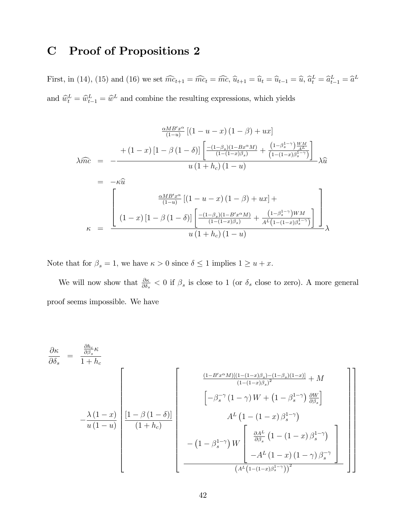### C Proof of Propositions 2

First, in (14), (15) and (16) we set  $\widehat{mc}_{t+1} = \widehat{mc}_t = \widehat{mc}$ ,  $\widehat{u}_{t+1} = \widehat{u}_t = \widehat{u}_{t-1} = \widehat{u}$ ,  $\widehat{a}_t^L = \widehat{a}_{t-1}^L = \widehat{a}^L$ and  $\hat{w}_t^L = \hat{w}_{t-1}^L = \hat{w}^L$  and combine the resulting expressions, which yields

$$
\frac{\alpha_{AB'x^{\alpha}}}{(1-u)} \left[ (1-u-x) (1-\beta) + ux \right]
$$
  
\n
$$
\lambda \widehat{mc} = -\frac{\left[ (1-x) (1-\beta)(1-\beta) \right] \left[ \frac{-(1-\beta_s)(1-Bx^{\alpha}M)}{(1-(1-x)\beta_s)} + \frac{(1-\beta_s^{1-\gamma})\frac{WM}{A^L}}{(1-(1-x)\beta_s^{1-\gamma})} \right]}{u (1+h_c) (1-u)} \lambda \widehat{u}
$$
  
\n
$$
= -\kappa \widehat{u}
$$
  
\n
$$
\frac{\alpha_{AB'x^{\alpha}}}{(1-u)} \left[ (1-u-x)(1-\beta) + ux \right] + \frac{\left[ (1-\beta_s)(1-B'x^{\alpha}M) + \frac{(1-\beta_s^{1-\gamma})WM}{(1-(1-x)\beta_s)} \right]}{(1+\beta_s)(1-u)} \lambda
$$
  
\n
$$
\kappa = \frac{u (1+h_c) (1-u)}{u (1+h_c) (1-u)}
$$

Note that for  $\beta_s = 1$ , we have  $\kappa > 0$  since  $\delta \leq 1$  implies  $1 \geq u + x$ .

We will now show that  $\frac{\partial \kappa}{\partial \delta_s} < 0$  if  $\beta_s$  is close to 1 (or  $\delta_s$  close to zero). A more general proof seems impossible. We have

$$
\frac{\partial \kappa}{\partial \delta_s} = \frac{\frac{\partial h_c}{\partial \beta_s} \kappa}{1 + h_c}
$$
\n
$$
-\frac{\lambda (1 - x)}{u (1 - u)} \left[ \frac{1 - \beta (1 - \delta)}{(1 + h_c)} \left[ -\beta_s^{-\gamma} (1 - \gamma) W + (1 - \beta_s^{1 - \gamma}) \frac{\partial W}{\partial \beta_s} \right] - (1 - u) \left[ \frac{1 - \beta (1 - \delta)}{(1 + h_c)} \left[ -\beta_s^{-\gamma} (1 - \gamma) W + (1 - \beta_s^{1 - \gamma}) \frac{\partial W}{\partial \beta_s} \right] - (1 - \beta_s^{1 - \gamma}) W \left[ \frac{\partial A^L}{\partial \beta_s} (1 - (1 - x) \beta_s^{1 - \gamma}) \right] - (1 - \beta_s^{1 - \gamma}) W \left[ \frac{\partial A^L}{\partial \beta_s} (1 - (1 - x) (1 - \gamma) \beta_s^{-\gamma}) \right] - A^L (1 - x) (1 - \gamma) \beta_s^{-\gamma} \right]
$$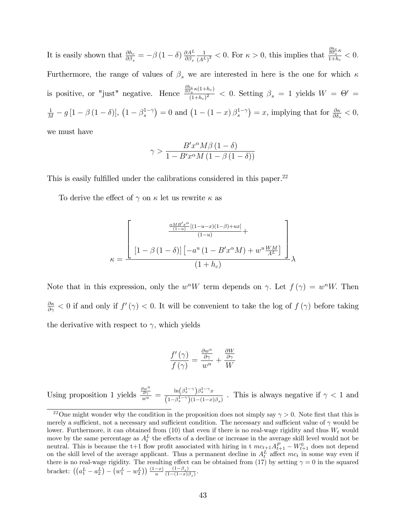It is easily shown that  $\frac{\partial h_c}{\partial \beta_s} = -\beta (1 - \delta) \frac{\partial A^L}{\partial \beta_s}$  $\partial \beta_{s}$ 1  $\frac{1}{(A^L)^2}$  < 0. For  $\kappa > 0$ , this implies that  $\frac{\partial h_c}{\partial \beta_s \kappa}$  $\frac{\partial \beta_s}{1+h_c} < 0.$ Furthermore, the range of values of  $\beta_s$  we are interested in here is the one for which  $\kappa$ is positive, or "just" negative. Hence  $\frac{\frac{\partial h_c}{\partial \beta s} \kappa (1+h_c)}{(1+h_c)^2}$  $\frac{\beta_s \cdots \beta_s}{(1+h_c)^2}$  < 0. Setting  $\beta_s = 1$  yields  $W = \Theta' =$  $\frac{1}{M}-g\left[1-\beta\left(1-\delta\right)\right], \left(1-\beta_s^{1-\gamma}\right)=0$  and  $\left(1-\left(1-x\right)\beta_s^{1-\gamma}\right)=x$ , implying that for  $\frac{\partial\kappa}{\partial\delta_s}<0$ , we must have

$$
\gamma > \frac{B'x^{\alpha}M\beta\left(1-\delta\right)}{1 - B'x^{\alpha}M\left(1-\beta\left(1-\delta\right)\right)}
$$

This is easily fulfilled under the calibrations considered in this paper.<sup>22</sup>

To derive the effect of  $\gamma$  on  $\kappa$  let us rewrite  $\kappa$  as

$$
\kappa = \frac{\left[\frac{\frac{\alpha MB'x^{\alpha}}{(1-u)}[(1-u-x)(1-\beta)+ux]}{(1-u)} + \frac{[1-\beta(1-\delta)][-a^u(1-B'x^{\alpha}M)+w^u\frac{WM}{A^L}]}{(1+h_c)}\right]}{(1+h_c)}
$$

Note that in this expression, only the  $w^nW$  term depends on  $\gamma$ . Let  $f(\gamma) = w^nW$ . Then  $\frac{\partial \kappa}{\partial \gamma}$  < 0 if and only if  $f'(\gamma)$  < 0. It will be convenient to take the log of  $f(\gamma)$  before taking the derivative with respect to  $\gamma$ , which yields

$$
\frac{f'(\gamma)}{f(\gamma)} = \frac{\frac{\partial w^n}{\partial \gamma}}{w^n} + \frac{\frac{\partial W}{\partial \gamma}}{W}
$$

Using proposition 1 yields  $\frac{\partial w^u}{\partial \gamma}}{w^u} = \frac{\ln(\beta_s^{1-\gamma})\beta_s^{1-\gamma}x}{(1-\beta_s^{1-\gamma})(1-(1-x))}$  $\frac{\ln(\beta s - \beta s - x)}{(1-\beta s^{-\gamma})(1-(1-x)\beta s)}$ . This is always negative if  $\gamma < 1$  and

<sup>&</sup>lt;sup>22</sup>One might wonder why the condition in the proposition does not simply say  $\gamma > 0$ . Note first that this is merely a sufficient, not a necessary and sufficient condition. The necessary and sufficient value of  $\gamma$  would be lower. Furthermore, it can obtained from  $(10)$  that even if there is no real-wage rigidity and thus  $W_t$  would move by the same percentage as  $A_t^L$  the effects of a decline or increase in the average skill level would not be neutral. This is because the t+1 flow profit associated with hiring in t  $mc_{t+1}A_{t+1}^P - W_{t+1}^0$  does not depend on the skill level of the average applicant. Thus a permanent decline in  $A_t^L$  affect  $mc_t$  in some way even if there is no real-wage rigidity. The resulting effect can be obtained from (17) by setting  $\gamma = 0$  in the squared bracket:  $((a_1^L - a_2^L) - (w_1^L - w_2^L)) \frac{(1-x)}{u} \frac{(1-\beta_s)}{(1-(1-x))}$  $\frac{(1-\beta_s)}{(1-(1-x)\beta_s)}$ .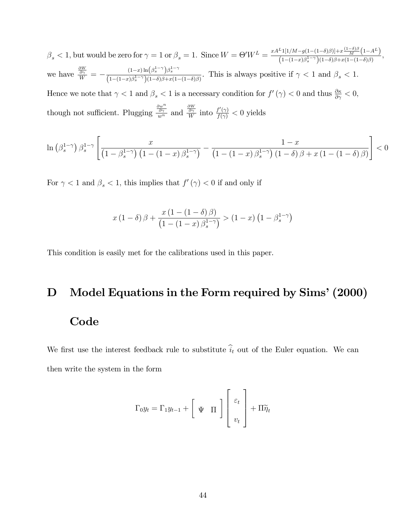$\beta_s < 1$ , but would be zero for  $\gamma = 1$  or  $\beta_s = 1$ . Since  $W = \Theta' W^L = \frac{x A^L 1 [1/M - g(1 - (1 - \delta)\beta)] + x \frac{(1 - \delta)\beta}{L} (1 - (1 - \delta)\beta)}{(1 - (1 - x)\beta^{1 - \gamma})(1 - \delta)\beta + x(1 - (1 - \delta)\beta)}$  $\frac{1}{(1-(1-x)\beta_s^{1-\gamma})(1-\delta)\beta+x(1-(1-\delta)\beta)},\ \frac{1}{(1-(1-x)\beta_s^{1-\gamma})(1-\delta)\beta+x(1-(1-\delta)\beta)},$ we have  $\frac{\frac{\partial W}{\partial \gamma}}{W} = -\frac{(1-x)\ln(\beta_s^{1-\gamma})\beta_s^{1-\gamma}}{(1-(1-x)\beta_s^{1-\gamma})(1-\delta)\beta_x^{1-\gamma}}$  $\frac{(1-x)\ln(\beta s)^{-\beta s}}{(1-(1-x)\beta_s^{1-\gamma})(1-\delta)\beta+x(1-(1-\delta)\beta)}$ . This is always positive if  $\gamma < 1$  and  $\beta_s < 1$ . Hence we note that  $\gamma < 1$  and  $\beta_s < 1$  is a necessary condition for  $f'(\gamma) < 0$  and thus  $\frac{\partial \kappa}{\partial \gamma} < 0$ ,

though not sufficient. Plugging  $\frac{\partial w^n}{\partial \gamma}$  and  $\frac{\partial w}{\partial \gamma}$  into  $\frac{f'(\gamma)}{f(\gamma)} < 0$  yields

$$
\ln\left(\beta_s^{1-\gamma}\right)\beta_s^{1-\gamma}\left[\frac{x}{\left(1-\beta_s^{1-\gamma}\right)\left(1-\left(1-x\right)\beta_s^{1-\gamma}\right)}-\frac{1-x}{\left(1-\left(1-x\right)\beta_s^{1-\gamma}\right)\left(1-\delta\right)\beta+x\left(1-\left(1-\delta\right)\beta\right)}\right]<0
$$

For  $\gamma < 1$  and  $\beta_s < 1$ , this implies that  $f'(\gamma) < 0$  if and only if

$$
x(1-\delta)\beta + \frac{x(1-(1-\delta)\beta)}{(1-(1-x)\beta_s^{1-\gamma})} > (1-x)\left(1-\beta_s^{1-\gamma}\right)
$$

This condition is easily met for the calibrations used in this paper.

# D Model Equations in the Form required by Sims' (2000) Code

We first use the interest feedback rule to substitute  $\hat{i}_t$  out of the Euler equation. We can then write the system in the form

$$
\Gamma_0 y_t = \Gamma_1 y_{t-1} + \begin{bmatrix} \Psi & \Pi \end{bmatrix} \begin{bmatrix} \varepsilon_t \\ v_t \end{bmatrix} + \Pi \widetilde{\eta}_t
$$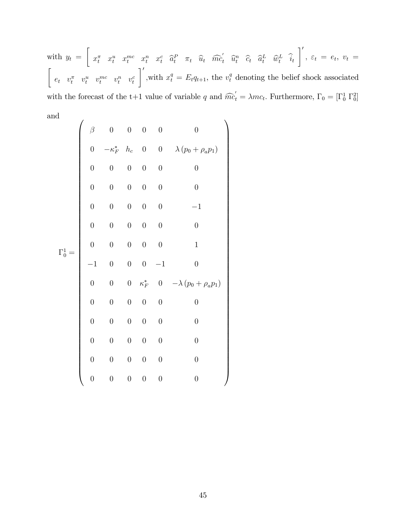with  $y_t =$  $\sqrt{ }$  $x_t^{\pi}$   $x_t^u$   $x_t^{mc}$   $x_t^n$   $x_t^c$   $\hat{a}_t^P$   $\pi_t$   $\hat{u}_t$   $\hat{mc}_t^{\prime}$   $\hat{u}_t^n$   $\hat{c}_t$   $\hat{a}_t^L$   $\hat{u}_t^L$   $\hat{u}_t^L$  $\lceil '$  $, \varepsilon_t = e_t, v_t =$  $\sqrt{ }$  $e_t$   $v_t^{\pi}$   $v_t^u$   $v_t^{mc}$   $v_t^n$   $v_t^c$  $\lceil '$ with  $x_t^q = E_t q_{t+1}$ , the  $v_t^q$  denoting the belief shock associated with the forecast of the t+1 value of variable q and  $\widehat{mc}'_t = \lambda mc_t$ . Furthermore,  $\Gamma_0 = [\Gamma_0^1 \Gamma_0^2]$ and

|                | $\beta$          | $\overline{0}$      | $\overline{0}$   | $\boldsymbol{0}$ | $\boldsymbol{0}$ | $\boldsymbol{0}$                |
|----------------|------------------|---------------------|------------------|------------------|------------------|---------------------------------|
|                | $\overline{0}$   | $-\kappa_F^*$ $h_c$ |                  | $\boldsymbol{0}$ |                  | 0 $\lambda (p_0 + \rho_a p_1)$  |
|                | $\overline{0}$   | $\overline{0}$      | $\boldsymbol{0}$ | $\boldsymbol{0}$ | $\boldsymbol{0}$ | $\overline{0}$                  |
|                | $\boldsymbol{0}$ | $\boldsymbol{0}$    | $\boldsymbol{0}$ | $\boldsymbol{0}$ | $\boldsymbol{0}$ | $\boldsymbol{0}$                |
|                | $\overline{0}$   | $0\,$               | $\boldsymbol{0}$ | $\boldsymbol{0}$ | $\boldsymbol{0}$ | $-1$                            |
|                | $\overline{0}$   | $\overline{0}$      | $\overline{0}$   | $\boldsymbol{0}$ | $\overline{0}$   | $\overline{0}$                  |
| $\Gamma_0^1 =$ | $\overline{0}$   | $\overline{0}$      | $\boldsymbol{0}$ | $\boldsymbol{0}$ | $\overline{0}$   | $\mathbf{1}$                    |
|                | $-1$             | $\overline{0}$      | $\boldsymbol{0}$ | $\boldsymbol{0}$ | $-1$             | $\boldsymbol{0}$                |
|                | $\overline{0}$   | $\boldsymbol{0}$    | $\overline{0}$   | $\kappa_F^*$     |                  | 0 $-\lambda (p_0 + \rho_a p_1)$ |
|                | $\boldsymbol{0}$ | $\boldsymbol{0}$    | $\boldsymbol{0}$ | $\boldsymbol{0}$ | $\boldsymbol{0}$ | $\overline{0}$                  |
|                | $\overline{0}$   | $\boldsymbol{0}$    | $\boldsymbol{0}$ | $\boldsymbol{0}$ | $\boldsymbol{0}$ | $\boldsymbol{0}$                |
|                | $\overline{0}$   | $\boldsymbol{0}$    | $\overline{0}$   | $\overline{0}$   | $\boldsymbol{0}$ | $\boldsymbol{0}$                |
|                | $\overline{0}$   | $\boldsymbol{0}$    | $\boldsymbol{0}$ | $\boldsymbol{0}$ | $\boldsymbol{0}$ | $\boldsymbol{0}$                |
|                | $\overline{0}$   | $\overline{0}$      | $\boldsymbol{0}$ | $\boldsymbol{0}$ | $\overline{0}$   | $\boldsymbol{0}$                |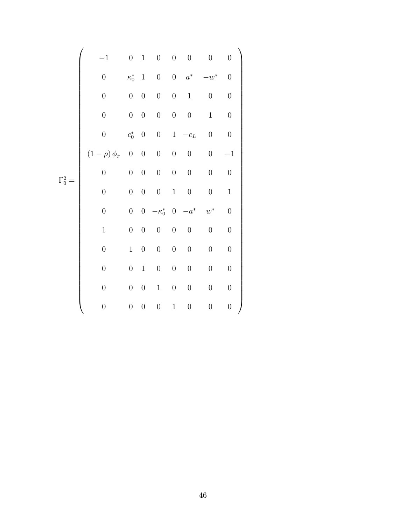|                | $-1$                   | $\overline{0}$   | $\mathbf{1}$     | $\overline{0}$   | $\overline{0}$   | $\overline{0}$   | $\boldsymbol{0}$   | $\boldsymbol{0}$ |
|----------------|------------------------|------------------|------------------|------------------|------------------|------------------|--------------------|------------------|
|                | $\boldsymbol{0}$       | $\kappa_0^*$     | $\mathbf{1}$     | $\overline{0}$   |                  | $0 \quad a^*$    | $-w^*$             | $\overline{0}$   |
|                | $\boldsymbol{0}$       | $\boldsymbol{0}$ | $\boldsymbol{0}$ | $\boldsymbol{0}$ | $\boldsymbol{0}$ | $\,1$            | $\boldsymbol{0}$   | $\boldsymbol{0}$ |
|                | $\boldsymbol{0}$       | $\boldsymbol{0}$ | $\boldsymbol{0}$ | $\boldsymbol{0}$ | $\boldsymbol{0}$ | $\boldsymbol{0}$ | $\mathbf{1}$       | $\boldsymbol{0}$ |
|                | $\boldsymbol{0}$       | $c_0^*$          | $\boldsymbol{0}$ | $\boldsymbol{0}$ | $\mathbf{1}$     | $-c_L$           | $\boldsymbol{0}$   | $\boldsymbol{0}$ |
|                | $(1-\rho)\,\phi_{\pi}$ | $\boldsymbol{0}$ | $\boldsymbol{0}$ | $\boldsymbol{0}$ | $\boldsymbol{0}$ | $\boldsymbol{0}$ | $\overline{0}$     | $-1$             |
| $\Gamma_0^2 =$ | $\boldsymbol{0}$       | $\boldsymbol{0}$ | $\boldsymbol{0}$ | $\boldsymbol{0}$ | $\overline{0}$   | $\boldsymbol{0}$ | $\overline{0}$     | $\boldsymbol{0}$ |
|                | $\overline{0}$         | $\boldsymbol{0}$ | $\boldsymbol{0}$ | $0\,$            | $\mathbf{1}$     | $\boldsymbol{0}$ | $\boldsymbol{0}$   | $\mathbf{1}$     |
|                | $\boldsymbol{0}$       | $\boldsymbol{0}$ | $\overline{0}$   | $-\kappa_0^*$    | $\overline{0}$   | $-a^\ast$        | $\boldsymbol{w}^*$ | $\boldsymbol{0}$ |
|                | $\mathbf 1$            | $\boldsymbol{0}$ | $\boldsymbol{0}$ | $\boldsymbol{0}$ | $\boldsymbol{0}$ | $\boldsymbol{0}$ | $\boldsymbol{0}$   | $\boldsymbol{0}$ |
|                | $\boldsymbol{0}$       | $\mathbf 1$      | $\boldsymbol{0}$ | $\boldsymbol{0}$ | $\boldsymbol{0}$ | $\boldsymbol{0}$ | $\boldsymbol{0}$   | $\overline{0}$   |
|                | $\boldsymbol{0}$       | $\overline{0}$   | $\mathbf{1}$     | $\boldsymbol{0}$ | $\boldsymbol{0}$ | $\boldsymbol{0}$ | $\boldsymbol{0}$   | $\overline{0}$   |
|                | $\boldsymbol{0}$       | $\boldsymbol{0}$ | $\boldsymbol{0}$ | $\,1$            | $\boldsymbol{0}$ | $\boldsymbol{0}$ | $\boldsymbol{0}$   | $\boldsymbol{0}$ |
|                | $\boldsymbol{0}$       | $\boldsymbol{0}$ | $\boldsymbol{0}$ | $\boldsymbol{0}$ | $\mathbf{1}$     | $\boldsymbol{0}$ | $\boldsymbol{0}$   | $\overline{0}$   |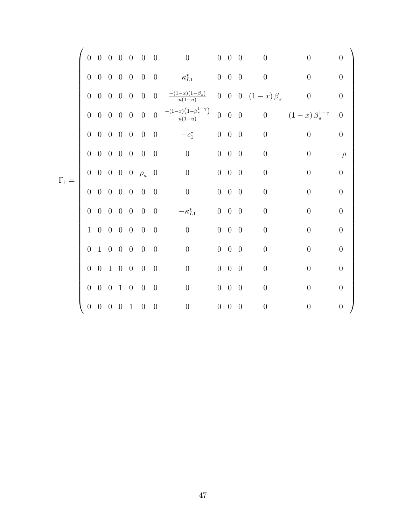|              | $\overline{0}$ |                          |  | $0\quad 0\quad 0\quad 0\quad 0\quad 0$                 |                | $\begin{matrix} 0 & 0 & 0 \end{matrix}$                                                                                                 |                   | $\overline{0}$ | $\boldsymbol{0}$     | $\overline{0}$                | $\theta$         |  |
|--------------|----------------|--------------------------|--|--------------------------------------------------------|----------------|-----------------------------------------------------------------------------------------------------------------------------------------|-------------------|----------------|----------------------|-------------------------------|------------------|--|
|              |                |                          |  | $0\quad 0\quad 0\quad 0\quad 0\quad 0\quad 0$          |                |                                                                                                                                         |                   |                | $\overline{0}$       | $\overline{0}$                | $\overline{0}$   |  |
|              | $\overline{0}$ |                          |  |                                                        |                | 0 0 0 0 0 0 $\frac{-(1-x)(1-\beta_s)}{u(1-u)}$                                                                                          |                   |                | 0 0 0 $(1-x)\beta_s$ | $\,0\,$                       | $\boldsymbol{0}$ |  |
|              |                |                          |  |                                                        |                | $0\quad 0\quad 0\quad 0\quad 0\quad 0\quad 0\quad 0\quad \frac{-(1-x)\left(1-\beta_{s}^{1-\gamma}\right)}{u(1-u)}\quad 0\quad 0\quad 0$ |                   |                |                      | 0 $(1-x)\,\beta_s^{1-\gamma}$ | $\overline{0}$   |  |
|              |                |                          |  | $0\quad 0\quad 0\quad 0\quad 0\quad 0\quad 0$          |                | $-c_1^*$ 0 0                                                                                                                            |                   | $\overline{0}$ | $\overline{0}$       | $\overline{0}$                | $\boldsymbol{0}$ |  |
|              |                |                          |  | $0\quad 0\quad 0\quad 0\quad 0\quad 0\quad 0$          |                | $\overline{0}$<br>$0\quad 0\quad 0$                                                                                                     |                   |                | $\boldsymbol{0}$     | $\theta$                      | $-\rho$          |  |
| $\Gamma_1 =$ |                |                          |  | $0\quad 0\quad 0\quad 0\quad 0\quad \rho_a\quad 0$     |                | $\overline{0}$                                                                                                                          | $0\quad 0\quad 0$ |                | $\boldsymbol{0}$     | $\boldsymbol{0}$              | $\boldsymbol{0}$ |  |
|              |                |                          |  | $0 \t0 \t0 \t0 \t0 \t0 \t0$                            |                | $\overline{0}$                                                                                                                          | $0\quad 0\quad$   | $\overline{0}$ | $\boldsymbol{0}$     | $\boldsymbol{0}$              | $\overline{0}$   |  |
|              |                |                          |  | $0\quad 0\quad 0\quad 0\quad 0\quad 0\quad 0$          |                | $-\kappa_{L1}^*$                                                                                                                        | $0\quad 0\quad 0$ |                | $\boldsymbol{0}$     | $\boldsymbol{0}$              | $\overline{0}$   |  |
|              |                |                          |  | $1\  \  0\  \  0\  \  0\  \  \, 0\  \  \, 0\  \  \, 0$ |                | $\overline{\phantom{0}}$                                                                                                                | $0\quad 0\quad 0$ |                | $\boldsymbol{0}$     | $\boldsymbol{0}$              | $\overline{0}$   |  |
|              | $\overline{0}$ | $1\quad 0\quad 0\quad 0$ |  | $\overline{0}$                                         | $\overline{0}$ | $\overline{0}$                                                                                                                          | $0 \quad 0$       | $\overline{0}$ | $\boldsymbol{0}$     | $\boldsymbol{0}$              | $\overline{0}$   |  |
|              |                |                          |  | $0 \t0 \t1 \t0 \t0 \t0 \t0$                            |                | $\boldsymbol{0}$                                                                                                                        | $0\quad 0\quad 0$ |                | $\boldsymbol{0}$     | $\theta$                      | $\overline{0}$   |  |
|              |                |                          |  | $0 \t0 \t0 \t1 \t0 \t0 \t0$                            |                | $\boldsymbol{0}$                                                                                                                        | $0\quad 0\quad 0$ |                | $\boldsymbol{0}$     | $\boldsymbol{0}$              | $\overline{0}$   |  |
|              |                |                          |  | $0\quad 0\quad 0\quad 0\quad 1\quad 0\quad 0$          |                | $\overline{0}$                                                                                                                          | $0 \quad 0$       | $\overline{0}$ | $\boldsymbol{0}$     | $\boldsymbol{0}$              | $\overline{0}$   |  |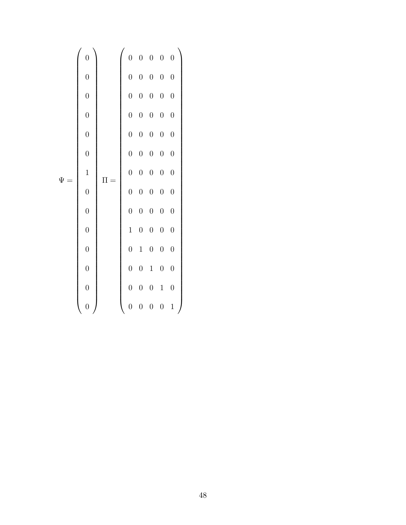= 0 BBBBBBBBBBBBBBBBBBBBBBBBBBBBBBBBBBBBBBBBBBBBBBBBBB@ 0 0 0 0 0 0 1 0 0 0 0 0 0 0 1 CCCCCCCCCCCCCCCCCCCCCCCCCCCCCCCCCCCCCCCCCCCCCCCCCCA = 0 BBBBBBBBBBBBBBBBBBBBBBBBBBBBBBBBBBBBBBBBBBBBBBBBBB@ 0 0 0 0 0 0 0 0 0 0 0 0 0 0 0 0 0 0 0 0 0 0 0 0 0 0 0 0 0 0 0 0 0 0 0 0 0 0 0 0 0 0 0 0 0 1 0 0 0 0 0 1 0 0 0 0 0 1 0 0 0 0 0 1 0 0 0 0 0 1 1 CCCCCCCCCCCCCCCCCCCCCCCCCCCCCCCCCCCCCCCCCCCCCCCCCCA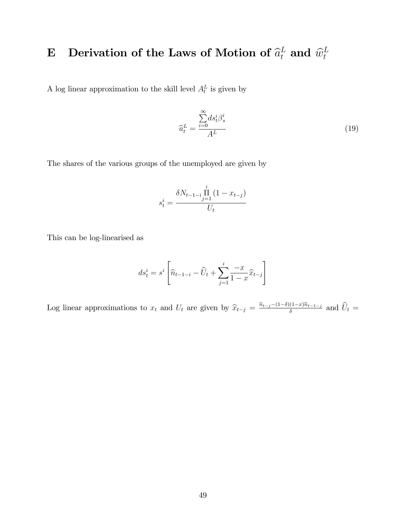### E Derivation of the Laws of Motion of  $\widehat{a}_t^L$  and  $\widehat{w}_t^L$ t

A log linear approximation to the skill level  $A_t^L$  is given by

$$
\widehat{a}_t^L = \frac{\sum_{i=0}^{\infty} ds_t^i \beta_s^i}{A^L} \tag{19}
$$

The shares of the various groups of the unemployed are given by

$$
s_t^i = \frac{\delta N_{t-1-i} \prod_{j=1}^i (1 - x_{t-j})}{U_t}
$$

This can be log-linearised as

$$
ds_t^i = s^i \left[ \widehat{n}_{t-1-i} - \widehat{U}_t + \sum_{j=1}^i \frac{-x}{1-x} \widehat{x}_{t-j} \right]
$$

Log linear approximations to  $x_t$  and  $U_t$  are given by  $\hat{x}_{t-j} = \frac{\hat{n}_{t-j} - (1-\delta)(1-x)\hat{n}_{t-1-j}}{\delta}$  and  $\hat{U}_t =$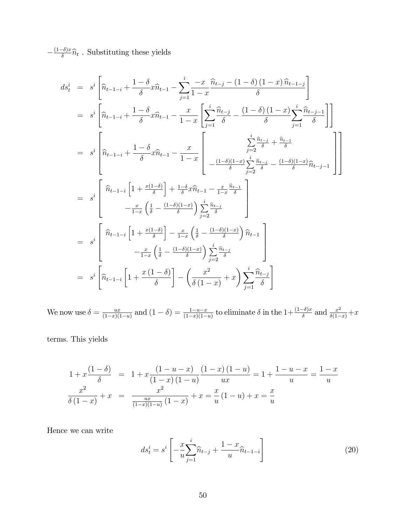$-\frac{(1-\delta)x}{\delta}\widehat{n}_t$ . Substituting these yields

$$
ds_{t}^{i} = s^{i} \left[ \hat{n}_{t-1-i} + \frac{1-\delta}{\delta} x \hat{n}_{t-1} - \sum_{j=1}^{i} \frac{-x}{1-x} \frac{\hat{n}_{t-j} - (1-\delta)(1-x) \hat{n}_{t-1-j}}{\delta} \right]
$$
  
\n
$$
= s^{i} \left[ \hat{n}_{t-1-i} + \frac{1-\delta}{\delta} x \hat{n}_{t-1} - \frac{x}{1-x} \left[ \sum_{j=1}^{i} \frac{\hat{n}_{t-j}}{\delta} - \frac{(1-\delta)(1-x) \sum_{j=1}^{i} \hat{n}_{t-j-1}}{\delta} \right] \right]
$$
  
\n
$$
= s^{i} \left[ \hat{n}_{t-1-i} + \frac{1-\delta}{\delta} x \hat{n}_{t-1} - \frac{x}{1-x} \left[ -\frac{\sum_{j=2}^{i} \hat{n}_{t-j}}{\delta} + \frac{\hat{n}_{t-1}}{\delta} \right] \right]
$$
  
\n
$$
= s^{i} \left[ \hat{n}_{t-1-i} \left[ 1 + \frac{x(1-\delta)}{\delta} \right] + \frac{1-\delta}{\delta} x \hat{n}_{t-1} - \frac{x}{1-x} \frac{\hat{n}_{t-1}}{\delta} \right]
$$
  
\n
$$
= s^{i} \left[ \hat{n}_{t-1-i} \left[ 1 + \frac{x(1-\delta)}{\delta} \right] - \frac{x}{1-x} \left( \frac{1}{\delta} - \frac{(1-\delta)(1-x)}{\delta} \right) \hat{n}_{t-1} \right]
$$
  
\n
$$
= s^{i} \left[ \hat{n}_{t-1-i} \left[ 1 + \frac{x(1-\delta)}{\delta} \right] - \frac{x}{1-x} \left( \frac{1}{\delta} - \frac{(1-\delta)(1-x)}{\delta} \right) \hat{n}_{t-1} \right]
$$
  
\n
$$
= s^{i} \left[ \hat{n}_{t-1-i} \left[ 1 + \frac{x(1-\delta)}{\delta} \right] - \frac{x}{1-x} \left( \frac{1}{\delta} - \frac{(1-\delta)(1-x)}{\delta} \right) \hat{n}_{t-1} \right]
$$
  
\n
$$
= s^{i} \left[ \hat{n}_{t-1-i} \left[ 1 + \frac{x(1-\delta)}{\delta} \right] - \left( \frac{x^{2}}{\delta(1-x)}
$$

We now use  $\delta = \frac{ux}{(1-x)^{t}}$  $\frac{ux}{(1-x)(1-u)}$  and  $(1-\delta) = \frac{1-u-x}{(1-x)(1-u)}$  to eliminate  $\delta$  in the  $1+\frac{(1-\delta)x}{\delta}$  and  $\frac{x^2}{\delta(1-x)}+x$ 

terms: This yields

$$
1 + x \frac{(1 - \delta)}{\delta} = 1 + x \frac{(1 - u - x)}{(1 - x)(1 - u)} \frac{(1 - x)(1 - u)}{ux} = 1 + \frac{1 - u - x}{u} = \frac{1 - x}{u}
$$

$$
\frac{x^2}{\delta(1 - x)} + x = \frac{x^2}{\frac{ux}{(1 - x)(1 - u)}(1 - x)} + x = \frac{x}{u}(1 - u) + x = \frac{x}{u}
$$

Hence we can write

$$
ds_t^i = s^i \left[ -\frac{x}{u} \sum_{j=1}^i \widehat{n}_{t-j} + \frac{1-x}{u} \widehat{n}_{t-1-i} \right]
$$
 (20)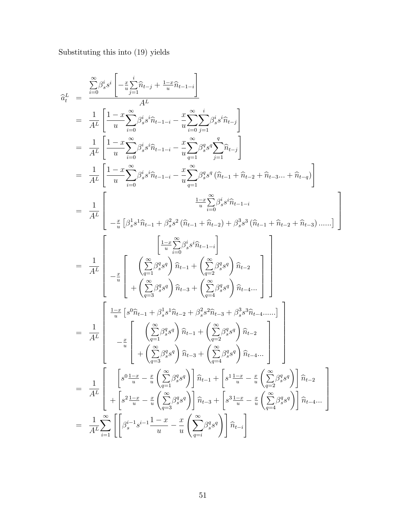Substituting this into (19) yields

$$
\begin{split} \hat{a}_{t}^{L} & = \frac{\sum\limits_{i=0}^{\infty}\beta_{s}^{i}s^{i}\left[-\frac{x}{u}\sum\limits_{j=1}^{i}\hat{n}_{t-j}+\frac{1-x}{u}\hat{n}_{t-1-i}\right]}{A^{L}} \\ & = \frac{1}{A^{L}}\left[\frac{1-x}{u}\sum\limits_{i=0}^{\infty}\beta_{s}^{i}s^{i}\hat{n}_{t-1-i}-\frac{x}{u}\sum\limits_{i=0}^{\infty}\sum\limits_{j=1}^{i}\beta_{s}^{i}s^{i}\hat{n}_{t-j}\right] \\ & = \frac{1}{A^{L}}\left[\frac{1-x}{u}\sum\limits_{i=0}^{\infty}\beta_{s}^{i}s^{i}\hat{n}_{t-1-i}-\frac{x}{u}\sum\limits_{i=1}^{\infty}\beta_{s}^{q}s^{q}\sum\limits_{j=1}^{\infty}\hat{n}_{t-j}\right] \\ & = \frac{1}{A^{L}}\left[\frac{1-x}{u}\sum\limits_{i=0}^{\infty}\beta_{s}^{i}s^{i}\hat{n}_{t-1-i}-\frac{x}{u}\sum\limits_{q=1}^{\infty}\beta_{s}^{q}s^{q}\left(\hat{n}_{t-1}+\hat{n}_{t-2}+\hat{n}_{t-3}...+\hat{n}_{t-q}\right)\right] \\ & = \frac{1}{A^{L}}\left[\begin{array}{c} \frac{1-x}{u}\left[\beta_{s}^{1}s^{1}\hat{n}_{t-1}+\beta_{s}^{2}s^{2}\left(\hat{n}_{t-1}+\hat{n}_{t-2}\right)+\beta_{s}^{3}s^{3}\left(\hat{n}_{t-1}+\hat{n}_{t-2}+\hat{n}_{t-3}\right)......\right] \\ -\frac{x}{u}\left[\begin{array}{c} \frac{1-x}{u}\hat{n}_{t}\hat{n}_{s}^{2}s^{i}\hat{n}_{t-1-i} \\ -\frac{x}{u}\left[\begin{array}{c} \left(\sum\limits_{i=1}^{\infty}\beta_{s}^{q}s^{q}\right)\hat{n}_{t-1}+\left(\sum\limits_{i=2}^{\infty}\beta_{s}^{q}s^{q}\right)\hat{n}_{t-2} \\ +\left(\sum\limits_{i=3}^{\infty}\beta_{s}^{q}s^{q}\right)\hat{n}_{t-3}+\left(\sum\limits_{q=2}^{\infty}\beta_{s}^{q}s^{q}\right)\hat{n}_{t-4}... \end{array}\right] \\ -\frac{1}{A^{L}}\
$$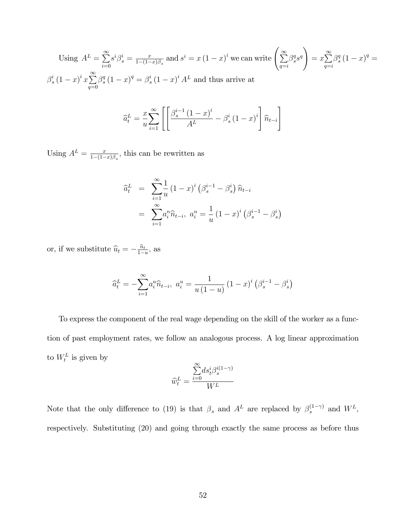Using 
$$
A^L = \sum_{i=0}^{\infty} s^i \beta_s^i = \frac{x}{1 - (1 - x)\beta_s}
$$
 and  $s^i = x(1 - x)^i$  we can write  $\left(\sum_{q=i}^{\infty} \beta_s^q s^q\right) = x \sum_{q=i}^{\infty} \beta_s^q (1 - x)^q = \beta_s^i (1 - x)^q = \beta_s^i (1 - x)^i A^L$  and thus arrive at

$$
\widehat{a}_t^L = \frac{x}{u} \sum_{i=1}^{\infty} \left[ \frac{\beta_s^{i-1} (1-x)^i}{A^L} - \beta_s^i (1-x)^i \right] \widehat{n}_{t-i}
$$

Using  $A^L = \frac{x}{1-(1-x)}$  $\frac{x}{1-(1-x)\beta_s}$ , this can be rewritten as

$$
\begin{aligned}\n\hat{a}_t^L &= \sum_{i=1}^{\infty} \frac{1}{u} \left( 1 - x \right)^i \left( \beta_s^{i-1} - \beta_s^i \right) \hat{n}_{t-i} \\
&= \sum_{i=1}^{\infty} a_i^n \hat{n}_{t-i}, \ a_i^n = \frac{1}{u} \left( 1 - x \right)^i \left( \beta_s^{i-1} - \beta_s^i \right)\n\end{aligned}
$$

or, if we substitute  $\hat{u}_t = -\frac{\hat{n}_t}{1-u}$ , as

$$
\hat{a}_t^L = -\sum_{i=1}^{\infty} a_i^u \hat{n}_{t-i}, \ a_i^u = \frac{1}{u(1-u)} (1-x)^i (\beta_s^{i-1} - \beta_s^i)
$$

To express the component of the real wage depending on the skill of the worker as a function of past employment rates, we follow an analogous process. A log linear approximation to  $W_t^L$  is given by

$$
\widehat{w}^L_t = \frac{\overset{\infty}{\underset{i=0}{\sum}} ds^i_t\beta^{i(1-\gamma)}_s}{W^L}
$$

Note that the only difference to (19) is that  $\beta_s$  and  $A^L$  are replaced by  $\beta_s^{(1-\gamma)}$  and  $W^L$ , respectively. Substituting (20) and going through exactly the same process as before thus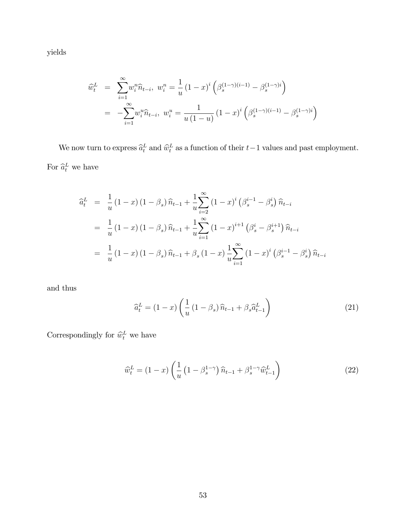yields

$$
\widehat{w}_t^L = \sum_{i=1}^{\infty} w_i^n \widehat{n}_{t-i}, \ w_i^n = \frac{1}{u} (1-x)^i \left( \beta_s^{(1-\gamma)(i-1)} - \beta_s^{(1-\gamma)i} \right)
$$

$$
= -\sum_{i=1}^{\infty} w_i^n \widehat{n}_{t-i}, \ w_i^n = \frac{1}{u(1-u)} (1-x)^i \left( \beta_s^{(1-\gamma)(i-1)} - \beta_s^{(1-\gamma)i} \right)
$$

We now turn to express  $\hat{a}_t^L$  and  $\hat{w}_t^L$  as a function of their  $t-1$  values and past employment. For  $\hat{a}_t^L$  we have

$$
\begin{split}\n\hat{a}_{t}^{L} &= \frac{1}{u} (1-x) (1-\beta_{s}) \hat{n}_{t-1} + \frac{1}{u} \sum_{i=2}^{\infty} (1-x)^{i} (\beta_{s}^{i-1} - \beta_{s}^{i}) \hat{n}_{t-i} \\
&= \frac{1}{u} (1-x) (1-\beta_{s}) \hat{n}_{t-1} + \frac{1}{u} \sum_{i=1}^{\infty} (1-x)^{i+1} (\beta_{s}^{i} - \beta_{s}^{i+1}) \hat{n}_{t-i} \\
&= \frac{1}{u} (1-x) (1-\beta_{s}) \hat{n}_{t-1} + \beta_{s} (1-x) \frac{1}{u} \sum_{i=1}^{\infty} (1-x)^{i} (\beta_{s}^{i-1} - \beta_{s}^{i}) \hat{n}_{t-i}\n\end{split}
$$

and thus

$$
\widehat{a}_t^L = (1-x)\left(\frac{1}{u}\left(1-\beta_s\right)\widehat{n}_{t-1} + \beta_s \widehat{a}_{t-1}^L\right) \tag{21}
$$

Correspondingly for  $\hat{w}_t^L$  we have

$$
\widehat{w}_t^L = (1-x) \left( \frac{1}{u} \left( 1 - \beta_s^{1-\gamma} \right) \widehat{n}_{t-1} + \beta_s^{1-\gamma} \widehat{w}_{t-1}^L \right) \tag{22}
$$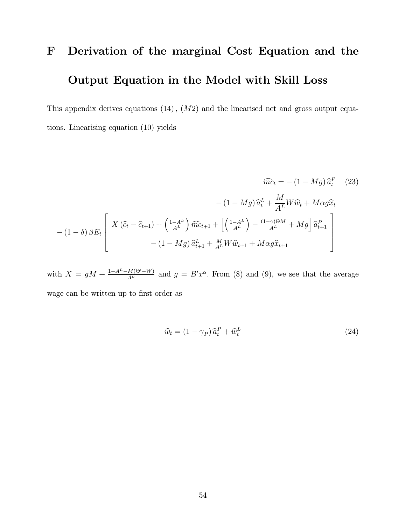# F Derivation of the marginal Cost Equation and the Output Equation in the Model with Skill Loss

This appendix derives equations  $(14)$ ,  $(M2)$  and the linearised net and gross output equations. Linearising equation (10) yields

$$
\widehat{mc}_t = -(1 - Mg)\widehat{a}_t^P
$$
 (23)  

$$
- (1 - Mg)\widehat{a}_t^L + \frac{M}{A^L}W\widehat{w}_t + M\alpha g\widehat{x}_t
$$
  

$$
- (1 - \delta)\beta E_t \left[ X(\widehat{c}_t - \widehat{c}_{t+1}) + \left(\frac{1 - A^L}{A^L}\right)\widehat{mc}_{t+1} + \left[ \left(\frac{1 - A^L}{A^L}\right) - \frac{(1 - \gamma)\Theta M}{A^L} + Mg \right] \widehat{a}_{t+1}^P - (1 - Mg)\widehat{a}_{t+1}^L + \frac{M}{A^L}W\widehat{w}_{t+1} + M\alpha g\widehat{x}_{t+1} \right]
$$

with  $X = gM + \frac{1-A^L-M(\Theta'-W)}{A^L}$  and  $g = B'x^{\alpha}$ . From (8) and (9), we see that the average wage can be written up to first order as

$$
\widehat{w}_t = (1 - \gamma_P) \,\widehat{a}_t^P + \widehat{w}_t^L \tag{24}
$$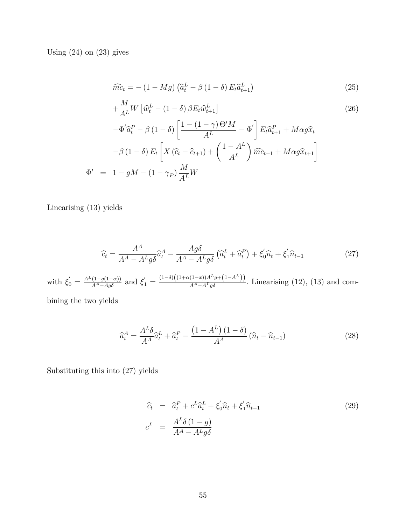Using  $(24)$  on  $(23)$  gives

$$
\widehat{mc}_t = -\left(1 - Mg\right)\left(\widehat{a}_t^L - \beta\left(1 - \delta\right)E_t\widehat{a}_{t+1}^L\right) \tag{25}
$$

$$
+\frac{M}{A^L}W\left[\hat{w}_t^L - (1-\delta)\beta E_t \hat{w}_{t+1}^L\right]
$$
\n
$$
(26)
$$

$$
-\Phi' \hat{a}_t^P - \beta (1 - \delta) \left[ \frac{1 - (1 - \gamma) \Theta' M}{A^L} - \Phi' \right] E_t \hat{a}_{t+1}^P + M \alpha g \hat{x}_t
$$

$$
-\beta (1 - \delta) E_t \left[ X (\hat{c}_t - \hat{c}_{t+1}) + \left( \frac{1 - A^L}{A^L} \right) \hat{m} \hat{c}_{t+1} + M \alpha g \hat{x}_{t+1} \right]
$$

$$
\Phi' = 1 - gM - (1 - \gamma_P) \frac{M}{A^L} W
$$

Linearising (13) yields

$$
\widehat{c}_t = \frac{A^A}{A^A - A^L g \delta} \widehat{a}_t^A - \frac{A g \delta}{A^A - A^L g \delta} \left( \widehat{a}_t^L + \widehat{a}_t^P \right) + \xi_0' \widehat{n}_t + \xi_1' \widehat{n}_{t-1}
$$
\n(27)

with  $\xi_0' = \frac{A^L(1-g(1+\alpha))}{A^A - Ag\delta}$  and  $\xi_1' = \frac{(1-\delta)(1+\alpha(1-x))A^Lg + (1-A^L)}{A^A - A^Lg\delta}$ . Linearising (12), (13) and com-

bining the two yields

$$
\widehat{a}_t^A = \frac{A^L \delta}{A^A} \widehat{a}_t^L + \widehat{a}_t^P - \frac{\left(1 - A^L\right)\left(1 - \delta\right)}{A^A} \left(\widehat{n}_t - \widehat{n}_{t-1}\right) \tag{28}
$$

Substituting this into (27) yields

$$
\begin{aligned}\n\hat{c}_t &= \hat{a}_t^P + c^L \hat{a}_t^L + \xi'_0 \hat{n}_t + \xi'_1 \hat{n}_{t-1} \\
c^L &= \frac{A^L \delta (1 - g)}{A^A - A^L g \delta}\n\end{aligned} \tag{29}
$$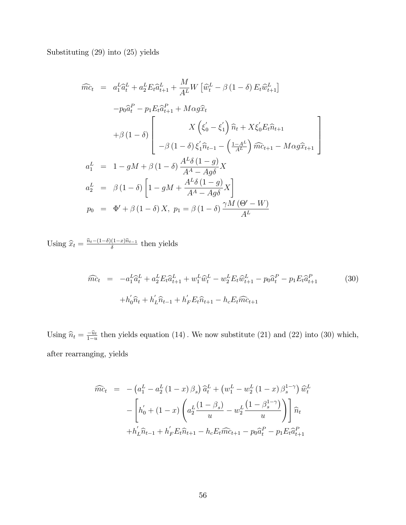Substituting (29) into (25) yields

$$
\widehat{mc}_{t} = a_{1}^{L} \widehat{a}_{t}^{L} + a_{2}^{L} E_{t} \widehat{a}_{t+1}^{L} + \frac{M}{A^{L}} W \left[ \widehat{w}_{t}^{L} - \beta (1 - \delta) E_{t} \widehat{w}_{t+1}^{L} \right]
$$

$$
-p_{0} \widehat{a}_{t}^{P} - p_{1} E_{t} \widehat{a}_{t+1}^{P} + M \alpha g \widehat{x}_{t}
$$

$$
+ \beta (1 - \delta) \left[ X \left( \xi_{0}^{\prime} - \xi_{1}^{\prime} \right) \widehat{n}_{t} + X \xi_{0}^{\prime} E_{t} \widehat{n}_{t+1} + \beta (1 - \delta) \left( \frac{X}{\beta} \left( \xi_{0}^{\prime} - \xi_{1}^{\prime} \right) \widehat{m}_{t+1} - M \alpha g \widehat{x}_{t+1} \right) \right]
$$

$$
a_{1}^{L} = 1 - gM + \beta (1 - \delta) \frac{A^{L} \delta (1 - g)}{A^{A} - Ag \delta} X
$$

$$
a_{2}^{L} = \beta (1 - \delta) \left[ 1 - gM + \frac{A^{L} \delta (1 - g)}{A^{A} - Ag \delta} X \right]
$$

$$
p_{0} = \Phi^{\prime} + \beta (1 - \delta) X, \ p_{1} = \beta (1 - \delta) \frac{\gamma M (\Theta^{\prime} - W)}{A^{L}}
$$

Using  $\hat{x}_t = \frac{\hat{n}_t - (1-\delta)(1-x)\hat{n}_{t-1}}{\delta}$  then yields

$$
\widehat{mc}_t = -a_1^L \widehat{a}_t^L + a_2^L E_t \widehat{a}_{t+1}^L + w_1^L \widehat{w}_t^L - w_2^L E_t \widehat{w}_{t+1}^L - p_0 \widehat{a}_t^P - p_1 E_t \widehat{a}_{t+1}^P
$$
\n
$$
+ h_0' \widehat{n}_t + h_1' \widehat{n}_{t-1} + h_F' E_t \widehat{n}_{t+1} - h_c E_t \widehat{m}_{t+1}
$$
\n(30)

Using  $\hat{n}_t = \frac{-\hat{u}_t}{1-u}$  then yields equation (14). We now substitute (21) and (22) into (30) which, after rearranging, yields

$$
\widehat{mc}_t = -\left(a_1^L - a_2^L (1 - x) \beta_s\right) \widehat{a}_t^L + \left(w_1^L - w_2^L (1 - x) \beta_s^{1 - \gamma}\right) \widehat{w}_t^L \n- \left[ h_0' + (1 - x) \left(a_2^L \frac{(1 - \beta_s)}{u} - w_2^L \frac{(1 - \beta_s^{1 - \gamma})}{u} \right) \right] \widehat{n}_t \n+ h_L' \widehat{n}_{t-1} + h_F' E_t \widehat{n}_{t+1} - h_c E_t \widehat{mc}_{t+1} - p_0 \widehat{a}_t^P - p_1 E_t \widehat{a}_{t+1}^P
$$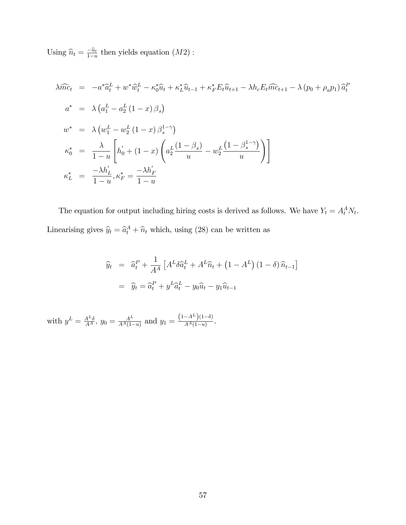Using  $\hat{n}_t = \frac{-\hat{u}_t}{1-u}$  then yields equation  $(M2)$ :

$$
\begin{aligned}\n\lambda \widehat{mc}_{t} &= -a^{*} \widehat{a}_{t}^{L} + w^{*} \widehat{w}_{t}^{L} - \kappa_{0}^{*} \widehat{u}_{t} + \kappa_{L}^{*} \widehat{u}_{t-1} + \kappa_{F}^{*} E_{t} \widehat{u}_{t+1} - \lambda h_{c} E_{t} \widehat{mc}_{t+1} - \lambda (p_{0} + \rho_{a} p_{1}) \widehat{a}_{t}^{P} \\
a^{*} &= \lambda \left( a_{1}^{L} - a_{2}^{L} \left( 1 - x \right) \beta_{s} \right) \\
w^{*} &= \lambda \left( w_{1}^{L} - w_{2}^{L} \left( 1 - x \right) \beta_{s}^{1 - \gamma} \right) \\
\kappa_{0}^{*} &= \frac{\lambda}{1 - u} \left[ h_{0}^{'} + \left( 1 - x \right) \left( a_{2}^{L} \frac{\left( 1 - \beta_{s} \right)}{u} - w_{2}^{L} \frac{\left( 1 - \beta_{s}^{1 - \gamma} \right)}{u} \right) \right] \\
\kappa_{L}^{*} &= \frac{-\lambda h_{L}^{'}}{1 - u}, \kappa_{F}^{*} = \frac{-\lambda h_{F}^{'}}{1 - u}\n\end{aligned}
$$

The equation for output including hiring costs is derived as follows. We have  $Y_t = A_t^A N_t$ . Linearising gives  $\hat{y}_t = \hat{a}_t^A + \hat{n}_t$  which, using (28) can be written as

$$
\hat{y}_t = \hat{a}_t^P + \frac{1}{A^A} \left[ A^L \delta \hat{a}_t^L + A^L \hat{n}_t + (1 - A^L) (1 - \delta) \hat{n}_{t-1} \right]
$$

$$
= \hat{y}_t = \hat{a}_t^P + y^L \hat{a}_t^L - y_0 \hat{u}_t - y_1 \hat{u}_{t-1}
$$

with  $y^L = \frac{A^L \delta}{A^A}$ ,  $y_0 = \frac{A^L}{A^A (1 - \epsilon)}$  $\frac{A^L}{A^A(1-u)}$  and  $y_1 = \frac{(1-A^L)(1-\delta)}{A^A(1-u)}$  $\frac{-A^{n}(1-v)}{A^{A}(1-u)}$ .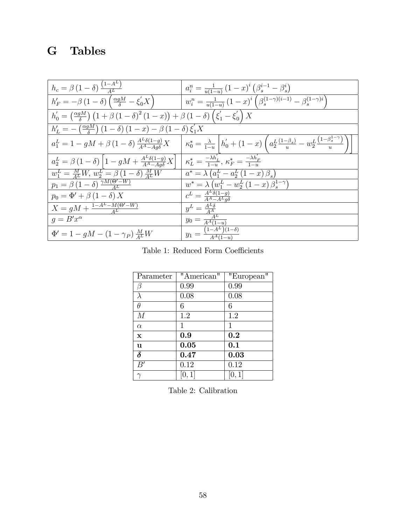## G Tables

| $h_c = \beta \left(1 - \delta\right) \frac{\left(1 - A^L\right)}{4L}$                                                                                                               | $a_i^n = \frac{1}{u(1-u)} (1-x)^i (\beta_s^{i-1} - \beta_s^i)$                                                                                     |
|-------------------------------------------------------------------------------------------------------------------------------------------------------------------------------------|----------------------------------------------------------------------------------------------------------------------------------------------------|
| $h'_F = -\beta \left(1 - \delta\right) \left(\frac{\alpha g M}{\delta} - \xi_0' X\right)$                                                                                           | $w_i^n = \frac{1}{u(1-u)} (1-x)^i \left( \beta_s^{(1-\gamma)(i-1)} - \beta_s^{(1-\gamma)i} \right)$                                                |
| $h'_0 = \left(\frac{\alpha g M}{\delta}\right) \left(1 + \beta \left(1 - \delta\right)^2 (1 - x)\right) + \beta \left(1 - \delta\right) \left(\xi'_1 - \xi'_0\right) X$             |                                                                                                                                                    |
| $h'_L = -\left(\frac{\alpha g M}{\delta}\right)(1-\delta)(1-x) - \beta(1-\delta)\xi'_1 X$                                                                                           |                                                                                                                                                    |
| $a_1^L = 1 - gM + \beta (1 - \delta) \frac{A^L \delta(1 - g)}{A^A - A \alpha \delta} X$                                                                                             | $\left  \kappa_0^* = \frac{\lambda}{1-u} \right  h_0' + (1-x) \left( a_2^L \frac{(1-\beta_s)}{u} - w_2^L \frac{(1-\beta_s^{1-\gamma})}{u} \right)$ |
| $a_2^L = \beta (1-\delta) \left[1 - gM + \frac{A^L \delta (1-g)}{A^A - A g \delta} X\right] \mid \kappa_L^* = \frac{-\lambda h'_L}{1-u}, \, \kappa_F^* = \frac{-\lambda h'_F}{1-u}$ |                                                                                                                                                    |
| $w_1^L = \frac{M}{4L}W, w_2^L = \beta(1-\delta)\frac{M}{4L}W$                                                                                                                       | $a^* = \lambda (a_1^L - a_2^L (1 - x) \beta_s)$                                                                                                    |
| $p_1 = \beta (1 - \delta) \frac{\gamma M (\Theta' - W)}{4L}$                                                                                                                        | $w^* = \lambda (w_1^L - w_2^L (1 - x) \beta_s^{1 - \gamma})$                                                                                       |
| $p_0 = \Phi' + \beta (1 - \delta) X$                                                                                                                                                | $c^L = \frac{A^L \delta(1-g)}{A^A - A^L g \delta}$                                                                                                 |
| $X = gM + \frac{1-A^L-M(\Theta'-W)}{4L}$                                                                                                                                            | $y^L = \frac{A^L \delta}{A^A}$                                                                                                                     |
| $q = B'x^{\alpha}$                                                                                                                                                                  | $y_0 = \frac{A^L}{A^A(1-u)}$                                                                                                                       |
| $\Phi' = 1 - gM - (1 - \gamma_P) \frac{M}{4L}W$                                                                                                                                     | $y_1 = \frac{(1-A^L)(1-\delta)}{A^A(1-u)}$                                                                                                         |

Table 1: Reduced Form Coefficients

| Parameter           | "American"  | "European"  |
|---------------------|-------------|-------------|
| β                   | 0.99        | 0.99        |
| λ                   | 0.08        | 0.08        |
| $\theta$            | 6           | 6           |
| M                   | 1.2         | 1.2         |
| $\alpha$            | $\mathbf 1$ | $\mathbf 1$ |
| $\mathbf x$         | 0.9         | 0.2         |
| <b>u</b>            | 0.05        | 0.1         |
| $\overline{\delta}$ | 0.47        | 0.03        |
| B'                  | 0.12        | 0.12        |
|                     | [0, 1]      | 0,1         |

Table 2: Calibration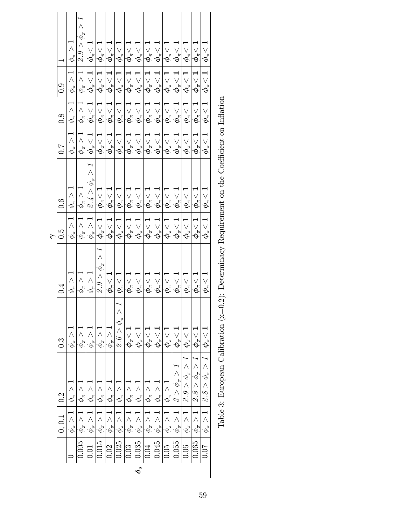|                    | $\overline{\phantom{0}}$<br>0.9<br>$\overline{8}0$<br>$\sim 0$ | $\phi_\pi>1$<br>$\overline{\phantom{0}}$<br>$\wedge$<br>$\phi_\pi$<br>$\land$<br>$\phi^{\pi}_{\pi}$<br>$\overline{\phantom{0}}$<br>$\land$<br>$\phi_\pi$ | $\mathcal{Q}. \mathcal{G} > \phi_{\pi} >$<br>$\overline{\phantom{0}}$<br>$\wedge$<br>$\phi_\pi$<br>$\overline{\phantom{0}}$<br>$\wedge$<br>$\phi_\pi$<br>$\overline{\phantom{0}}$<br>$\wedge$<br>$\phi_{\pi}$ | $\phi_{\pi}\!<1$<br>$\overline{\phantom{0}}$<br>$\overline{\phantom{0}}$<br>$\vee$<br>$\left \phi_{\pi}\right $<br>$\geq$ | $\overline{\phi_\pi^{\,} < 1}$<br>$\overrightarrow{C}$<br>$\frac{\partial}{\partial \phi}$<br>$\overline{\vee}$<br>$\boldsymbol{\phi}_{\pi}$<br>$\frac{\phi_\pi<1}{\phi_\pi<1}$ | $\boldsymbol{\phi}_{\pi} \hspace{-0.05cm} < \hspace{-0.05cm} \boldsymbol{1}$<br>$\boldsymbol{\phi}_{\pi} \! < 1$<br>$\boldsymbol{\phi}_{\pi}\!<\!\boldsymbol{1}$ | $\frac{\boldsymbol\phi_\pi<1}$<br>$\boxed{\boldsymbol{\phi}_{\pi} \! < \! 1}$          | $\frac{\phi_\pi\!<\!1}{\phi_\pi\!<\!1}$<br>$\frac{\boldsymbol\phi_\pi<1}{\boldsymbol\phi_\pi<1}$<br>$\boldsymbol{\phi}_{\pi} \hspace{-0.05cm} < \hspace{-0.05cm} \boldsymbol{1}$ | $\frac{\phi_\pi < 1}{\phi_\pi < 1}$<br>$\frac{\overline{\phi_\pi}<1}{\phi_\pi<1}$ |                                   | $\frac{\phi_\pi\!<\!1}{\phi_\pi\!<\!1} \ \frac{\phi_\pi\!<\!1}{\phi_\pi\!<\!1}$<br>$\frac{\overline{\phi_\pi}<1}{\phi_\pi<1}$<br>$\frac{\phi_\pi\!<\!1}{\phi_\pi\!<\!1} \ \frac{\phi_\pi\!<\!1}{\phi_\pi\!<\!1}$ | $\boldsymbol{\phi}_{\pi} \! < 1$<br>$\vec{a}$<br>$\phi_{\pi}$<br>$\overline{\phantom{a}}$<br>$\boldsymbol{\phi}_{\pi}$<br>$\boldsymbol{\phi}_{\pi}\!<1$ | $\frac{1}{\sqrt{2}}$<br>$\dot{\boldsymbol{\phi}}_{\pi}$<br>$\frac{\boldsymbol\phi_\pi<1}$<br>$\blacksquare$<br>$\frac{\bar{\boldsymbol{\phi}}_{\pi} < \bar{\boldsymbol{\phi}}}{\bar{\boldsymbol{\phi}}}$<br>$\phi_{\pi}$ $\leq$ $1$ | $\frac{\boldsymbol\phi_\pi<\mathbf{1}}{\boldsymbol\phi_\pi<\mathbf{1}}$<br>$\frac{1}{\sqrt{2}}$<br>$\overline{\vee}$<br>$\boldsymbol{\phi}_{\pi} \cdot$<br>$\boldsymbol{\phi}_{\pi}\!<\mathbf{1}$ | $\overline{\vee}$<br>$\frac{1}{\phi_{\pi}}$<br>$\overline{\overline{\overline{}}}$<br>$\boldsymbol{\phi}_{\pi}$<br>$\overline{\phi_{\pi} < 1}$ | $\frac{1}{\sqrt{2}}$<br>$\phi^{*}_{\pi}$<br>$\overline{\vee}$<br>$\phi_{\pi}$<br>$\overline{\phantom{0}}$<br>$\vee$<br>$\phi_{\pi}$ .<br>$\overline{\vee}$<br>$\boldsymbol{\phi}_{\pi}$ |
|--------------------|----------------------------------------------------------------|----------------------------------------------------------------------------------------------------------------------------------------------------------|---------------------------------------------------------------------------------------------------------------------------------------------------------------------------------------------------------------|---------------------------------------------------------------------------------------------------------------------------|---------------------------------------------------------------------------------------------------------------------------------------------------------------------------------|------------------------------------------------------------------------------------------------------------------------------------------------------------------|----------------------------------------------------------------------------------------|----------------------------------------------------------------------------------------------------------------------------------------------------------------------------------|-----------------------------------------------------------------------------------|-----------------------------------|------------------------------------------------------------------------------------------------------------------------------------------------------------------------------------------------------------------|---------------------------------------------------------------------------------------------------------------------------------------------------------|-------------------------------------------------------------------------------------------------------------------------------------------------------------------------------------------------------------------------------------|---------------------------------------------------------------------------------------------------------------------------------------------------------------------------------------------------|------------------------------------------------------------------------------------------------------------------------------------------------|-----------------------------------------------------------------------------------------------------------------------------------------------------------------------------------------|
| $\overline{\zeta}$ | 0.6<br>6.5                                                     | $\overline{\wedge}$<br>$\phi_\pi$<br>$\overline{\wedge}$<br>$\phi_{\pi}$                                                                                 | $\overline{\wedge}$<br>$\phi_{\pi}$<br>$\overline{\phantom{0}}$<br>$\wedge$<br>$\phi_\pi$                                                                                                                     | $2.4 > \phi_\pi$<br>$\overline{\wedge}$<br>$\phi_\pi$                                                                     | $\boldsymbol{\phi}_{\pi} \! < 1$<br>$\overline{\vee}$<br>$\phi_{\pi}$                                                                                                           | $\boldsymbol{\phi}_{\pi} \hspace{-0.05cm} < \hspace{-0.05cm} \boldsymbol{1}$<br>$\boldsymbol{\phi}_{\pi} \! < 1$                                                 | $\boldsymbol{\phi}_{\pi} \! < 1$<br>$\boldsymbol{\phi}_{\pi}$ $\!\!<$ $\boldsymbol{1}$ | $\boldsymbol{\phi}_{\pi}\!<\!\overline{\mathbf{1}}$<br>$\boldsymbol{\phi}_{\pi} \! < 1$                                                                                          | $\boldsymbol{\phi}_{\pi} \! < 1$                                                  |                                   | $\frac{\phi_\pi<1}{\phi_\pi<1}$<br>$\frac{\overline{\phi_\pi}<1}{\phi_\pi<1}$                                                                                                                                    | $\overline{\phantom{0}}$<br>$\phi_{\pi}$                                                                                                                | $\boldsymbol{\phi}_{\pi}\!<1$<br>$\boldsymbol{\phi}_{\pi}$ < 1                                                                                                                                                                      | $\frac{\boldsymbol\phi_\pi<\mathbf{1}}{\boldsymbol\phi_\pi<\mathbf{1}}$<br>$\boldsymbol{\phi}_{\pi} \! < 1$                                                                                       | $\boldsymbol{\phi}_{\pi} \! < 1$                                                                                                               | $\overline{\vee}$<br>$\phi^{*}_{\pi}$<br>$\overline{\vee}$<br>$\phi_{\pi}$                                                                                                              |
|                    | $\ddot{0}.$                                                    | $\frac{\phi_\pi}{2} > 1$                                                                                                                                 | $\phi_\pi> \bar{1}$                                                                                                                                                                                           | $\phi_\pi>1$                                                                                                              | $2.9 > \phi_{\pi} > 1$                                                                                                                                                          | $\boldsymbol{\phi}_{\pi} \! < 1$                                                                                                                                 | $\boldsymbol{\phi}_{\pi}$ $< 1$                                                        | $\boldsymbol{\phi}_{\pi}\!<1$                                                                                                                                                    | $\boldsymbol{\phi}_{\pi} \! < 1$                                                  | $\overline{\phi_\pi^{}{<}\,1}$    | $\overline{\phi_\pi}$ $\leq$ $1$                                                                                                                                                                                 | $\boldsymbol{\phi}_{\pi} \! < 1$                                                                                                                        | $\boldsymbol{\phi}_{\pi} \hspace{-0.05cm}< \hspace{-0.05cm} \boldsymbol{1}$                                                                                                                                                         | $\boldsymbol{\phi}_{\pi}\!<1$                                                                                                                                                                     | $\boldsymbol{\phi}_{\pi} \! < 1$                                                                                                               | $\vee$<br>$\phi_{\pi}$                                                                                                                                                                  |
|                    | $0.\overline{3}$                                               | $\phi_\pi>1$                                                                                                                                             | $\frac{1}{\sqrt{2}}$<br>$\phi_\pi$                                                                                                                                                                            | $\phi_{\pi}$                                                                                                              | $\phi_\pi>1$                                                                                                                                                                    | $\phi_\pi > 1$                                                                                                                                                   | $\varrho.\mathit{6}>\phi_{\pi}>$                                                       | $\phi_{\pi} \hspace{-0.5mm}< 1$                                                                                                                                                  | $\boldsymbol{\phi}_{\pi} \! < 1$                                                  | $\boldsymbol{\phi}_{\pi} \! < 1$  | $\phi_{\pi}^{} \! < 1$                                                                                                                                                                                           | $\boldsymbol{\phi}_{\pi} \! < 1$                                                                                                                        | $\boldsymbol{\phi}_{\pi} \! < 1$                                                                                                                                                                                                    | $\boldsymbol{\phi}_{\pi} \! < 1$                                                                                                                                                                  | $\boldsymbol{\phi}_{\pi} \! < 1$                                                                                                               | $\phi_{\pi}^{} \! < 1$                                                                                                                                                                  |
|                    | 0.2                                                            | $\phi_\pi >$                                                                                                                                             | $\lambda$<br>$\phi_\pi$                                                                                                                                                                                       | $\overline{\wedge}$<br>$\phi_\pi$                                                                                         | $\phi_\pi$                                                                                                                                                                      | $\phi_\pi>1$                                                                                                                                                     | $\phi_\pi>1$                                                                           | $\phi_{\pi} > 1$                                                                                                                                                                 | $\phi_\pi>1$                                                                      | $\phi_\pi > 1$                    | $\phi_{\pi} > 1$                                                                                                                                                                                                 | $\phi_\pi>1$                                                                                                                                            | $\theta > \phi_{\pi} > 1$                                                                                                                                                                                                           | $2.9 > \phi_{\pi} > 1$                                                                                                                                                                            | $2.8 > \phi_{\pi} > 1$                                                                                                                         | $2.8 > \phi_{\pi} > 1$                                                                                                                                                                  |
|                    | 0, 0.1                                                         | $\phi_\pi$                                                                                                                                               | $\phi_\pi$<br>1.005                                                                                                                                                                                           | $\phi_\pi$                                                                                                                | $\phi_\pi$<br>0.015                                                                                                                                                             | $\phi_{\pi} > 1$<br>0.02                                                                                                                                         | $\phi_{\pi} > 1$<br>0.025                                                              | $\phi_{\pi} > 1$<br>0.03                                                                                                                                                         | $\frac{1}{\wedge}$<br>$\phi_{\pi}$<br>0.035                                       | $\vec{=}$<br>$\phi_{\pi}$<br>0.04 | $\vec{=}$<br>$\phi_{\pi}$<br>0.045                                                                                                                                                                               | $\overline{\wedge}$<br>$\phi_{\pi}$<br>0.05                                                                                                             | $\phi_{\pi} > 1$<br>1.055                                                                                                                                                                                                           | $\phi_{\pi} > 1$<br>$\frac{1}{2}$                                                                                                                                                                 | $\overline{L}$<br>$\phi_\pi$<br>0.065                                                                                                          | $\phi_\pi$                                                                                                                                                                              |
|                    |                                                                |                                                                                                                                                          |                                                                                                                                                                                                               | 0.01                                                                                                                      |                                                                                                                                                                                 |                                                                                                                                                                  |                                                                                        |                                                                                                                                                                                  | $\boldsymbol{\delta}_s$                                                           |                                   |                                                                                                                                                                                                                  |                                                                                                                                                         |                                                                                                                                                                                                                                     |                                                                                                                                                                                                   |                                                                                                                                                | <b>10.07</b>                                                                                                                                                                            |

Table 3: European Calibration ( $x=0.2$ ): Determinacy Requirement on the Coefficient on Inflation Table 3: European Calibration ( $x=0.2$ ): Determinacy Requirement on the Coefficient on Inflation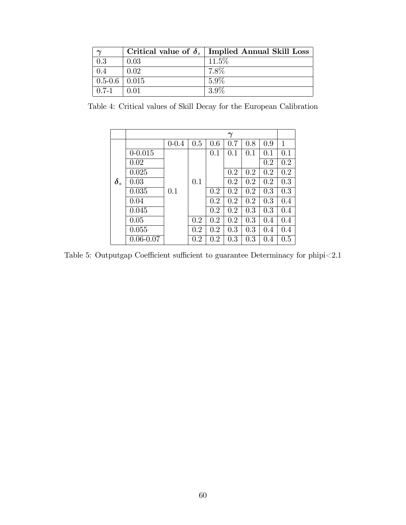|                     |      | Critical value of $\delta_s$ Implied Annual Skill Loss |
|---------------------|------|--------------------------------------------------------|
| 0.3                 | 0.03 | $11.5\%$                                               |
| 0.4                 | 0.02 | 7.8%                                                   |
| $0.5 - 0.6$   0.015 |      | $5.9\%$                                                |
| $0.7-1$             | 0.01 | $3.9\%$                                                |

Table 4: Critical values of Skill Decay for the European Calibration

|                         |               |           |     |     | $\boldsymbol{\gamma}$ |     |     |              |
|-------------------------|---------------|-----------|-----|-----|-----------------------|-----|-----|--------------|
|                         |               | $0 - 0.4$ | 0.5 | 0.6 | 0.7                   | 0.8 | 0.9 | $\mathbf{1}$ |
|                         | $0 - 0.015$   |           |     | 0.1 | 0.1                   | 0.1 | 0.1 | 0.1          |
|                         | 0.02          |           |     |     |                       |     | 0.2 | 0.2          |
|                         | 0.025         |           |     |     | 0.2                   | 0.2 | 0.2 | 0.2          |
| $\boldsymbol{\delta}_s$ | 0.03          |           | 0.1 |     | 0.2                   | 0.2 | 0.2 | 0.3          |
|                         | 0.035         | 0.1       |     | 0.2 | 0.2                   | 0.2 | 0.3 | 0.3          |
|                         | 0.04          |           |     | 0.2 | 0.2                   | 0.2 | 0.3 | 0.4          |
|                         | 0.045         |           |     | 0.2 | 0.2                   | 0.3 | 0.3 | 0.4          |
|                         | 0.05          |           | 0.2 | 0.2 | 0.2                   | 0.3 | 0.4 | 0.4          |
|                         | 0.055         |           | 0.2 | 0.2 | 0.3                   | 0.3 | 0.4 | 0.4          |
|                         | $0.06 - 0.07$ |           | 0.2 | 0.2 | 0.3                   | 0.3 | 0.4 | 0.5          |

Table 5: Outputgap Coefficient sufficient to guarantee Determinacy for phipi<2.1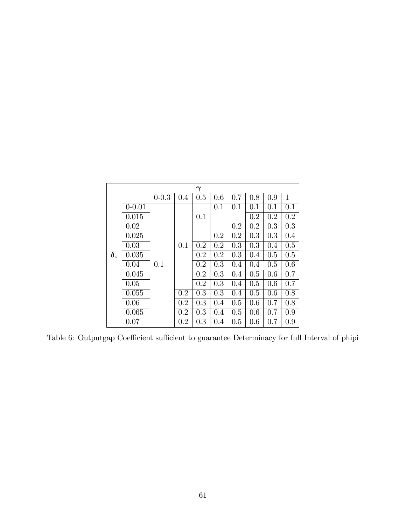|                         |            |           |     | $\gamma$ |     |     |     |     |              |
|-------------------------|------------|-----------|-----|----------|-----|-----|-----|-----|--------------|
|                         |            | $0 - 0.3$ | 0.4 | 0.5      | 0.6 | 0.7 | 0.8 | 0.9 | $\mathbf{1}$ |
|                         | $0 - 0.01$ |           |     |          | 0.1 | 0.1 | 0.1 | 0.1 | 0.1          |
|                         | 0.015      |           |     | 0.1      |     |     | 0.2 | 0.2 | 0.2          |
|                         | 0.02       |           |     |          |     | 0.2 | 0.2 | 0.3 | 0.3          |
|                         | 0.025      |           |     |          | 0.2 | 0.2 | 0.3 | 0.3 | 0.4          |
|                         | 0.03       |           | 0.1 | 0.2      | 0.2 | 0.3 | 0.3 | 0.4 | 0.5          |
| $\boldsymbol{\delta}_s$ | 0.035      |           |     | 0.2      | 0.2 | 0.3 | 0.4 | 0.5 | 0.5          |
|                         | 0.04       | 0.1       |     | 0.2      | 0.3 | 0.4 | 0.4 | 0.5 | 0.6          |
|                         | 0.045      |           |     | 0.2      | 0.3 | 0.4 | 0.5 | 0.6 | 0.7          |
|                         | 0.05       |           |     | 0.2      | 0.3 | 0.4 | 0.5 | 0.6 | 0.7          |
|                         | 0.055      |           | 0.2 | 0.3      | 0.3 | 0.4 | 0.5 | 0.6 | 0.8          |
|                         | 0.06       |           | 0.2 | 0.3      | 0.4 | 0.5 | 0.6 | 0.7 | 0.8          |
|                         | 0.065      |           | 0.2 | 0.3      | 0.4 | 0.5 | 0.6 | 0.7 | 0.9          |
|                         | 0.07       |           | 0.2 | 0.3      | 0.4 | 0.5 | 0.6 | 0.7 | 0.9          |

Table 6: Outputgap Coefficient sufficient to guarantee Determinacy for full Interval of phipi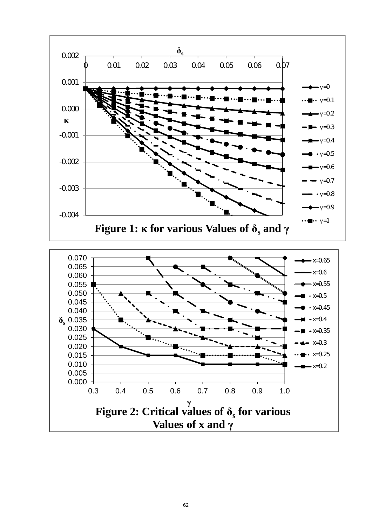

62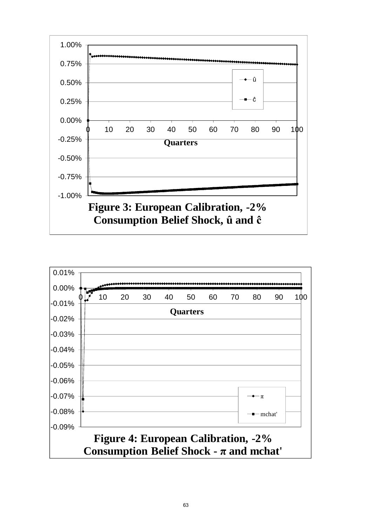

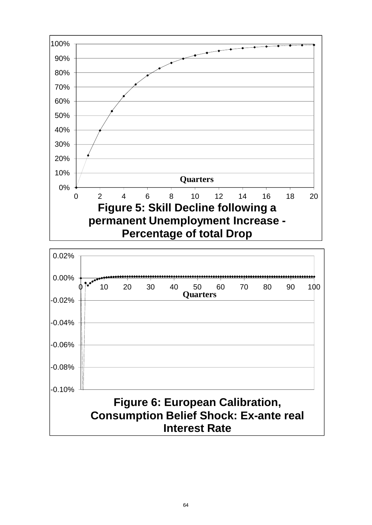

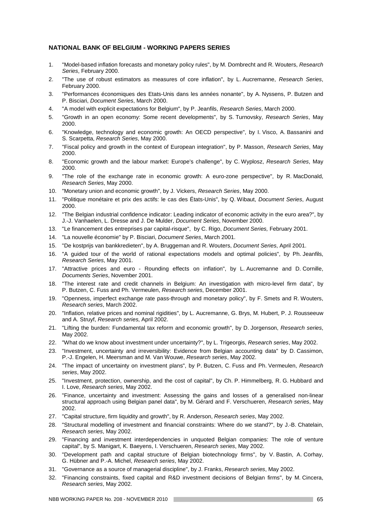#### **NATIONAL BANK OF BELGIUM - WORKING PAPERS SERIES**

- 1. "Model-based inflation forecasts and monetary policy rules", by M. Dombrecht and R. Wouters, *Research Series*, February 2000.
- 2. "The use of robust estimators as measures of core inflation", by L. Aucremanne, *Research Series*, February 2000.
- 3. "Performances économiques des Etats-Unis dans les années nonante", by A. Nyssens, P. Butzen and P. Bisciari, *Document Series*, March 2000.
- 4. "A model with explicit expectations for Belgium", by P. Jeanfils, *Research Series*, March 2000.
- 5. "Growth in an open economy: Some recent developments", by S. Turnovsky, *Research Series*, May 2000.
- 6. "Knowledge, technology and economic growth: An OECD perspective", by I. Visco, A. Bassanini and S. Scarpetta, *Research Series*, May 2000.
- 7. "Fiscal policy and growth in the context of European integration", by P. Masson, *Research Series*, May 2000.
- 8. "Economic growth and the labour market: Europe's challenge", by C. Wyplosz, *Research Series*, May 2000.
- 9. "The role of the exchange rate in economic growth: A euro-zone perspective", by R. MacDonald, *Research Series*, May 2000.
- 10. "Monetary union and economic growth", by J. Vickers, *Research Series*, May 2000.
- 11. "Politique monétaire et prix des actifs: le cas des États-Unis", by Q. Wibaut, *Document Series*, August 2000.
- 12. "The Belgian industrial confidence indicator: Leading indicator of economic activity in the euro area?", by J.-J. Vanhaelen, L. Dresse and J. De Mulder, *Document Series*, November 2000.
- 13. "Le financement des entreprises par capital-risque", by C. Rigo, *Document Series,* February 2001.
- 14. "La nouvelle économie" by P. Bisciari, *Document Series*, March 2001.
- 15. "De kostprijs van bankkredieten", by A. Bruggeman and R. Wouters, *Document Series*, April 2001.
- 16. "A guided tour of the world of rational expectations models and optimal policies", by Ph. Jeanfils, *Research Series*, May 2001.
- 17. "Attractive prices and euro Rounding effects on inflation", by L. Aucremanne and D. Cornille, *Documents Series*, November 2001.
- 18. "The interest rate and credit channels in Belgium: An investigation with micro-level firm data", by P. Butzen, C. Fuss and Ph. Vermeulen, *Research series*, December 2001.
- 19. "Openness, imperfect exchange rate pass-through and monetary policy", by F. Smets and R. Wouters, *Research series*, March 2002.
- 20. "Inflation, relative prices and nominal rigidities", by L. Aucremanne, G. Brys, M. Hubert, P. J. Rousseeuw and A. Struyf, *Research series*, April 2002.
- 21. "Lifting the burden: Fundamental tax reform and economic growth", by D. Jorgenson, *Research series*, May 2002.
- 22. "What do we know about investment under uncertainty?", by L. Trigeorgis, *Research series*, May 2002.
- 23. "Investment, uncertainty and irreversibility: Evidence from Belgian accounting data" by D. Cassimon, P.-J. Engelen, H. Meersman and M. Van Wouwe, *Research series*, May 2002.
- 24. "The impact of uncertainty on investment plans", by P. Butzen, C. Fuss and Ph. Vermeulen, *Research series*, May 2002.
- 25. "Investment, protection, ownership, and the cost of capital", by Ch. P. Himmelberg, R. G. Hubbard and I. Love, *Research series*, May 2002.
- 26. "Finance, uncertainty and investment: Assessing the gains and losses of a generalised non-linear structural approach using Belgian panel data", by M. Gérard and F. Verschueren, *Research series*, May 2002.
- 27. "Capital structure, firm liquidity and growth", by R. Anderson, *Research series*, May 2002.
- 28. "Structural modelling of investment and financial constraints: Where do we stand?", by J.-B. Chatelain, *Research series*, May 2002.
- 29. "Financing and investment interdependencies in unquoted Belgian companies: The role of venture capital", by S. Manigart, K. Baeyens, I. Verschueren, *Research series*, May 2002.
- 30. "Development path and capital structure of Belgian biotechnology firms", by V. Bastin, A. Corhay, G. Hübner and P.-A. Michel, *Research series*, May 2002.
- 31. "Governance as a source of managerial discipline", by J. Franks, *Research series*, May 2002.
- 32. "Financing constraints, fixed capital and R&D investment decisions of Belgian firms", by M. Cincera, *Research series*, May 2002.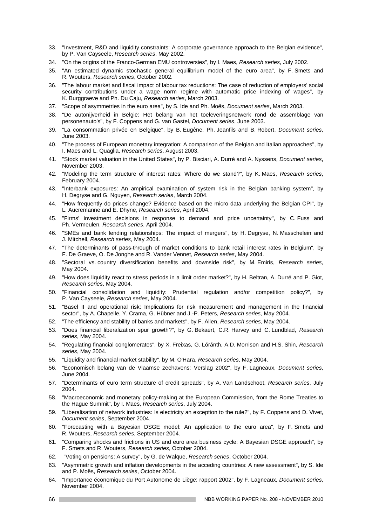- 33. "Investment, R&D and liquidity constraints: A corporate governance approach to the Belgian evidence", by P. Van Cayseele, *Research series*, May 2002.
- 34. "On the origins of the Franco-German EMU controversies", by I. Maes, *Research series*, July 2002.
- 35. "An estimated dynamic stochastic general equilibrium model of the euro area", by F. Smets and R. Wouters, *Research series*, October 2002.
- 36. "The labour market and fiscal impact of labour tax reductions: The case of reduction of employers' social security contributions under a wage norm regime with automatic price indexing of wages", by K. Burggraeve and Ph. Du Caju, *Research series*, March 2003.
- 37. "Scope of asymmetries in the euro area", by S. Ide and Ph. Moës, *Document series*, March 2003.
- 38. "De autonijverheid in België: Het belang van het toeleveringsnetwerk rond de assemblage van personenauto's", by F. Coppens and G. van Gastel, *Document series*, June 2003.
- 39. "La consommation privée en Belgique", by B. Eugène, Ph. Jeanfils and B. Robert, *Document series*, June 2003.
- 40. "The process of European monetary integration: A comparison of the Belgian and Italian approaches", by I. Maes and L. Quaglia, *Research series*, August 2003.
- 41. "Stock market valuation in the United States", by P. Bisciari, A. Durré and A. Nyssens, *Document series*, November 2003.
- 42. "Modeling the term structure of interest rates: Where do we stand?", by K. Maes, *Research series*, February 2004.
- 43. "Interbank exposures: An ampirical examination of system risk in the Belgian banking system", by H. Degryse and G. Nguyen, *Research series*, March 2004.
- 44. "How frequently do prices change? Evidence based on the micro data underlying the Belgian CPI", by L. Aucremanne and E. Dhyne, *Research series*, April 2004.
- 45. "Firms' investment decisions in response to demand and price uncertainty", by C. Fuss and Ph. Vermeulen, *Research series*, April 2004.
- 46. "SMEs and bank lending relationships: The impact of mergers", by H. Degryse, N. Masschelein and J. Mitchell, *Research series*, May 2004.
- 47. "The determinants of pass-through of market conditions to bank retail interest rates in Belgium", by F. De Graeve, O. De Jonghe and R. Vander Vennet, *Research series*, May 2004.
- 48. "Sectoral vs. country diversification benefits and downside risk", by M. Emiris, *Research series*, May 2004.
- 49. "How does liquidity react to stress periods in a limit order market?", by H. Beltran, A. Durré and P. Giot, *Research serie*s, May 2004.
- 50. "Financial consolidation and liquidity: Prudential regulation and/or competition policy?", by P. Van Cayseele, *Research series*, May 2004.
- 51. "Basel II and operational risk: Implications for risk measurement and management in the financial sector", by A. Chapelle, Y. Crama, G. Hübner and J.-P. Peters, *Research series,* May 2004.
- 52. "The efficiency and stability of banks and markets", by F. Allen, *Research series*, May 2004.
- 53. "Does financial liberalization spur growth?", by G. Bekaert, C.R. Harvey and C. Lundblad, *Research series*, May 2004.
- 54. "Regulating financial conglomerates", by X. Freixas, G. Lóránth, A.D. Morrison and H.S. Shin, *Research series*, May 2004.
- 55. "Liquidity and financial market stability", by M. O'Hara, *Research series*, May 2004.
- 56. "Economisch belang van de Vlaamse zeehavens: Verslag 2002", by F. Lagneaux, *Document series*, June 2004.
- 57. "Determinants of euro term structure of credit spreads", by A. Van Landschoot, *Research series*, July 2004.
- 58. "Macroeconomic and monetary policy-making at the European Commission, from the Rome Treaties to the Hague Summit", by I. Maes, *Research series*, July 2004.
- 59. "Liberalisation of network industries: Is electricity an exception to the rule?", by F. Coppens and D. Vivet, *Document series*, September 2004.
- 60. "Forecasting with a Bayesian DSGE model: An application to the euro area", by F. Smets and R. Wouters, *Research series*, September 2004.
- 61. "Comparing shocks and frictions in US and euro area business cycle: A Bayesian DSGE approach", by F. Smets and R. Wouters, *Research series*, October 2004.
- 62. "Voting on pensions: A survey", by G. de Walque, *Research series*, October 2004.
- 63. "Asymmetric growth and inflation developments in the acceding countries: A new assessment", by S. Ide and P. Moës, *Research series*, October 2004.
- 64. "Importance économique du Port Autonome de Liège: rapport 2002", by F. Lagneaux, *Document series*, November 2004.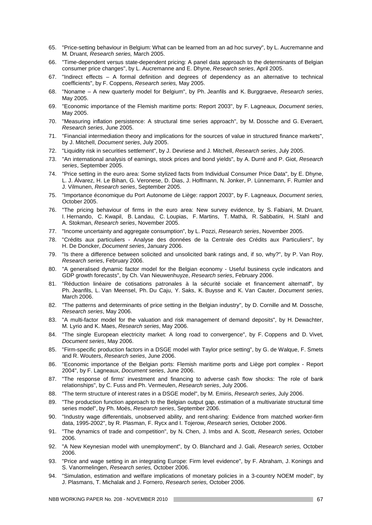- 65. "Price-setting behaviour in Belgium: What can be learned from an ad hoc survey", by L. Aucremanne and M. Druant, *Research series,* March 2005.
- 66. "Time-dependent versus state-dependent pricing: A panel data approach to the determinants of Belgian consumer price changes", by L. Aucremanne and E. Dhyne, *Research series*, April 2005.
- 67. "Indirect effects A formal definition and degrees of dependency as an alternative to technical coefficients", by F. Coppens, *Research series,* May 2005.
- 68. "Noname A new quarterly model for Belgium", by Ph. Jeanfils and K. Burggraeve, *Research series*, May 2005.
- 69. "Economic importance of the Flemish maritime ports: Report 2003", by F. Lagneaux, *Document series*, May 2005.
- 70. "Measuring inflation persistence: A structural time series approach", by M. Dossche and G. Everaert, *Research series*, June 2005.
- 71. "Financial intermediation theory and implications for the sources of value in structured finance markets", by J. Mitchell, *Document series*, July 2005.
- 72. "Liquidity risk in securities settlement", by J. Devriese and J. Mitchell, *Research series*, July 2005.
- 73. "An international analysis of earnings, stock prices and bond yields", by A. Durré and P. Giot, *Research series*, September 2005.
- 74. "Price setting in the euro area: Some stylized facts from Individual Consumer Price Data", by E. Dhyne, L. J. Álvarez, H. Le Bihan, G. Veronese, D. Dias, J. Hoffmann, N. Jonker, P. Lünnemann, F. Rumler and J. Vilmunen, *Research series*, September 2005.
- 75. "Importance économique du Port Autonome de Liège: rapport 2003", by F. Lagneaux, *Document series,*  October 2005.
- 76. "The pricing behaviour of firms in the euro area: New survey evidence, by S. Fabiani, M. Druant, I. Hernando, C. Kwapil, B. Landau, C. Loupias, F. Martins, T. Mathä, R. Sabbatini, H. Stahl and A. Stokman, *Research series*, November 2005.
- 77. "Income uncertainty and aggregate consumption", by L. Pozzi, *Research series*, November 2005.
- 78. "Crédits aux particuliers Analyse des données de la Centrale des Crédits aux Particuliers", by H. De Doncker, *Document series*, January 2006.
- 79. "Is there a difference between solicited and unsolicited bank ratings and, if so, why?", by P. Van Roy, *Research series*, February 2006.
- 80. "A generalised dynamic factor model for the Belgian economy Useful business cycle indicators and GDP growth forecasts", by Ch. Van Nieuwenhuyze, *Research series*, February 2006.
- 81. "Réduction linéaire de cotisations patronales à la sécurité sociale et financement alternatif", by Ph. Jeanfils, L. Van Meensel, Ph. Du Caju, Y. Saks, K. Buysse and K. Van Cauter, *Document series*, March 2006.
- 82. "The patterns and determinants of price setting in the Belgian industry", by D. Cornille and M. Dossche, *Research series*, May 2006.
- 83. "A multi-factor model for the valuation and risk management of demand deposits", by H. Dewachter, M. Lyrio and K. Maes, *Research series*, May 2006.
- 84. "The single European electricity market: A long road to convergence", by F. Coppens and D. Vivet, *Document series*, May 2006.
- 85. "Firm-specific production factors in a DSGE model with Taylor price setting", by G. de Walque, F. Smets and R. Wouters, *Research series*, June 2006.
- 86. "Economic importance of the Belgian ports: Flemish maritime ports and Liège port complex Report 2004", by F. Lagneaux, *Document series*, June 2006.
- 87. "The response of firms' investment and financing to adverse cash flow shocks: The role of bank relationships", by C. Fuss and Ph. Vermeulen, *Research series*, July 2006.
- 88. "The term structure of interest rates in a DSGE model", by M. Emiris, *Research series,* July 2006.
- 89. "The production function approach to the Belgian output gap, estimation of a multivariate structural time series model", by Ph. Moës, *Research series*, September 2006.
- 90. "Industry wage differentials, unobserved ability, and rent-sharing: Evidence from matched worker-firm data, 1995-2002", by R. Plasman, F. Rycx and I. Tojerow, *Research series,* October 2006.
- 91. "The dynamics of trade and competition", by N. Chen, J. Imbs and A. Scott, *Research series,* October 2006.
- 92. "A New Keynesian model with unemployment", by O. Blanchard and J. Gali, *Research series,* October 2006.
- 93. "Price and wage setting in an integrating Europe: Firm level evidence", by F. Abraham, J. Konings and S. Vanormelingen, *Research series,* October 2006.
- 94. "Simulation, estimation and welfare implications of monetary policies in a 3-country NOEM model", by J. Plasmans, T. Michalak and J. Fornero, *Research series,* October 2006.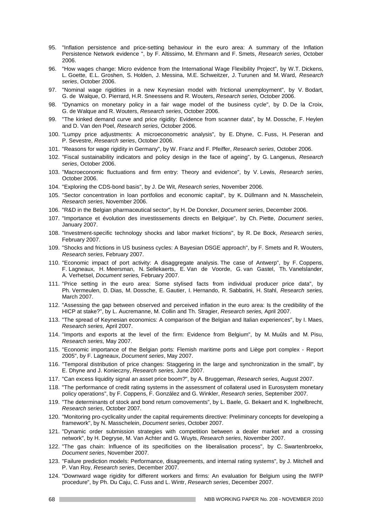- 95. "Inflation persistence and price-setting behaviour in the euro area: A summary of the Inflation Persistence Network evidence ", by F. Altissimo, M. Ehrmann and F. Smets, *Research series*, October 2006.
- 96. "How wages change: Micro evidence from the International Wage Flexibility Project", by W.T. Dickens, L. Goette, E.L. Groshen, S. Holden, J. Messina, M.E. Schweitzer, J. Turunen and M. Ward, *Research series*, October 2006.
- 97. "Nominal wage rigidities in a new Keynesian model with frictional unemployment", by V. Bodart, G. de Walque, O. Pierrard, H.R. Sneessens and R. Wouters, *Research series*, October 2006.
- 98. "Dynamics on monetary policy in a fair wage model of the business cycle", by D. De la Croix, G. de Walque and R. Wouters, *Research series*, October 2006.
- 99. "The kinked demand curve and price rigidity: Evidence from scanner data", by M. Dossche, F. Heylen and D. Van den Poel, *Research series*, October 2006.
- 100. "Lumpy price adjustments: A microeconometric analysis", by E. Dhyne, C. Fuss, H. Peseran and P. Sevestre, *Research series*, October 2006.
- 101. "Reasons for wage rigidity in Germany", by W. Franz and F. Pfeiffer, *Research series*, October 2006.
- 102. "Fiscal sustainability indicators and policy design in the face of ageing", by G. Langenus, *Research series*, October 2006.
- 103. "Macroeconomic fluctuations and firm entry: Theory and evidence", by V. Lewis, *Research series*, October 2006.
- 104. "Exploring the CDS-bond basis", by J. De Wit, *Research series*, November 2006.
- 105. "Sector concentration in loan portfolios and economic capital", by K. Düllmann and N. Masschelein, *Research series*, November 2006.
- 106. "R&D in the Belgian pharmaceutical sector", by H. De Doncker, *Document series*, December 2006.
- 107. "Importance et évolution des investissements directs en Belgique", by Ch. Piette, *Document series*, January 2007.
- 108. "Investment-specific technology shocks and labor market frictions", by R. De Bock, *Research series*, February 2007.
- 109. "Shocks and frictions in US business cycles: A Bayesian DSGE approach", by F. Smets and R. Wouters, *Research series*, February 2007.
- 110. "Economic impact of port activity: A disaggregate analysis. The case of Antwerp", by F. Coppens, F. Lagneaux, H. Meersman, N. Sellekaerts, E. Van de Voorde, G. van Gastel, Th. Vanelslander, A. Verhetsel, *Document series,* February 2007.
- 111. "Price setting in the euro area: Some stylised facts from individual producer price data", by Ph. Vermeulen, D. Dias, M. Dossche, E. Gautier, I. Hernando, R. Sabbatini, H. Stahl, *Research series,*  March 2007.
- 112. "Assessing the gap between observed and perceived inflation in the euro area: Is the credibility of the HICP at stake?", by L. Aucremanne, M. Collin and Th. Stragier, *Research series,* April 2007.
- 113. "The spread of Keynesian economics: A comparison of the Belgian and Italian experiences", by I. Maes, *Research series,* April 2007.
- 114. "Imports and exports at the level of the firm: Evidence from Belgium", by M. Muûls and M. Pisu, *Research series,* May 2007.
- 115. "Economic importance of the Belgian ports: Flemish maritime ports and Liège port complex Report 2005", by F. Lagneaux, *Document series*, May 2007.
- 116. "Temporal distribution of price changes: Staggering in the large and synchronization in the small", by E. Dhyne and J. Konieczny, *Research series,* June 2007.
- 117. "Can excess liquidity signal an asset price boom?", by A. Bruggeman, *Research series,* August 2007.
- 118. "The performance of credit rating systems in the assessment of collateral used in Eurosystem monetary policy operations", by F. Coppens, F. González and G. Winkler, *Research series*, September 2007.
- 119. "The determinants of stock and bond return comovements", by L. Baele, G. Bekaert and K. Inghelbrecht, *Research series*, October 2007.
- 120. "Monitoring pro-cyclicality under the capital requirements directive: Preliminary concepts for developing a framework", by N. Masschelein, *Document series*, October 2007.
- 121. "Dynamic order submission strategies with competition between a dealer market and a crossing network", by H. Degryse, M. Van Achter and G. Wuyts, *Research series*, November 2007.
- 122. "The gas chain: Influence of its specificities on the liberalisation process", by C. Swartenbroekx, *Document series*, November 2007.
- 123. "Failure prediction models: Performance, disagreements, and internal rating systems", by J. Mitchell and P. Van Roy, *Research series*, December 2007.
- 124. "Downward wage rigidity for different workers and firms: An evaluation for Belgium using the IWFP procedure", by Ph. Du Caju, C. Fuss and L. Wintr, *Research series*, December 2007.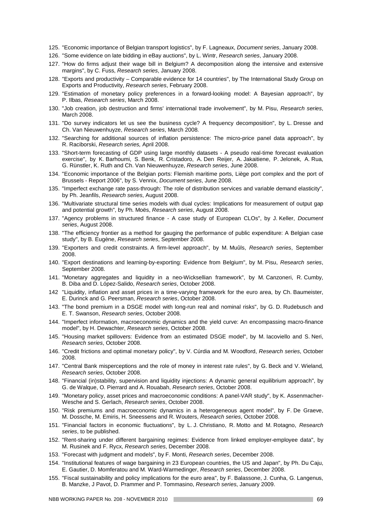- 125. "Economic importance of Belgian transport logistics", by F. Lagneaux, *Document series*, January 2008.
- 126. "Some evidence on late bidding in eBay auctions", by L. Wintr, *Research series*, January 2008.
- 127. "How do firms adjust their wage bill in Belgium? A decomposition along the intensive and extensive margins", by C. Fuss, *Research series*, January 2008.
- 128. "Exports and productivity Comparable evidence for 14 countries", by The International Study Group on Exports and Productivity, *Research series*, February 2008.
- 129. "Estimation of monetary policy preferences in a forward-looking model: A Bayesian approach", by P. Ilbas, *Research series*, March 2008.
- 130. "Job creation, job destruction and firms' international trade involvement", by M. Pisu, *Research series*, March 2008.
- 131. "Do survey indicators let us see the business cycle? A frequency decomposition", by L. Dresse and Ch. Van Nieuwenhuyze, *Research series*, March 2008.
- 132. "Searching for additional sources of inflation persistence: The micro-price panel data approach", by R. Raciborski, *Research series,* April 2008.
- 133. "Short-term forecasting of GDP using large monthly datasets A pseudo real-time forecast evaluation exercise", by K. Barhoumi, S. Benk, R. Cristadoro, A. Den Reijer, A. Jakaitiene, P. Jelonek, A. Rua, G. Rünstler, K. Ruth and Ch. Van Nieuwenhuyze, *Research series*, June 2008.
- 134. "Economic importance of the Belgian ports: Flemish maritime ports, Liège port complex and the port of Brussels - Report 2006", by S. Vennix, *Document series*, June 2008.
- 135. "Imperfect exchange rate pass-through: The role of distribution services and variable demand elasticity", by Ph. Jeanfils, *Research series*, August 2008.
- 136. "Multivariate structural time series models with dual cycles: Implications for measurement of output gap and potential growth", by Ph. Moës, *Research series*, August 2008.
- 137. "Agency problems in structured finance A case study of European CLOs", by J. Keller, *Document series*, August 2008.
- 138. "The efficiency frontier as a method for gauging the performance of public expenditure: A Belgian case study", by B. Eugène, *Research series*, September 2008.
- 139. "Exporters and credit constraints. A firm-level approach", by M. Muûls, *Research series*, September 2008.
- 140. "Export destinations and learning-by-exporting: Evidence from Belgium", by M. Pisu, *Research series*, September 2008.
- 141. "Monetary aggregates and liquidity in a neo-Wicksellian framework", by M. Canzoneri, R. Cumby, B. Diba and D. López-Salido, *Research series*, October 2008.
- 142 "Liquidity, inflation and asset prices in a time-varying framework for the euro area, by Ch. Baumeister, E. Durinck and G. Peersman, *Research series*, October 2008.
- 143. "The bond premium in a DSGE model with long-run real and nominal risks", by G. D. Rudebusch and E. T. Swanson, *Research series*, October 2008.
- 144. "Imperfect information, macroeconomic dynamics and the yield curve: An encompassing macro-finance model", by H. Dewachter, *Research series*, October 2008.
- 145. "Housing market spillovers: Evidence from an estimated DSGE model", by M. Iacoviello and S. Neri, *Research series*, October 2008.
- 146. "Credit frictions and optimal monetary policy", by V. Cúrdia and M. Woodford, *Research series*, October 2008.
- 147. "Central Bank misperceptions and the role of money in interest rate rules", by G. Beck and V. Wieland*, Research series*, October 2008.
- 148. "Financial (in)stability, supervision and liquidity injections: A dynamic general equilibrium approach", by G. de Walque, O. Pierrard and A. Rouabah, *Research series*, October 2008.
- 149. "Monetary policy, asset prices and macroeconomic conditions: A panel-VAR study", by K. Assenmacher-Wesche and S. Gerlach, *Research series*, October 2008.
- 150. "Risk premiums and macroeconomic dynamics in a heterogeneous agent model", by F. De Graeve, M. Dossche, M. Emiris, H. Sneessens and R. Wouters, *Research series*, October 2008.
- 151. "Financial factors in economic fluctuations", by L. J. Christiano, R. Motto and M. Rotagno, *Research series*, to be published.
- 152. "Rent-sharing under different bargaining regimes: Evidence from linked employer-employee data", by M. Rusinek and F. Rycx, *Research series*, December 2008.
- 153. "Forecast with judgment and models", by F. Monti, *Research series*, December 2008.
- 154. "Institutional features of wage bargaining in 23 European countries, the US and Japan", by Ph. Du Caju, E. Gautier, D. Momferatou and M. Ward-Warmedinger, *Research series*, December 2008.
- 155. "Fiscal sustainability and policy implications for the euro area", by F. Balassone, J. Cunha, G. Langenus, B. Manzke, J Pavot, D. Prammer and P. Tommasino, *Research series*, January 2009.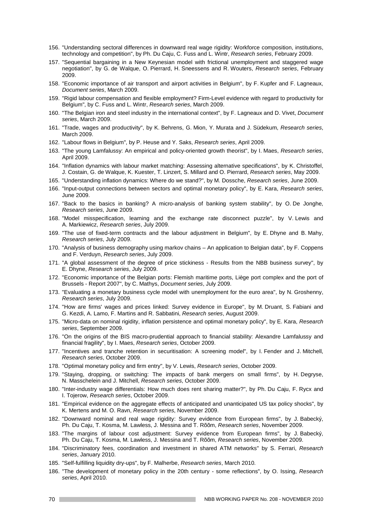- 156. "Understanding sectoral differences in downward real wage rigidity: Workforce composition, institutions, technology and competition", by Ph. Du Caju, C. Fuss and L. Wintr, *Research series*, February 2009.
- 157. "Sequential bargaining in a New Keynesian model with frictional unemployment and staggered wage negotiation", by G. de Walque, O. Pierrard, H. Sneessens and R. Wouters, *Research series*, February 2009.
- 158. "Economic importance of air transport and airport activities in Belgium", by F. Kupfer and F. Lagneaux, *Document series*, March 2009.
- 159. "Rigid labour compensation and flexible employment? Firm-Level evidence with regard to productivity for Belgium", by C. Fuss and L. Wintr, *Research series*, March 2009.
- 160. "The Belgian iron and steel industry in the international context", by F. Lagneaux and D. Vivet, *Document series*, March 2009.
- 161. "Trade, wages and productivity", by K. Behrens, G. Mion, Y. Murata and J. Südekum, *Research series*, March 2009.
- 162. "Labour flows in Belgium", by P. Heuse and Y. Saks, *Research series*, April 2009.
- 163. "The young Lamfalussy: An empirical and policy-oriented growth theorist", by I. Maes, *Research series*, April 2009.
- 164. "Inflation dynamics with labour market matching: Assessing alternative specifications", by K. Christoffel, J. Costain, G. de Walque, K. Kuester, T. Linzert, S. Millard and O. Pierrard, *Research series*, May 2009.
- 165. "Understanding inflation dynamics: Where do we stand?", by M. Dossche, *Research series*, June 2009.
- 166. "Input-output connections between sectors and optimal monetary policy", by E. Kara, *Research series*, June 2009.
- 167. "Back to the basics in banking? A micro-analysis of banking system stability", by O. De Jonghe, *Research series*, June 2009.
- 168. "Model misspecification, learning and the exchange rate disconnect puzzle", by V. Lewis and A. Markiewicz, *Research series*, July 2009.
- 169. "The use of fixed-term contracts and the labour adjustment in Belgium", by E. Dhyne and B. Mahy, *Research series*, July 2009.
- 170. "Analysis of business demography using markov chains An application to Belgian data", by F. Coppens and F. Verduyn, *Research series*, July 2009.
- 171. "A global assessment of the degree of price stickiness Results from the NBB business survey", by E. Dhyne, *Research series*, July 2009.
- 172. "Economic importance of the Belgian ports: Flemish maritime ports, Liège port complex and the port of Brussels - Report 2007", by C. Mathys, *Document series*, July 2009.
- 173. "Evaluating a monetary business cycle model with unemployment for the euro area", by N. Groshenny, *Research series*, July 2009.
- 174. "How are firms' wages and prices linked: Survey evidence in Europe", by M. Druant, S. Fabiani and G. Kezdi, A. Lamo, F. Martins and R. Sabbatini, *Research series*, August 2009.
- 175. "Micro-data on nominal rigidity, inflation persistence and optimal monetary policy", by E. Kara, *Research series*, September 2009.
- 176. "On the origins of the BIS macro-prudential approach to financial stability: Alexandre Lamfalussy and financial fragility", by I. Maes, *Research series*, October 2009.
- 177. "Incentives and tranche retention in securitisation: A screening model", by I. Fender and J. Mitchell, *Research series*, October 2009.
- 178. "Optimal monetary policy and firm entry", by V. Lewis, *Research series*, October 2009.
- 179. "Staying, dropping, or switching: The impacts of bank mergers on small firms", by H. Degryse, N. Masschelein and J. Mitchell, *Research series*, October 2009.
- 180. "Inter-industry wage differentials: How much does rent sharing matter?", by Ph. Du Caju, F. Rycx and I. Tojerow, *Research series*, October 2009.
- 181. "Empirical evidence on the aggregate effects of anticipated and unanticipated US tax policy shocks", by K. Mertens and M. O. Ravn, *Research series*, November 2009.
- 182. "Downward nominal and real wage rigidity: Survey evidence from European firms", by J. Babecký, Ph. Du Caju, T. Kosma, M. Lawless, J. Messina and T. Rõõm, *Research series*, November 2009.
- 183. "The margins of labour cost adjustment: Survey evidence from European firms", by J. Babecký, Ph. Du Caju, T. Kosma, M. Lawless, J. Messina and T. Rõõm, *Research series*, November 2009.
- 184. "Discriminatory fees, coordination and investment in shared ATM networks" by S. Ferrari, *Research series*, January 2010.
- 185. "Self-fulfilling liquidity dry-ups", by F. Malherbe, *Research series*, March 2010.
- 186. "The development of monetary policy in the 20th century some reflections", by O. Issing, *Research series*, April 2010.